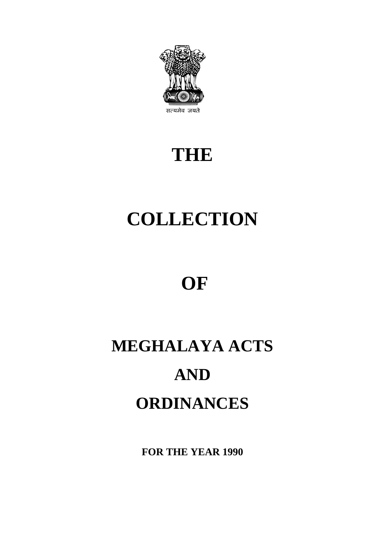

## **THE**

# **COLLECTION**

## **OF**

# **MEGHALAYA ACTS AND ORDINANCES**

**FOR THE YEAR 1990**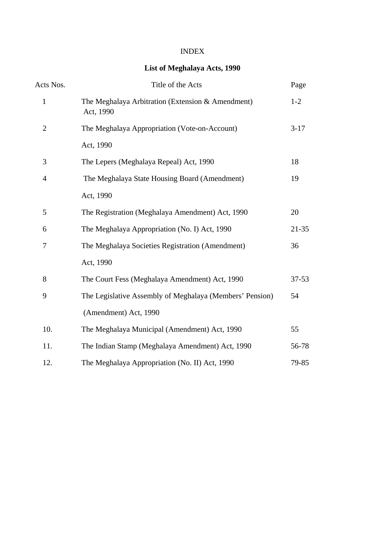#### INDEX

#### **List of Meghalaya Acts, 1990**

| Acts Nos.      | Title of the Acts                                              | Page      |
|----------------|----------------------------------------------------------------|-----------|
| $\mathbf{1}$   | The Meghalaya Arbitration (Extension & Amendment)<br>Act, 1990 | $1-2$     |
| $\overline{2}$ | The Meghalaya Appropriation (Vote-on-Account)                  | $3-17$    |
|                | Act, 1990                                                      |           |
| 3              | The Lepers (Meghalaya Repeal) Act, 1990                        | 18        |
| $\overline{4}$ | The Meghalaya State Housing Board (Amendment)                  | 19        |
|                | Act, 1990                                                      |           |
| 5              | The Registration (Meghalaya Amendment) Act, 1990               | 20        |
| 6              | The Meghalaya Appropriation (No. I) Act, 1990                  | $21 - 35$ |
| 7              | The Meghalaya Societies Registration (Amendment)               | 36        |
|                | Act, 1990                                                      |           |
| 8              | The Court Fess (Meghalaya Amendment) Act, 1990                 | $37 - 53$ |
| 9              | The Legislative Assembly of Meghalaya (Members' Pension)       | 54        |
|                | (Amendment) Act, 1990                                          |           |
| 10.            | The Meghalaya Municipal (Amendment) Act, 1990                  | 55        |
| 11.            | The Indian Stamp (Meghalaya Amendment) Act, 1990               | 56-78     |
| 12.            | The Meghalaya Appropriation (No. II) Act, 1990                 | 79-85     |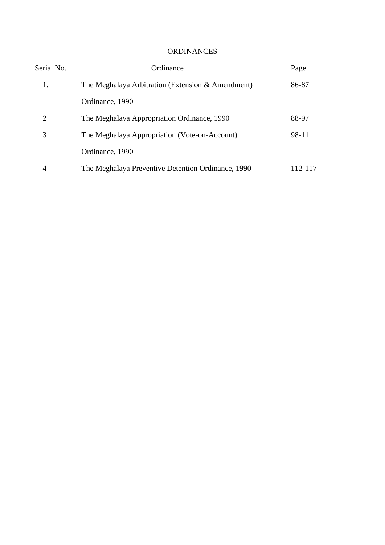#### ORDINANCES

| Serial No. | Ordinance                                          | Page    |
|------------|----------------------------------------------------|---------|
| 1.         | The Meghalaya Arbitration (Extension & Amendment)  | 86-87   |
|            | Ordinance, 1990                                    |         |
| 2          | The Meghalaya Appropriation Ordinance, 1990        | 88-97   |
| 3          | The Meghalaya Appropriation (Vote-on-Account)      | 98-11   |
|            | Ordinance, 1990                                    |         |
| 4          | The Meghalaya Preventive Detention Ordinance, 1990 | 112-117 |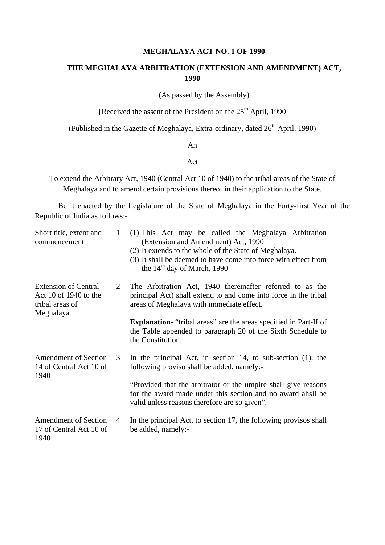#### **MEGHALAYA ACT NO. 1 OF 1990**

#### **THE MEGHALAYA ARBITRATION (EXTENSION AND AMENDMENT) ACT, 1990**

(As passed by the Assembly)

[Received the assent of the President on the 25<sup>th</sup> April, 1990

(Published in the Gazette of Meghalaya, Extra-ordinary, dated  $26<sup>th</sup>$  April, 1990)

#### An

#### Act

To extend the Arbitrary Act, 1940 (Central Act 10 of 1940) to the tribal areas of the State of Meghalaya and to amend certain provisions thereof in their application to the State.

Be it enacted by the Legislature of the State of Meghalaya in the Forty-first Year of the Republic of India as follows:-

| Short title, extent and<br>commencement                                               | $\mathbf{1}$ | (1) This Act may be called the Meghalaya Arbitration<br>(Extension and Amendment) Act, 1990<br>(2) It extends to the whole of the State of Meghalaya.<br>(3) It shall be deemed to have come into force with effect from<br>the $14th$ day of March, 1990 |
|---------------------------------------------------------------------------------------|--------------|-----------------------------------------------------------------------------------------------------------------------------------------------------------------------------------------------------------------------------------------------------------|
| <b>Extension of Central</b><br>Act 10 of 1940 to the<br>tribal areas of<br>Meghalaya. | 2            | The Arbitration Act, 1940 thereinafter referred to as the<br>principal Act) shall extend to and come into force in the tribal<br>areas of Meghalaya with immediate effect.                                                                                |
|                                                                                       |              | <b>Explanation-</b> "tribal areas" are the areas specified in Part-II of<br>the Table appended to paragraph 20 of the Sixth Schedule to<br>the Constitution.                                                                                              |
| <b>Amendment of Section</b><br>14 of Central Act 10 of<br>1940                        | 3            | In the principal Act, in section 14, to sub-section $(1)$ , the<br>following proviso shall be added, namely:-                                                                                                                                             |
|                                                                                       |              | "Provided that the arbitrator or the umpire shall give reasons<br>for the award made under this section and no award ahsil be<br>valid unless reasons therefore are so given".                                                                            |
| <b>Amendment of Section</b><br>17 of Central Act 10 of<br>1940                        | 4            | In the principal Act, to section 17, the following provisos shall<br>be added, namely:-                                                                                                                                                                   |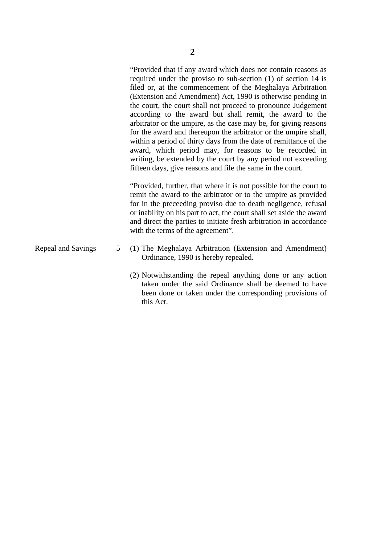"Provided that if any award which does not contain reasons as required under the proviso to sub-section (1) of section 14 is filed or, at the commencement of the Meghalaya Arbitration (Extension and Amendment) Act, 1990 is otherwise pending in the court, the court shall not proceed to pronounce Judgement according to the award but shall remit, the award to the arbitrator or the umpire, as the case may be, for giving reasons for the award and thereupon the arbitrator or the umpire shall, within a period of thirty days from the date of remittance of the award, which period may, for reasons to be recorded in writing, be extended by the court by any period not exceeding fifteen days, give reasons and file the same in the court.

"Provided, further, that where it is not possible for the court to remit the award to the arbitrator or to the umpire as provided for in the preceeding proviso due to death negligence, refusal or inability on his part to act, the court shall set aside the award and direct the parties to initiate fresh arbitration in accordance with the terms of the agreement".

- Repeal and Savings 5 (1) The Meghalaya Arbitration (Extension and Amendment) Ordinance, 1990 is hereby repealed.
	- (2) Notwithstanding the repeal anything done or any action taken under the said Ordinance shall be deemed to have been done or taken under the corresponding provisions of this Act.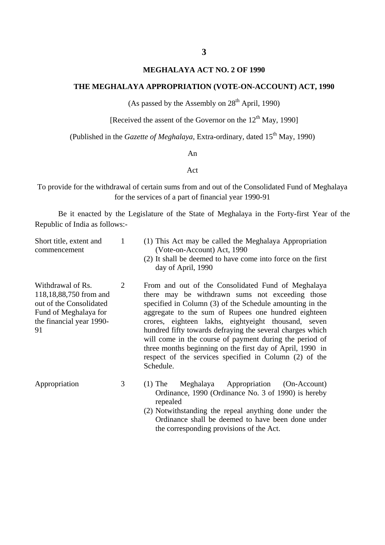#### **MEGHALAYA ACT NO. 2 OF 1990**

#### **THE MEGHALAYA APPROPRIATION (VOTE-ON-ACCOUNT) ACT, 1990**

(As passed by the Assembly on  $28<sup>th</sup>$  April, 1990)

[Received the assent of the Governor on the  $12<sup>th</sup>$  May, 1990]

(Published in the *Gazette of Meghalaya*, Extra-ordinary, dated 15<sup>th</sup> May, 1990)

#### An

#### Act

To provide for the withdrawal of certain sums from and out of the Consolidated Fund of Meghalaya for the services of a part of financial year 1990-91

Be it enacted by the Legislature of the State of Meghalaya in the Forty-first Year of the Republic of India as follows:-

| Short title, extent and<br>commencement                                                                                           | 1 | (1) This Act may be called the Meghalaya Appropriation<br>(Vote-on-Account) Act, 1990<br>(2) It shall be deemed to have come into force on the first<br>day of April, 1990                                                                                                                                                                                                                                                                                                                                                                  |
|-----------------------------------------------------------------------------------------------------------------------------------|---|---------------------------------------------------------------------------------------------------------------------------------------------------------------------------------------------------------------------------------------------------------------------------------------------------------------------------------------------------------------------------------------------------------------------------------------------------------------------------------------------------------------------------------------------|
| Withdrawal of Rs.<br>118,18,88,750 from and<br>out of the Consolidated<br>Fund of Meghalaya for<br>the financial year 1990-<br>91 | 2 | From and out of the Consolidated Fund of Meghalaya<br>there may be withdrawn sums not exceeding those<br>specified in Column (3) of the Schedule amounting in the<br>aggregate to the sum of Rupees one hundred eighteen<br>crores, eighteen lakhs, eightyeight thousand, seven<br>hundred fifty towards defraying the several charges which<br>will come in the course of payment during the period of<br>three months beginning on the first day of April, 1990 in<br>respect of the services specified in Column (2) of the<br>Schedule. |
| Appropriation                                                                                                                     | 3 | Meghalaya Appropriation<br>(On-Account)<br>$(1)$ The<br>Ordinance, 1990 (Ordinance No. 3 of 1990) is hereby<br>repealed<br>(2) Notwithstanding the repeal anything done under the<br>Ordinance shall be deemed to have been done under                                                                                                                                                                                                                                                                                                      |

the corresponding provisions of the Act.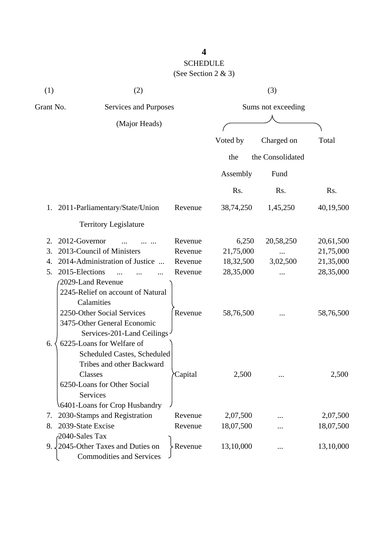| (1)       | (2)                                                                                                                                                                          |          |                    | (3)              |           |
|-----------|------------------------------------------------------------------------------------------------------------------------------------------------------------------------------|----------|--------------------|------------------|-----------|
| Grant No. | Services and Purposes                                                                                                                                                        |          | Sums not exceeding |                  |           |
|           | (Major Heads)                                                                                                                                                                |          |                    |                  |           |
|           |                                                                                                                                                                              |          | Voted by           | Charged on       | Total     |
|           |                                                                                                                                                                              |          | the                | the Consolidated |           |
|           |                                                                                                                                                                              |          | Assembly           | Fund             |           |
|           |                                                                                                                                                                              |          | Rs.                | Rs.              | Rs.       |
|           | 1. 2011-Parliamentary/State/Union                                                                                                                                            | Revenue  | 38,74,250          | 1,45,250         | 40,19,500 |
|           | <b>Territory Legislature</b>                                                                                                                                                 |          |                    |                  |           |
| 2.        | 2012-Governor                                                                                                                                                                | Revenue  | 6,250              | 20,58,250        | 20,61,500 |
| 3.        | 2013-Council of Ministers                                                                                                                                                    | Revenue  | 21,75,000          |                  | 21,75,000 |
| 4.        | 2014-Administration of Justice                                                                                                                                               | Revenue  | 18,32,500          | 3,02,500         | 21,35,000 |
| 5.        | 2015-Elections                                                                                                                                                               | Revenue  | 28,35,000          |                  | 28,35,000 |
|           | 2029-Land Revenue<br>2245-Relief on account of Natural<br>Calamities<br>2250-Other Social Services<br>3475-Other General Economic<br>Services-201-Land Ceilings              | Revenue  | 58,76,500          |                  | 58,76,500 |
| 6.        | 6225-Loans for Welfare of<br>Scheduled Castes, Scheduled<br>Tribes and other Backward<br>Classes<br>6250-Loans for Other Social<br>Services<br>6401-Loans for Crop Husbandry | ∕Capital | 2,500              |                  | 2,500     |
| 7.        | 2030-Stamps and Registration                                                                                                                                                 | Revenue  | 2,07,500           |                  | 2,07,500  |
| 8.        | 2039-State Excise                                                                                                                                                            | Revenue  | 18,07,500          |                  | 18,07,500 |
|           | 2040-Sales Tax                                                                                                                                                               |          |                    |                  |           |
|           | 9. 2045-Other Taxes and Duties on<br><b>Commodities and Services</b>                                                                                                         | Revenue  | 13,10,000          |                  | 13,10,000 |

## **4**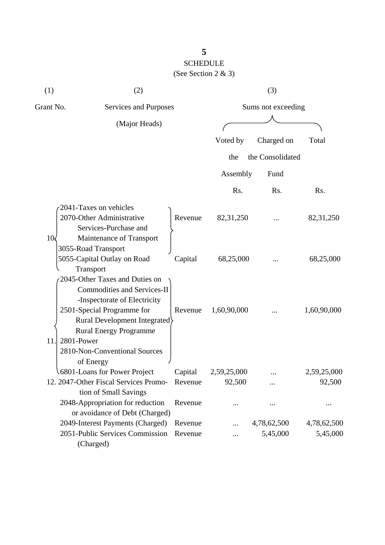| (1)               | (2)                                             |         |                    | (3)              |             |  |
|-------------------|-------------------------------------------------|---------|--------------------|------------------|-------------|--|
| Grant No.         | Services and Purposes                           |         | Sums not exceeding |                  |             |  |
|                   | (Major Heads)                                   |         |                    |                  |             |  |
|                   |                                                 |         | Voted by           | Charged on       | Total       |  |
|                   |                                                 |         | the                | the Consolidated |             |  |
|                   |                                                 |         | Assembly           | Fund             |             |  |
|                   |                                                 |         | Rs.                | R <sub>s</sub> . | Rs.         |  |
|                   | 2041-Taxes on vehicles                          |         |                    |                  |             |  |
|                   | 2070-Other Administrative                       | Revenue | 82,31,250          |                  | 82, 31, 250 |  |
|                   | Services-Purchase and                           |         |                    |                  |             |  |
| 10<               | Maintenance of Transport<br>3055-Road Transport |         |                    |                  |             |  |
|                   | 5055-Capital Outlay on Road                     | Capital | 68,25,000          |                  | 68,25,000   |  |
|                   | Transport                                       |         |                    |                  |             |  |
|                   | 2045-Other Taxes and Duties on                  |         |                    |                  |             |  |
|                   | <b>Commodities and Services-II</b>              |         |                    |                  |             |  |
|                   | -Inspectorate of Electricity                    |         |                    |                  |             |  |
|                   | 2501-Special Programme for                      | Revenue | 1,60,90,000        |                  | 1,60,90,000 |  |
|                   | Rural Development Integrated                    |         |                    |                  |             |  |
|                   | <b>Rural Energy Programme</b>                   |         |                    |                  |             |  |
| 11.<br>2801-Power |                                                 |         |                    |                  |             |  |
|                   | 2810-Non-Conventional Sources                   |         |                    |                  |             |  |
|                   | of Energy                                       |         |                    |                  |             |  |
|                   | 6801-Loans for Power Project                    | Capital | 2,59,25,000        |                  | 2,59,25,000 |  |
|                   | 12. 2047-Other Fiscal Services Promo-           | Revenue | 92,500             |                  | 92,500      |  |
|                   | tion of Small Savings                           |         |                    |                  |             |  |
|                   | 2048-Appropriation for reduction                | Revenue | .                  |                  |             |  |
|                   | or avoidance of Debt (Charged)                  |         |                    |                  |             |  |
|                   | 2049-Interest Payments (Charged)                | Revenue |                    | 4,78,62,500      | 4,78,62,500 |  |
|                   | 2051-Public Services Commission                 | Revenue |                    | 5,45,000         | 5,45,000    |  |
|                   | (Charged)                                       |         |                    |                  |             |  |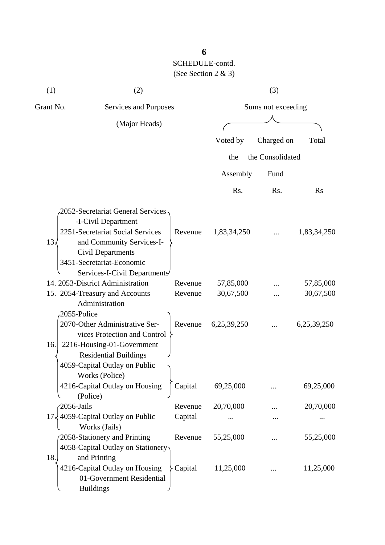| (1)                | (2)                                                                                                                                                                                                                |         |                    | (3)              |             |  |
|--------------------|--------------------------------------------------------------------------------------------------------------------------------------------------------------------------------------------------------------------|---------|--------------------|------------------|-------------|--|
| Grant No.          | Services and Purposes                                                                                                                                                                                              |         | Sums not exceeding |                  |             |  |
|                    | (Major Heads)                                                                                                                                                                                                      |         |                    |                  |             |  |
|                    |                                                                                                                                                                                                                    |         | Voted by           | Charged on       | Total       |  |
|                    |                                                                                                                                                                                                                    |         | the                | the Consolidated |             |  |
|                    |                                                                                                                                                                                                                    |         | Assembly           | Fund             |             |  |
|                    |                                                                                                                                                                                                                    |         | Rs.                | Rs.              | <b>Rs</b>   |  |
| 13.5               | 2052-Secretariat General Services<br>-I-Civil Department<br>2251-Secretariat Social Services<br>and Community Services-I-<br><b>Civil Departments</b><br>3451-Secretariat-Economic<br>Services-I-Civil Departments | Revenue | 1,83,34,250        |                  | 1,83,34,250 |  |
|                    | 14. 2053-District Administration                                                                                                                                                                                   | Revenue | 57,85,000          |                  | 57,85,000   |  |
|                    | 15. 2054-Treasury and Accounts<br>Administration                                                                                                                                                                   | Revenue | 30,67,500          |                  | 30,67,500   |  |
| 2055-Police<br>16. | 2070-Other Administrative Ser-<br>vices Protection and Control<br>2216-Housing-01-Government<br><b>Residential Buildings</b><br>4059-Capital Outlay on Public<br>Works (Police)                                    | Revenue | 6,25,39,250        |                  | 6,25,39,250 |  |
|                    | 4216-Capital Outlay on Housing<br>(Police)                                                                                                                                                                         | Capital | 69,25,000          |                  | 69,25,000   |  |
| $-2056$ -Jails     |                                                                                                                                                                                                                    | Revenue | 20,70,000          |                  | 20,70,000   |  |
|                    | $17\frac{1}{2}$ 4059-Capital Outlay on Public<br>Works (Jails)                                                                                                                                                     | Capital |                    | $\ddotsc$        |             |  |
| 18.                | 2058-Stationery and Printing<br>4058-Capital Outlay on Stationery<br>and Printing                                                                                                                                  | Revenue | 55,25,000          |                  | 55,25,000   |  |
|                    | 4216-Capital Outlay on Housing<br>01-Government Residential<br><b>Buildings</b>                                                                                                                                    | Capital | 11,25,000          |                  | 11,25,000   |  |

**6**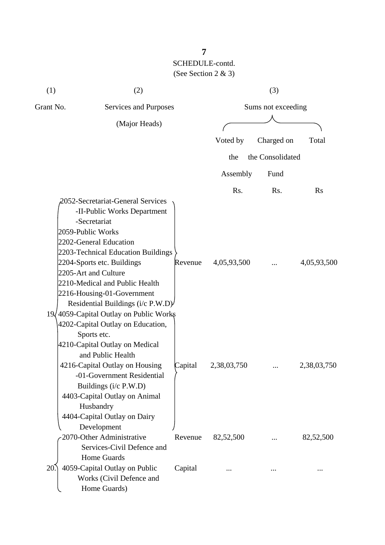| (1)       | (2)                                                                                                                                                                                                                                                                                                                                                                                                                            |         |             | (3)                |             |
|-----------|--------------------------------------------------------------------------------------------------------------------------------------------------------------------------------------------------------------------------------------------------------------------------------------------------------------------------------------------------------------------------------------------------------------------------------|---------|-------------|--------------------|-------------|
| Grant No. | Services and Purposes                                                                                                                                                                                                                                                                                                                                                                                                          |         |             | Sums not exceeding |             |
|           | (Major Heads)                                                                                                                                                                                                                                                                                                                                                                                                                  |         |             |                    |             |
|           |                                                                                                                                                                                                                                                                                                                                                                                                                                |         | Voted by    | Charged on         | Total       |
|           |                                                                                                                                                                                                                                                                                                                                                                                                                                |         | the         | the Consolidated   |             |
|           |                                                                                                                                                                                                                                                                                                                                                                                                                                |         | Assembly    | Fund               |             |
|           |                                                                                                                                                                                                                                                                                                                                                                                                                                |         | Rs.         | Rs.                | Rs          |
|           | 2052-Secretariat-General Services<br>-II-Public Works Department<br>-Secretariat<br>2059-Public Works<br>2202-General Education<br>2203-Technical Education Buildings<br>2204-Sports etc. Buildings<br>2205-Art and Culture<br>2210-Medical and Public Health<br>2216-Housing-01-Government<br>Residential Buildings (i/c P.W.D)<br>19/4059-Capital Outlay on Public Works<br>4202-Capital Outlay on Education,<br>Sports etc. | Revenue | 4,05,93,500 |                    | 4,05,93,500 |
|           | 4210-Capital Outlay on Medical<br>and Public Health<br>4216-Capital Outlay on Housing<br>-01-Government Residential<br>Buildings (i/c P.W.D)<br>4403-Capital Outlay on Animal<br>Husbandry<br>4404-Capital Outlay on Dairy                                                                                                                                                                                                     | Capital | 2,38,03,750 |                    | 2,38,03,750 |
|           | Development<br>2070-Other Administrative<br>Services-Civil Defence and<br><b>Home Guards</b>                                                                                                                                                                                                                                                                                                                                   | Revenue | 82,52,500   |                    | 82,52,500   |
| 20        | 4059-Capital Outlay on Public<br>Works (Civil Defence and<br>Home Guards)                                                                                                                                                                                                                                                                                                                                                      | Capital |             |                    |             |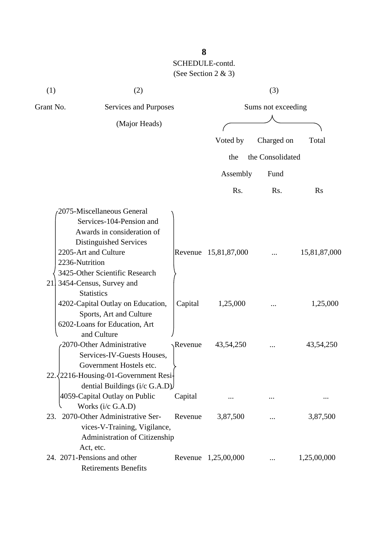| (1)                  | (2)                                                                                                                                                                                                                      |         |                      | (3)              |              |  |
|----------------------|--------------------------------------------------------------------------------------------------------------------------------------------------------------------------------------------------------------------------|---------|----------------------|------------------|--------------|--|
| Grant No.            | Services and Purposes                                                                                                                                                                                                    |         | Sums not exceeding   |                  |              |  |
|                      | (Major Heads)                                                                                                                                                                                                            |         |                      |                  |              |  |
|                      |                                                                                                                                                                                                                          |         | Voted by             | Charged on       | Total        |  |
|                      |                                                                                                                                                                                                                          |         | the                  | the Consolidated |              |  |
|                      |                                                                                                                                                                                                                          |         | Assembly             | Fund             |              |  |
|                      |                                                                                                                                                                                                                          |         | Rs.                  | Rs.              | <b>Rs</b>    |  |
| 2236-Nutrition<br>21 | 2075-Miscellaneous General<br>Services-104-Pension and<br>Awards in consideration of<br>Distinguished Services<br>2205-Art and Culture<br>3425-Other Scientific Research<br>3454-Census, Survey and<br><b>Statistics</b> |         | Revenue 15,81,87,000 |                  | 15,81,87,000 |  |
|                      | 4202-Capital Outlay on Education,<br>Sports, Art and Culture<br>6202-Loans for Education, Art<br>and Culture                                                                                                             | Capital | 1,25,000             | $\cdots$         | 1,25,000     |  |
| 22                   | 2070-Other Administrative<br>Services-IV-Guests Houses,<br>Government Hostels etc.<br>2216-Housing-01-Government Resi-<br>dential Buildings ( $i/c$ G.A.D)                                                               | Revenue | 43,54,250            |                  | 43,54,250    |  |
|                      | 4059-Capital Outlay on Public                                                                                                                                                                                            | Capital | $\cdots$             | $\cdots$         |              |  |
| 23.                  | Works (i/c G.A.D)<br>2070-Other Administrative Ser-<br>vices-V-Training, Vigilance,<br>Administration of Citizenship                                                                                                     | Revenue | 3,87,500             |                  | 3,87,500     |  |
|                      | Act, etc.<br>24. 2071-Pensions and other<br><b>Retirements Benefits</b>                                                                                                                                                  |         | Revenue 1,25,00,000  |                  | 1,25,00,000  |  |

**8**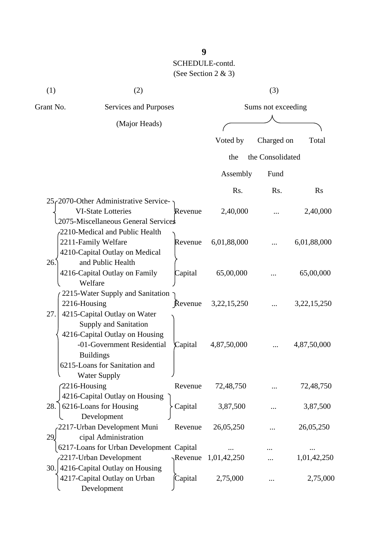| (2)                                      |                                                                                                                                                                                                                                                                                                                                                                                                                                                                                                                                               |                                                                                                                                                                                                                                               | (3)                                                                                             |                                                      |
|------------------------------------------|-----------------------------------------------------------------------------------------------------------------------------------------------------------------------------------------------------------------------------------------------------------------------------------------------------------------------------------------------------------------------------------------------------------------------------------------------------------------------------------------------------------------------------------------------|-----------------------------------------------------------------------------------------------------------------------------------------------------------------------------------------------------------------------------------------------|-------------------------------------------------------------------------------------------------|------------------------------------------------------|
|                                          |                                                                                                                                                                                                                                                                                                                                                                                                                                                                                                                                               |                                                                                                                                                                                                                                               |                                                                                                 |                                                      |
| (Major Heads)                            |                                                                                                                                                                                                                                                                                                                                                                                                                                                                                                                                               |                                                                                                                                                                                                                                               |                                                                                                 |                                                      |
|                                          |                                                                                                                                                                                                                                                                                                                                                                                                                                                                                                                                               |                                                                                                                                                                                                                                               |                                                                                                 | Total                                                |
|                                          |                                                                                                                                                                                                                                                                                                                                                                                                                                                                                                                                               |                                                                                                                                                                                                                                               |                                                                                                 |                                                      |
|                                          |                                                                                                                                                                                                                                                                                                                                                                                                                                                                                                                                               |                                                                                                                                                                                                                                               |                                                                                                 |                                                      |
|                                          |                                                                                                                                                                                                                                                                                                                                                                                                                                                                                                                                               | Assembly                                                                                                                                                                                                                                      | Fund                                                                                            |                                                      |
|                                          |                                                                                                                                                                                                                                                                                                                                                                                                                                                                                                                                               | Rs.                                                                                                                                                                                                                                           | Rs.                                                                                             | <b>Rs</b>                                            |
| $25f2070$ -Other Administrative Service- |                                                                                                                                                                                                                                                                                                                                                                                                                                                                                                                                               |                                                                                                                                                                                                                                               |                                                                                                 |                                                      |
| <b>VI-State Lotteries</b>                | Revenue                                                                                                                                                                                                                                                                                                                                                                                                                                                                                                                                       | 2,40,000                                                                                                                                                                                                                                      |                                                                                                 | 2,40,000                                             |
|                                          |                                                                                                                                                                                                                                                                                                                                                                                                                                                                                                                                               |                                                                                                                                                                                                                                               |                                                                                                 |                                                      |
| 2210-Medical and Public Health           |                                                                                                                                                                                                                                                                                                                                                                                                                                                                                                                                               |                                                                                                                                                                                                                                               |                                                                                                 |                                                      |
| 2211-Family Welfare                      | Revenue                                                                                                                                                                                                                                                                                                                                                                                                                                                                                                                                       | 6,01,88,000                                                                                                                                                                                                                                   |                                                                                                 | 6,01,88,000                                          |
|                                          |                                                                                                                                                                                                                                                                                                                                                                                                                                                                                                                                               |                                                                                                                                                                                                                                               |                                                                                                 |                                                      |
|                                          |                                                                                                                                                                                                                                                                                                                                                                                                                                                                                                                                               |                                                                                                                                                                                                                                               |                                                                                                 |                                                      |
| 4216-Capital Outlay on Family            |                                                                                                                                                                                                                                                                                                                                                                                                                                                                                                                                               | 65,00,000                                                                                                                                                                                                                                     |                                                                                                 | 65,00,000                                            |
|                                          |                                                                                                                                                                                                                                                                                                                                                                                                                                                                                                                                               |                                                                                                                                                                                                                                               |                                                                                                 |                                                      |
|                                          |                                                                                                                                                                                                                                                                                                                                                                                                                                                                                                                                               |                                                                                                                                                                                                                                               |                                                                                                 |                                                      |
|                                          |                                                                                                                                                                                                                                                                                                                                                                                                                                                                                                                                               | 3, 22, 15, 250                                                                                                                                                                                                                                |                                                                                                 | 3, 22, 15, 250                                       |
|                                          |                                                                                                                                                                                                                                                                                                                                                                                                                                                                                                                                               |                                                                                                                                                                                                                                               |                                                                                                 |                                                      |
|                                          |                                                                                                                                                                                                                                                                                                                                                                                                                                                                                                                                               |                                                                                                                                                                                                                                               |                                                                                                 |                                                      |
|                                          |                                                                                                                                                                                                                                                                                                                                                                                                                                                                                                                                               |                                                                                                                                                                                                                                               |                                                                                                 |                                                      |
|                                          |                                                                                                                                                                                                                                                                                                                                                                                                                                                                                                                                               |                                                                                                                                                                                                                                               |                                                                                                 | 4,87,50,000                                          |
|                                          |                                                                                                                                                                                                                                                                                                                                                                                                                                                                                                                                               |                                                                                                                                                                                                                                               |                                                                                                 |                                                      |
|                                          |                                                                                                                                                                                                                                                                                                                                                                                                                                                                                                                                               |                                                                                                                                                                                                                                               |                                                                                                 |                                                      |
|                                          |                                                                                                                                                                                                                                                                                                                                                                                                                                                                                                                                               |                                                                                                                                                                                                                                               |                                                                                                 |                                                      |
|                                          |                                                                                                                                                                                                                                                                                                                                                                                                                                                                                                                                               |                                                                                                                                                                                                                                               |                                                                                                 | 72,48,750                                            |
|                                          |                                                                                                                                                                                                                                                                                                                                                                                                                                                                                                                                               |                                                                                                                                                                                                                                               |                                                                                                 |                                                      |
|                                          |                                                                                                                                                                                                                                                                                                                                                                                                                                                                                                                                               |                                                                                                                                                                                                                                               |                                                                                                 | 3,87,500                                             |
|                                          |                                                                                                                                                                                                                                                                                                                                                                                                                                                                                                                                               |                                                                                                                                                                                                                                               |                                                                                                 | 26,05,250                                            |
|                                          |                                                                                                                                                                                                                                                                                                                                                                                                                                                                                                                                               |                                                                                                                                                                                                                                               |                                                                                                 |                                                      |
|                                          |                                                                                                                                                                                                                                                                                                                                                                                                                                                                                                                                               |                                                                                                                                                                                                                                               |                                                                                                 |                                                      |
|                                          |                                                                                                                                                                                                                                                                                                                                                                                                                                                                                                                                               |                                                                                                                                                                                                                                               |                                                                                                 | 1,01,42,250                                          |
|                                          |                                                                                                                                                                                                                                                                                                                                                                                                                                                                                                                                               |                                                                                                                                                                                                                                               |                                                                                                 |                                                      |
|                                          |                                                                                                                                                                                                                                                                                                                                                                                                                                                                                                                                               |                                                                                                                                                                                                                                               |                                                                                                 | 2,75,000                                             |
|                                          |                                                                                                                                                                                                                                                                                                                                                                                                                                                                                                                                               |                                                                                                                                                                                                                                               |                                                                                                 |                                                      |
|                                          | 4210-Capital Outlay on Medical<br>and Public Health<br>Welfare<br>2216-Housing<br>4215-Capital Outlay on Water<br>Supply and Sanitation<br>4216-Capital Outlay on Housing<br>-01-Government Residential<br><b>Buildings</b><br>6215-Loans for Sanitation and<br>Water Supply<br>$2216$ -Housing<br>4216-Capital Outlay on Housing<br>6216-Loans for Housing<br>Development<br>2217-Urban Development Muni<br>cipal Administration<br>-2217-Urban Development<br>4216-Capital Outlay on Housing<br>4217-Capital Outlay on Urban<br>Development | Services and Purposes<br>2075-Miscellaneous General Services<br>Capital<br>2215-Water Supply and Sanitation<br>Revenue<br>Capital<br>Revenue<br>Capital<br>Revenue<br>6217-Loans for Urban Development Capital<br>$\gamma$ Revenue<br>Capital | Voted by<br>the<br>4,87,50,000<br>72,48,750<br>3,87,500<br>26,05,250<br>1,01,42,250<br>2,75,000 | Sums not exceeding<br>Charged on<br>the Consolidated |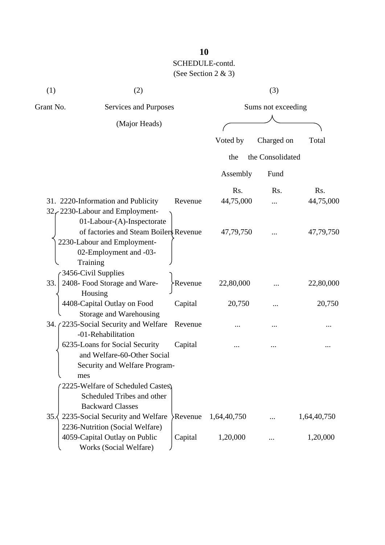| (1)       | (2)                                                                                                                                |           |             | (3)                |             |
|-----------|------------------------------------------------------------------------------------------------------------------------------------|-----------|-------------|--------------------|-------------|
| Grant No. | Services and Purposes                                                                                                              |           |             | Sums not exceeding |             |
|           | (Major Heads)                                                                                                                      |           |             |                    |             |
|           |                                                                                                                                    |           | Voted by    | Charged on         | Total       |
|           |                                                                                                                                    |           | the         | the Consolidated   |             |
|           |                                                                                                                                    |           | Assembly    | Fund               |             |
|           |                                                                                                                                    |           | Rs.         | Rs.                | Rs.         |
|           | 31. 2220-Information and Publicity<br>32, 2230-Labour and Employment-<br>01-Labour-(A)-Inspectorate                                | Revenue   | 44,75,000   |                    | 44,75,000   |
|           | of factories and Steam Boilers Revenue<br>2230-Labour and Employment-<br>02-Employment and -03-<br>Training<br>3456-Civil Supplies |           | 47,79,750   |                    | 47,79,750   |
| 33.       | 2408- Food Storage and Ware-<br>Housing                                                                                            | >Revenue  | 22,80,000   |                    | 22,80,000   |
|           | 4408-Capital Outlay on Food<br>Storage and Warehousing                                                                             | Capital   | 20,750      |                    | 20,750      |
|           | 34. (2235-Social Security and Welfare<br>-01-Rehabilitation                                                                        | Revenue   |             |                    |             |
| mes       | 6235-Loans for Social Security<br>and Welfare-60-Other Social<br>Security and Welfare Program-                                     | Capital   |             |                    |             |
|           | 2225-Welfare of Scheduled Castes)<br>Scheduled Tribes and other<br><b>Backward Classes</b>                                         |           |             |                    |             |
| 35.       | 2235-Social Security and Welfare<br>2236-Nutrition (Social Welfare)                                                                | Revenue > | 1,64,40,750 | $\cdots$           | 1,64,40,750 |
|           | 4059-Capital Outlay on Public<br>Works (Social Welfare)                                                                            | Capital   | 1,20,000    |                    | 1,20,000    |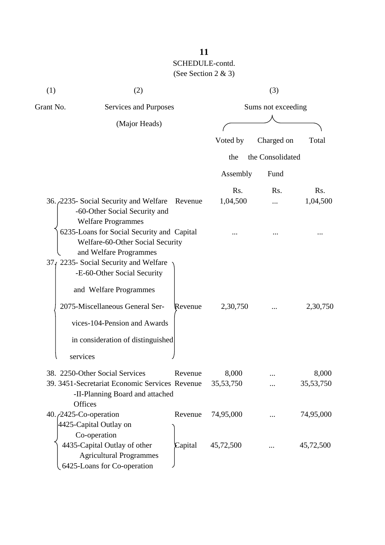| (1)                   | (2)                                                                                                                                               |         |                    | (3)                |                    |
|-----------------------|---------------------------------------------------------------------------------------------------------------------------------------------------|---------|--------------------|--------------------|--------------------|
| Grant No.             | Services and Purposes                                                                                                                             |         |                    | Sums not exceeding |                    |
|                       | (Major Heads)                                                                                                                                     |         |                    |                    |                    |
|                       |                                                                                                                                                   |         | Voted by           | Charged on         | Total              |
|                       |                                                                                                                                                   |         | the                | the Consolidated   |                    |
|                       |                                                                                                                                                   |         | Assembly           | Fund               |                    |
|                       |                                                                                                                                                   |         | Rs.                | Rs.                | Rs.                |
|                       | 36. 2235- Social Security and Welfare<br>-60-Other Social Security and<br><b>Welfare Programmes</b>                                               | Revenue | 1,04,500           |                    | 1,04,500           |
|                       | 6235-Loans for Social Security and Capital<br>Welfare-60-Other Social Security<br>and Welfare Programmes<br>374 2235- Social Security and Welfare |         |                    |                    |                    |
|                       | -E-60-Other Social Security<br>and Welfare Programmes                                                                                             |         |                    |                    |                    |
|                       | 2075-Miscellaneous General Ser-<br>vices-104-Pension and Awards<br>in consideration of distinguished                                              | Revenue | 2,30,750           |                    | 2,30,750           |
| services              |                                                                                                                                                   |         |                    |                    |                    |
| Offices               | 38. 2250-Other Social Services<br>39. 3451-Secretariat Economic Services Revenue<br>-II-Planning Board and attached                               | Revenue | 8,000<br>35,53,750 |                    | 8,000<br>35,53,750 |
| 40./2425-Co-operation | 4425-Capital Outlay on<br>Co-operation                                                                                                            | Revenue | 74,95,000          |                    | 74,95,000          |
|                       | 4435-Capital Outlay of other<br><b>Agricultural Programmes</b><br>6425-Loans for Co-operation                                                     | Capital | 45,72,500          |                    | 45,72,500          |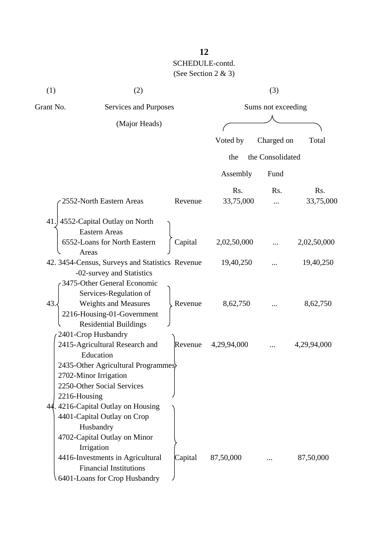| (1)          | (2)                                                                                                                                                                                                                                                                                                                            |         | (3)         |                    |             |  |  |
|--------------|--------------------------------------------------------------------------------------------------------------------------------------------------------------------------------------------------------------------------------------------------------------------------------------------------------------------------------|---------|-------------|--------------------|-------------|--|--|
| Grant No.    | Services and Purposes                                                                                                                                                                                                                                                                                                          |         |             | Sums not exceeding |             |  |  |
|              | (Major Heads)                                                                                                                                                                                                                                                                                                                  |         |             |                    |             |  |  |
|              |                                                                                                                                                                                                                                                                                                                                |         | Voted by    | Charged on         | Total       |  |  |
|              |                                                                                                                                                                                                                                                                                                                                |         | the         | the Consolidated   |             |  |  |
|              |                                                                                                                                                                                                                                                                                                                                |         |             |                    |             |  |  |
|              |                                                                                                                                                                                                                                                                                                                                |         | Assembly    | Fund               |             |  |  |
|              |                                                                                                                                                                                                                                                                                                                                |         | Rs.         | Rs.                | Rs.         |  |  |
|              | 2552-North Eastern Areas                                                                                                                                                                                                                                                                                                       | Revenue | 33,75,000   |                    | 33,75,000   |  |  |
| 41.          | 4552-Capital Outlay on North<br><b>Eastern Areas</b>                                                                                                                                                                                                                                                                           |         |             |                    |             |  |  |
|              | 6552-Loans for North Eastern                                                                                                                                                                                                                                                                                                   | Capital | 2,02,50,000 |                    | 2,02,50,000 |  |  |
|              | Areas<br>42. 3454-Census, Surveys and Statistics Revenue<br>-02-survey and Statistics<br>3475-Other General Economic                                                                                                                                                                                                           |         | 19,40,250   |                    | 19,40,250   |  |  |
| 43.          | Services-Regulation of<br><b>Weights and Measures</b><br>2216-Housing-01-Government<br><b>Residential Buildings</b>                                                                                                                                                                                                            | Revenue | 8,62,750    |                    | 8,62,750    |  |  |
|              | 2401-Crop Husbandry<br>2415-Agricultural Research and<br>Education                                                                                                                                                                                                                                                             | Revenue | 4,29,94,000 |                    | 4,29,94,000 |  |  |
| 2216-Housing | 2435-Other Agricultural Programmes<br>2702-Minor Irrigation<br>2250-Other Social Services<br>44.4216-Capital Outlay on Housing<br>4401-Capital Outlay on Crop<br>Husbandry<br>4702-Capital Outlay on Minor<br>Irrigation<br>4416-Investments in Agricultural<br><b>Financial Institutions</b><br>6401-Loans for Crop Husbandry | Capital | 87,50,000   |                    | 87,50,000   |  |  |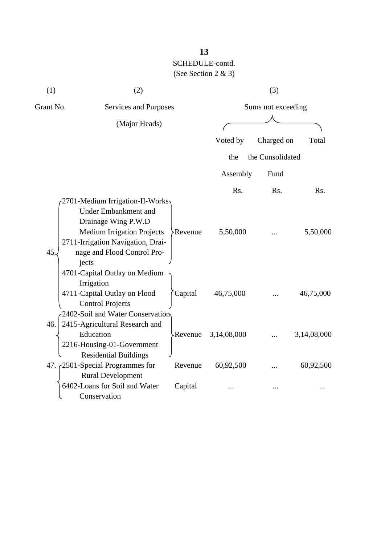| (1)<br>(2) |                                   |         | (3)         |                    |             |  |  |
|------------|-----------------------------------|---------|-------------|--------------------|-------------|--|--|
| Grant No.  | Services and Purposes             |         |             | Sums not exceeding |             |  |  |
|            | (Major Heads)                     |         |             |                    |             |  |  |
|            |                                   |         | Voted by    | Charged on         | Total       |  |  |
|            |                                   |         |             |                    |             |  |  |
|            |                                   |         | the         | the Consolidated   |             |  |  |
|            |                                   |         | Assembly    | Fund               |             |  |  |
|            |                                   |         | Rs.         | Rs.                | Rs.         |  |  |
|            | 2701-Medium Irrigation-II-Works   |         |             |                    |             |  |  |
|            | <b>Under Embankment and</b>       |         |             |                    |             |  |  |
|            | Drainage Wing P.W.D               |         |             |                    |             |  |  |
|            | <b>Medium Irrigation Projects</b> | Revenue | 5,50,000    |                    | 5,50,000    |  |  |
|            | 2711-Irrigation Navigation, Drai- |         |             |                    |             |  |  |
| 45.        | nage and Flood Control Pro-       |         |             |                    |             |  |  |
|            | jects                             |         |             |                    |             |  |  |
|            | 4701-Capital Outlay on Medium     |         |             |                    |             |  |  |
|            | Irrigation                        |         |             |                    |             |  |  |
|            | 4711-Capital Outlay on Flood      | Capital | 46,75,000   |                    | 46,75,000   |  |  |
|            | <b>Control Projects</b>           |         |             |                    |             |  |  |
|            | 2402-Soil and Water Conservation  |         |             |                    |             |  |  |
| 46.        | 2415-Agricultural Research and    |         |             |                    |             |  |  |
|            | Education                         | Revenue | 3,14,08,000 |                    | 3,14,08,000 |  |  |
|            | 2216-Housing-01-Government        |         |             |                    |             |  |  |
|            | <b>Residential Buildings</b>      |         |             |                    |             |  |  |
|            | 47. 2501-Special Programmes for   | Revenue | 60,92,500   |                    | 60,92,500   |  |  |
|            | <b>Rural Development</b>          |         |             |                    |             |  |  |
|            | 6402-Loans for Soil and Water     | Capital |             |                    |             |  |  |
|            | Conservation                      |         |             |                    |             |  |  |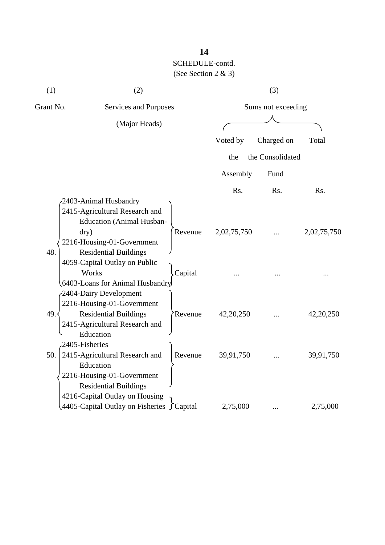| (1)       | (2)                                                                                                               |         | (3)<br>Sums not exceeding |                  |             |  |
|-----------|-------------------------------------------------------------------------------------------------------------------|---------|---------------------------|------------------|-------------|--|
| Grant No. | Services and Purposes                                                                                             |         |                           |                  |             |  |
|           | (Major Heads)                                                                                                     |         |                           |                  |             |  |
|           |                                                                                                                   |         | Voted by                  | Charged on       | Total       |  |
|           |                                                                                                                   |         | the                       | the Consolidated |             |  |
|           |                                                                                                                   |         | Assembly                  | Fund             |             |  |
|           |                                                                                                                   |         | Rs.                       | Rs.              | Rs.         |  |
|           | 2403-Animal Husbandry<br>2415-Agricultural Research and<br><b>Education (Animal Husban-</b>                       |         |                           |                  |             |  |
| 48.       | dry)<br>2216-Housing-01-Government<br><b>Residential Buildings</b>                                                | Revenue | 2,02,75,750               |                  | 2,02,75,750 |  |
|           | 4059-Capital Outlay on Public<br>Works<br>6403-Loans for Animal Husbandry<br>-2404-Dairy Development              | Capital |                           |                  |             |  |
| 49.       | 2216-Housing-01-Government<br><b>Residential Buildings</b><br>2415-Agricultural Research and<br>Education         | Revenue | 42,20,250                 |                  | 42, 20, 250 |  |
| 50.       | 2405-Fisheries<br>2415-Agricultural Research and<br>Education<br>2216-Housing-01-Government                       | Revenue | 39,91,750                 |                  | 39,91,750   |  |
|           | <b>Residential Buildings</b><br>4216-Capital Outlay on Housing<br>4405-Capital Outlay on Fisheries $\int$ Capital |         | 2,75,000                  |                  | 2,75,000    |  |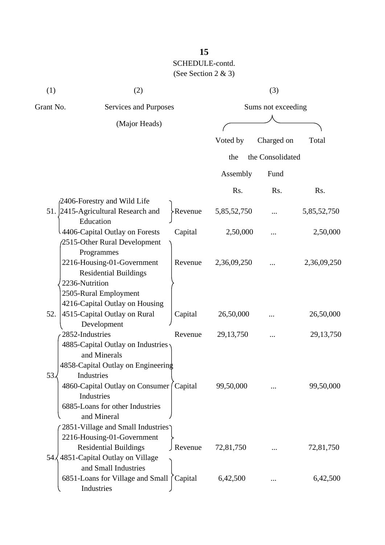| (1)            | (2)                                         | (3)                |             |                  |             |
|----------------|---------------------------------------------|--------------------|-------------|------------------|-------------|
| Grant No.      | Services and Purposes                       | Sums not exceeding |             |                  |             |
|                | (Major Heads)                               |                    |             |                  |             |
|                |                                             |                    | Voted by    | Charged on       | Total       |
|                |                                             |                    | the         | the Consolidated |             |
|                |                                             |                    | Assembly    | Fund             |             |
|                |                                             |                    | Rs.         | Rs.              | Rs.         |
|                | $\beta$ 2406-Forestry and Wild Life         |                    |             |                  |             |
| 51.            | 2415-Agricultural Research and<br>Education | >Revenue           | 5,85,52,750 |                  | 5,85,52,750 |
|                | 4406-Capital Outlay on Forests              | Capital            | 2,50,000    |                  | 2,50,000    |
|                | 2515-Other Rural Development<br>Programmes  |                    |             |                  |             |
|                | 2216-Housing-01-Government                  | Revenue            | 2,36,09,250 |                  | 2,36,09,250 |
|                | <b>Residential Buildings</b>                |                    |             |                  |             |
| 2236-Nutrition |                                             |                    |             |                  |             |
|                | 2505-Rural Employment                       |                    |             |                  |             |
|                | 4216-Capital Outlay on Housing              |                    |             |                  |             |
| 52.            | 4515-Capital Outlay on Rural                | Capital            | 26,50,000   |                  | 26,50,000   |
|                | Development                                 |                    |             |                  |             |
|                | 2852-Industries                             | Revenue            | 29, 13, 750 |                  | 29, 13, 750 |
|                | 4885-Capital Outlay on Industries           |                    |             |                  |             |
|                | and Minerals                                |                    |             |                  |             |
|                | 4858-Capital Outlay on Engineering          |                    |             |                  |             |
| 53.            | Industries                                  |                    |             |                  |             |
|                | 4860-Capital Outlay on Consumer (Capital    |                    | 99,50,000   |                  | 99,50,000   |
|                | Industries                                  |                    |             |                  |             |
|                | 6885-Loans for other Industries             |                    |             |                  |             |
|                | and Mineral                                 |                    |             |                  |             |
|                | 2851-Village and Small Industries           |                    |             |                  |             |
|                | 2216-Housing-01-Government                  |                    |             |                  |             |
|                | <b>Residential Buildings</b>                | J Revenue          | 72,81,750   |                  | 72,81,750   |
| $54\sqrt{ }$   | 4851-Capital Outlay on Village              |                    |             |                  |             |
|                | and Small Industries                        |                    |             |                  |             |
|                | 6851-Loans for Village and Small            | Capital            | 6,42,500    |                  | 6,42,500    |
|                | Industries                                  |                    |             |                  |             |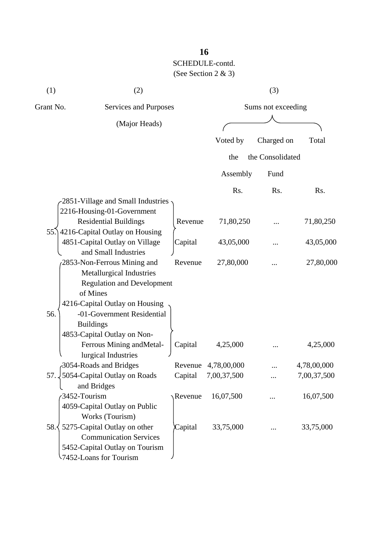| (1)       | (2)                                                           | (3)     |                    |                  |             |  |
|-----------|---------------------------------------------------------------|---------|--------------------|------------------|-------------|--|
| Grant No. | Services and Purposes                                         |         | Sums not exceeding |                  |             |  |
|           | (Major Heads)                                                 |         |                    |                  |             |  |
|           |                                                               |         | Voted by           | Charged on       | Total       |  |
|           |                                                               |         | the                | the Consolidated |             |  |
|           |                                                               |         | Assembly           | Fund             |             |  |
|           |                                                               |         | Rs.                | Rs.              | Rs.         |  |
|           | 2851-Village and Small Industries                             |         |                    |                  |             |  |
|           | 2216-Housing-01-Government                                    |         |                    |                  |             |  |
|           | <b>Residential Buildings</b>                                  | Revenue | 71,80,250          |                  | 71,80,250   |  |
|           | 55. 4216-Capital Outlay on Housing                            |         |                    |                  |             |  |
|           | 4851-Capital Outlay on Village                                | Capital | 43,05,000          | .                | 43,05,000   |  |
|           | and Small Industries                                          |         |                    |                  |             |  |
|           | 2853-Non-Ferrous Mining and                                   | Revenue | 27,80,000          |                  | 27,80,000   |  |
|           | Metallurgical Industries                                      |         |                    |                  |             |  |
|           | <b>Regulation and Development</b>                             |         |                    |                  |             |  |
|           | of Mines                                                      |         |                    |                  |             |  |
|           | 4216-Capital Outlay on Housing                                |         |                    |                  |             |  |
| 56.       | -01-Government Residential                                    |         |                    |                  |             |  |
|           | <b>Buildings</b>                                              |         |                    |                  |             |  |
|           | 4853-Capital Outlay on Non-                                   |         |                    |                  |             |  |
|           | Ferrous Mining and Metal-                                     | Capital | 4,25,000           |                  | 4,25,000    |  |
|           | lurgical Industries                                           |         |                    |                  |             |  |
|           | 3054-Roads and Bridges                                        | Revenue | 4,78,00,000        |                  | 4,78,00,000 |  |
| 57.       | 5054-Capital Outlay on Roads                                  | Capital | 7,00,37,500        |                  | 7,00,37,500 |  |
|           | and Bridges                                                   |         |                    |                  |             |  |
|           | 3452-Tourism                                                  | Revenue | 16,07,500          |                  | 16,07,500   |  |
|           | 4059-Capital Outlay on Public                                 |         |                    |                  |             |  |
| 58.       | Works (Tourism)                                               |         |                    |                  |             |  |
|           | 5275-Capital Outlay on other<br><b>Communication Services</b> | Capital | 33,75,000          |                  | 33,75,000   |  |
|           |                                                               |         |                    |                  |             |  |
|           | 5452-Capital Outlay on Tourism<br>-7452-Loans for Tourism     |         |                    |                  |             |  |
|           |                                                               |         |                    |                  |             |  |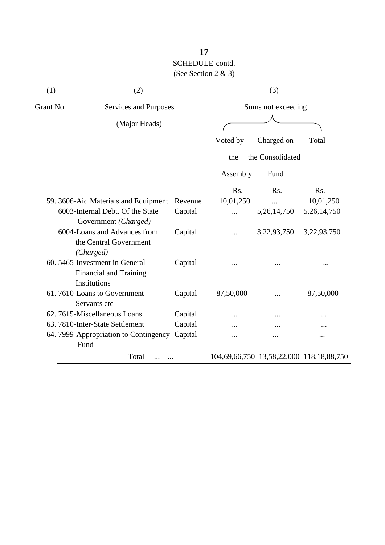| (1)<br>(2)                                                                      |         |           |                                                                             |                    |  |  |  |
|---------------------------------------------------------------------------------|---------|-----------|-----------------------------------------------------------------------------|--------------------|--|--|--|
| Grant No.<br>Services and Purposes                                              |         |           | (3)<br>Charged on<br>Fund<br>R <sub>s</sub> .<br>5,26,14,750<br>3,22,93,750 | Sums not exceeding |  |  |  |
| (Major Heads)                                                                   |         |           |                                                                             |                    |  |  |  |
|                                                                                 |         | Voted by  |                                                                             | Total              |  |  |  |
|                                                                                 |         | the       | the Consolidated                                                            |                    |  |  |  |
|                                                                                 |         | Assembly  |                                                                             |                    |  |  |  |
|                                                                                 |         | Rs.       |                                                                             | Rs.                |  |  |  |
| 59. 3606-Aid Materials and Equipment                                            | Revenue | 10,01,250 |                                                                             | 10,01,250          |  |  |  |
| 6003-Internal Debt. Of the State<br>Government (Charged)                        | Capital |           |                                                                             | 5, 26, 14, 750     |  |  |  |
| 6004-Loans and Advances from<br>the Central Government<br>(Charged)             | Capital |           |                                                                             | 3,22,93,750        |  |  |  |
| 60. 5465-Investment in General<br><b>Financial and Training</b><br>Institutions | Capital |           |                                                                             |                    |  |  |  |
| 61.7610-Loans to Government<br>Servants etc                                     | Capital | 87,50,000 |                                                                             | 87,50,000          |  |  |  |
| 62. 7615-Miscellaneous Loans                                                    | Capital |           |                                                                             |                    |  |  |  |
| 63. 7810-Inter-State Settlement                                                 | Capital |           |                                                                             |                    |  |  |  |
| 64. 7999-Appropriation to Contingency<br>Fund                                   | Capital |           |                                                                             |                    |  |  |  |
| Total                                                                           |         |           | 104,69,66,750 13,58,22,000 118,18,88,750                                    |                    |  |  |  |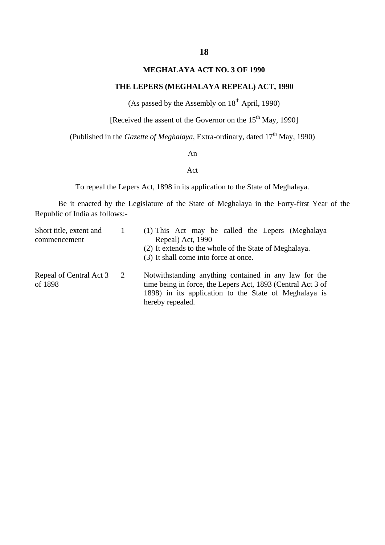### **MEGHALAYA ACT NO. 3 OF 1990**

#### **THE LEPERS (MEGHALAYA REPEAL) ACT, 1990**

(As passed by the Assembly on  $18<sup>th</sup>$  April, 1990)

[Received the assent of the Governor on the  $15<sup>th</sup>$  May, 1990]

(Published in the *Gazette of Meghalaya*, Extra-ordinary, dated 17<sup>th</sup> May, 1990)

An

#### Act

To repeal the Lepers Act, 1898 in its application to the State of Meghalaya.

Be it enacted by the Legislature of the State of Meghalaya in the Forty-first Year of the Republic of India as follows:-

| Short title, extent and<br>commencement |                | (1) This Act may be called the Lepers (Meghalaya<br>Repeal) Act, 1990<br>(2) It extends to the whole of the State of Meghalaya.<br>(3) It shall come into force at once.                          |
|-----------------------------------------|----------------|---------------------------------------------------------------------------------------------------------------------------------------------------------------------------------------------------|
| Repeal of Central Act 3<br>of 1898      | $\overline{2}$ | Notwithstanding anything contained in any law for the<br>time being in force, the Lepers Act, 1893 (Central Act 3 of<br>1898) in its application to the State of Meghalaya is<br>hereby repealed. |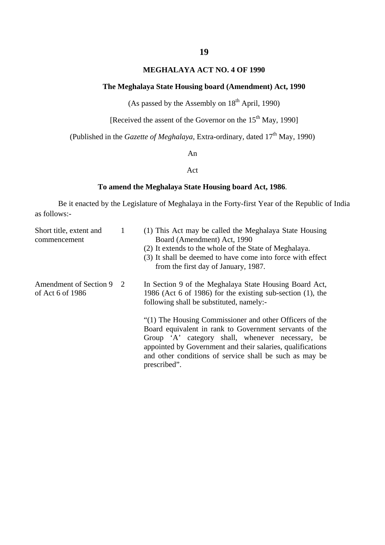#### **MEGHALAYA ACT NO. 4 OF 1990**

#### **The Meghalaya State Housing board (Amendment) Act, 1990**

(As passed by the Assembly on  $18<sup>th</sup>$  April, 1990)

[Received the assent of the Governor on the  $15<sup>th</sup>$  May, 1990]

(Published in the *Gazette of Meghalaya*, Extra-ordinary, dated 17<sup>th</sup> May, 1990)

An

#### Act

#### **To amend the Meghalaya State Housing board Act, 1986**.

Be it enacted by the Legislature of Meghalaya in the Forty-first Year of the Republic of India as follows:-

| Short title, extent and<br>commencement    | 1              | (1) This Act may be called the Meghalaya State Housing<br>Board (Amendment) Act, 1990<br>(2) It extends to the whole of the State of Meghalaya.<br>(3) It shall be deemed to have come into force with effect<br>from the first day of January, 1987.                                                          |
|--------------------------------------------|----------------|----------------------------------------------------------------------------------------------------------------------------------------------------------------------------------------------------------------------------------------------------------------------------------------------------------------|
| Amendment of Section 9<br>of Act 6 of 1986 | $\overline{2}$ | In Section 9 of the Meghalaya State Housing Board Act,<br>1986 (Act 6 of 1986) for the existing sub-section (1), the<br>following shall be substituted, namely:-                                                                                                                                               |
|                                            |                | "(1) The Housing Commissioner and other Officers of the<br>Board equivalent in rank to Government servants of the<br>Group 'A' category shall, whenever necessary, be<br>appointed by Government and their salaries, qualifications<br>and other conditions of service shall be such as may be<br>prescribed". |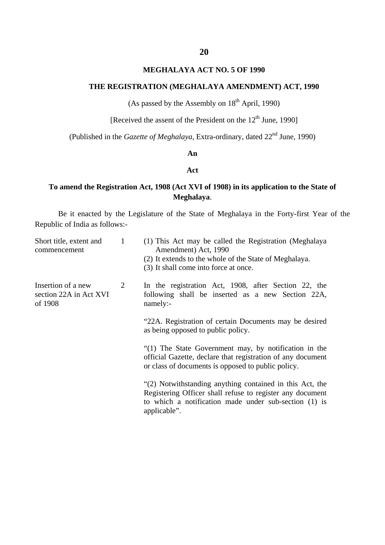#### **MEGHALAYA ACT NO. 5 OF 1990**

#### **THE REGISTRATION (MEGHALAYA AMENDMENT) ACT, 1990**

(As passed by the Assembly on  $18<sup>th</sup>$  April, 1990)

[Received the assent of the President on the  $12<sup>th</sup>$  June, 1990]

(Published in the *Gazette of Meghalaya*, Extra-ordinary, dated 22<sup>nd</sup> June, 1990)

#### **An**

#### **Act**

#### **To amend the Registration Act, 1908 (Act XVI of 1908) in its application to the State of Meghalaya**.

Be it enacted by the Legislature of the State of Meghalaya in the Forty-first Year of the Republic of India as follows:-

| 1 | (1) This Act may be called the Registration (Meghalaya<br>Amendment) Act, 1990<br>(2) It extends to the whole of the State of Meghalaya.<br>(3) It shall come into force at once.              |
|---|------------------------------------------------------------------------------------------------------------------------------------------------------------------------------------------------|
| 2 | In the registration Act, 1908, after Section 22, the<br>following shall be inserted as a new Section 22A,<br>namely:-                                                                          |
|   | "22A. Registration of certain Documents may be desired<br>as being opposed to public policy.                                                                                                   |
|   | "(1) The State Government may, by notification in the<br>official Gazette, declare that registration of any document<br>or class of documents is opposed to public policy.                     |
|   | "(2) Notwithstanding anything contained in this Act, the<br>Registering Officer shall refuse to register any document<br>to which a notification made under sub-section (1) is<br>applicable". |
|   |                                                                                                                                                                                                |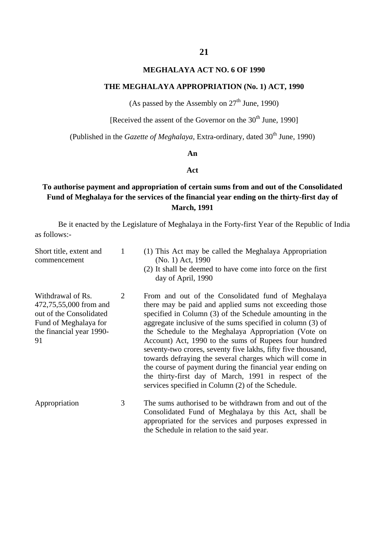#### **MEGHALAYA ACT NO. 6 OF 1990**

#### **THE MEGHALAYA APPROPRIATION (No. 1) ACT, 1990**

(As passed by the Assembly on  $27<sup>th</sup>$  June, 1990)

[Received the assent of the Governor on the  $30<sup>th</sup>$  June, 1990]

(Published in the *Gazette of Meghalaya*, Extra-ordinary, dated 30<sup>th</sup> June, 1990)

#### **An**

#### **Act**

#### **To authorise payment and appropriation of certain sums from and out of the Consolidated Fund of Meghalaya for the services of the financial year ending on the thirty-first day of March, 1991**

Be it enacted by the Legislature of Meghalaya in the Forty-first Year of the Republic of India as follows:-

| Short title, extent and<br>commencement                                                                                           | 1 | (1) This Act may be called the Meghalaya Appropriation<br>(No. 1) Act, 1990<br>(2) It shall be deemed to have come into force on the first<br>day of April, 1990                                                                                                                                                                                                                                                                                                                                                                                                                                                                                               |
|-----------------------------------------------------------------------------------------------------------------------------------|---|----------------------------------------------------------------------------------------------------------------------------------------------------------------------------------------------------------------------------------------------------------------------------------------------------------------------------------------------------------------------------------------------------------------------------------------------------------------------------------------------------------------------------------------------------------------------------------------------------------------------------------------------------------------|
| Withdrawal of Rs.<br>472,75,55,000 from and<br>out of the Consolidated<br>Fund of Meghalaya for<br>the financial year 1990-<br>91 | 2 | From and out of the Consolidated fund of Meghalaya<br>there may be paid and applied sums not exceeding those<br>specified in Column (3) of the Schedule amounting in the<br>aggregate inclusive of the sums specified in column (3) of<br>the Schedule to the Meghalaya Appropriation (Vote on<br>Account) Act, 1990 to the sums of Rupees four hundred<br>seventy-two crores, seventy five lakhs, fifty five thousand,<br>towards defraying the several charges which will come in<br>the course of payment during the financial year ending on<br>the thirty-first day of March, 1991 in respect of the<br>services specified in Column (2) of the Schedule. |
| Appropriation                                                                                                                     | 3 | The sums authorised to be withdrawn from and out of the<br>Consolidated Fund of Meghalaya by this Act, shall be<br>appropriated for the services and purposes expressed in<br>the Schedule in relation to the said year.                                                                                                                                                                                                                                                                                                                                                                                                                                       |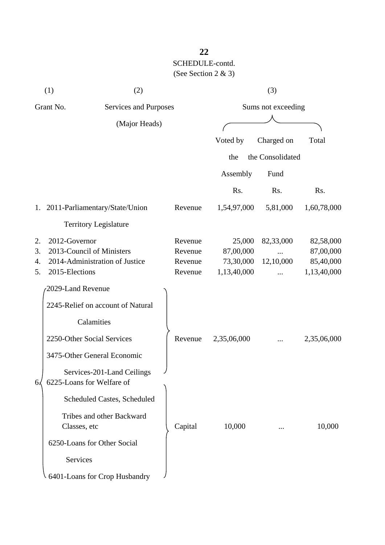| (1)                  |                                                                                                | (2)                                |  | (3)                                      |                                                 |                        |                                                    |
|----------------------|------------------------------------------------------------------------------------------------|------------------------------------|--|------------------------------------------|-------------------------------------------------|------------------------|----------------------------------------------------|
| Grant No.            |                                                                                                | Services and Purposes              |  |                                          | Sums not exceeding                              |                        |                                                    |
|                      |                                                                                                | (Major Heads)                      |  |                                          |                                                 |                        |                                                    |
|                      |                                                                                                |                                    |  |                                          | Voted by                                        | Charged on             | Total                                              |
|                      |                                                                                                |                                    |  |                                          | the                                             | the Consolidated       |                                                    |
|                      |                                                                                                |                                    |  |                                          | Assembly                                        | Fund                   |                                                    |
|                      |                                                                                                |                                    |  |                                          | Rs.                                             | Rs.                    | Rs.                                                |
|                      | 1. 2011-Parliamentary/State/Union                                                              |                                    |  | Revenue                                  | 1,54,97,000                                     | 5,81,000               | 1,60,78,000                                        |
|                      | <b>Territory Legislature</b>                                                                   |                                    |  |                                          |                                                 |                        |                                                    |
| 2.<br>3.<br>4.<br>5. | 2012-Governor<br>2013-Council of Ministers<br>2014-Administration of Justice<br>2015-Elections |                                    |  | Revenue<br>Revenue<br>Revenue<br>Revenue | 25,000<br>87,00,000<br>73,30,000<br>1,13,40,000 | 82,33,000<br>12,10,000 | 82,58,000<br>87,00,000<br>85,40,000<br>1,13,40,000 |
|                      | 2029-Land Revenue                                                                              |                                    |  |                                          |                                                 |                        |                                                    |
|                      | 2245-Relief on account of Natural                                                              |                                    |  |                                          |                                                 |                        |                                                    |
|                      | Calamities                                                                                     |                                    |  |                                          |                                                 |                        |                                                    |
|                      | 2250-Other Social Services                                                                     |                                    |  | Revenue                                  | 2,35,06,000                                     |                        | 2,35,06,000                                        |
|                      | 3475-Other General Economic                                                                    |                                    |  |                                          |                                                 |                        |                                                    |
| 6.                   | 6225-Loans for Welfare of                                                                      | Services-201-Land Ceilings         |  |                                          |                                                 |                        |                                                    |
|                      |                                                                                                | <b>Scheduled Castes, Scheduled</b> |  |                                          |                                                 |                        |                                                    |
|                      | Classes, etc                                                                                   | Tribes and other Backward          |  | Capital                                  | 10,000                                          |                        | 10,000                                             |
|                      | 6250-Loans for Other Social                                                                    |                                    |  |                                          |                                                 |                        |                                                    |
|                      | Services                                                                                       |                                    |  |                                          |                                                 |                        |                                                    |
|                      | 6401-Loans for Crop Husbandry                                                                  |                                    |  |                                          |                                                 |                        |                                                    |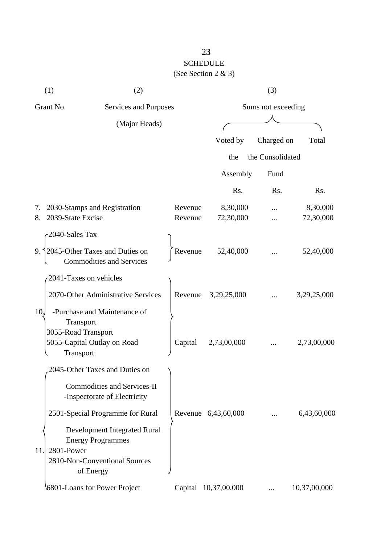|                                                     | (1)<br>(2)                                                                                                           |                    | (3)                   |                  |                       |  |
|-----------------------------------------------------|----------------------------------------------------------------------------------------------------------------------|--------------------|-----------------------|------------------|-----------------------|--|
| Grant No.<br>Services and Purposes<br>(Major Heads) |                                                                                                                      |                    | Sums not exceeding    |                  |                       |  |
|                                                     |                                                                                                                      |                    |                       |                  |                       |  |
|                                                     |                                                                                                                      |                    | Voted by              | Charged on       | Total                 |  |
|                                                     |                                                                                                                      |                    | the                   | the Consolidated |                       |  |
|                                                     |                                                                                                                      |                    | Assembly              | Fund             |                       |  |
|                                                     |                                                                                                                      |                    | Rs.                   | Rs.              | Rs.                   |  |
| 7.<br>8.                                            | 2030-Stamps and Registration<br>2039-State Excise                                                                    | Revenue<br>Revenue | 8,30,000<br>72,30,000 |                  | 8,30,000<br>72,30,000 |  |
|                                                     | 2040-Sales Tax                                                                                                       |                    |                       |                  |                       |  |
|                                                     | 9. $\frac{1}{2045}$ -Other Taxes and Duties on<br><b>Commodities and Services</b>                                    | Revenue            | 52,40,000             |                  | 52,40,000             |  |
|                                                     | 2041-Taxes on vehicles                                                                                               |                    |                       |                  |                       |  |
|                                                     | 2070-Other Administrative Services                                                                                   | Revenue            | 3,29,25,000           |                  | 3,29,25,000           |  |
| 10.                                                 | -Purchase and Maintenance of<br>Transport<br>3055-Road Transport<br>5055-Capital Outlay on Road<br>Transport         | Capital            | 2,73,00,000           |                  | 2,73,00,000           |  |
|                                                     | 2045-Other Taxes and Duties on                                                                                       |                    |                       |                  |                       |  |
|                                                     | <b>Commodities and Services-II</b><br>-Inspectorate of Electricity                                                   |                    |                       |                  |                       |  |
|                                                     | 2501-Special Programme for Rural                                                                                     |                    | Revenue 6,43,60,000   |                  | 6,43,60,000           |  |
| 11.                                                 | Development Integrated Rural<br><b>Energy Programmes</b><br>2801-Power<br>2810-Non-Conventional Sources<br>of Energy |                    |                       |                  |                       |  |
|                                                     | 6801-Loans for Power Project                                                                                         |                    | Capital 10,37,00,000  |                  | 10,37,00,000          |  |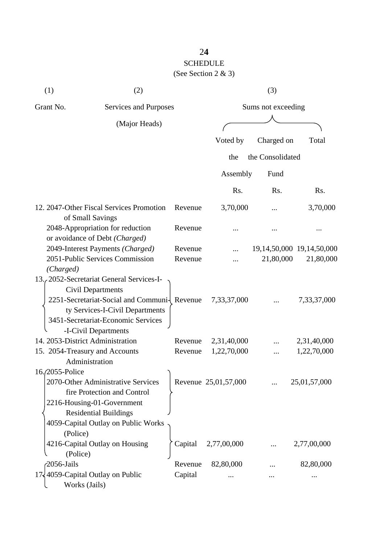| (1)                                | (2)                                                                                                                                                                                                                   |                    |                      | (3)              |                                              |  |
|------------------------------------|-----------------------------------------------------------------------------------------------------------------------------------------------------------------------------------------------------------------------|--------------------|----------------------|------------------|----------------------------------------------|--|
| Grant No.<br>Services and Purposes |                                                                                                                                                                                                                       |                    | Sums not exceeding   |                  |                                              |  |
|                                    | (Major Heads)                                                                                                                                                                                                         |                    |                      |                  |                                              |  |
|                                    |                                                                                                                                                                                                                       |                    | Voted by             | Charged on       | Total                                        |  |
|                                    |                                                                                                                                                                                                                       |                    |                      |                  |                                              |  |
|                                    |                                                                                                                                                                                                                       |                    | the                  | the Consolidated |                                              |  |
|                                    |                                                                                                                                                                                                                       |                    | Assembly             | Fund             |                                              |  |
|                                    |                                                                                                                                                                                                                       |                    | Rs.                  | Rs.              | Rs.                                          |  |
|                                    | 12. 2047-Other Fiscal Services Promotion<br>of Small Savings                                                                                                                                                          | Revenue            | 3,70,000             |                  | 3,70,000                                     |  |
|                                    | 2048-Appropriation for reduction                                                                                                                                                                                      | Revenue            |                      |                  |                                              |  |
|                                    | or avoidance of Debt (Charged)                                                                                                                                                                                        |                    |                      |                  |                                              |  |
|                                    | 2049-Interest Payments (Charged)<br>2051-Public Services Commission                                                                                                                                                   | Revenue<br>Revenue |                      | 21,80,000        | 19, 14, 50, 000 19, 14, 50, 000<br>21,80,000 |  |
| (Charged)                          |                                                                                                                                                                                                                       |                    |                      |                  |                                              |  |
|                                    | 13. 2052-Secretariat General Services-I-<br><b>Civil Departments</b><br>2251-Secretariat-Social and Communi- Revenue<br>ty Services-I-Civil Departments<br>3451-Secretariat-Economic Services<br>-I-Civil Departments |                    | 7,33,37,000          |                  | 7,33,37,000                                  |  |
|                                    | 14. 2053-District Administration                                                                                                                                                                                      | Revenue            | 2,31,40,000          |                  | 2,31,40,000                                  |  |
|                                    | 15. 2054-Treasury and Accounts                                                                                                                                                                                        | Revenue            | 1,22,70,000          |                  | 1,22,70,000                                  |  |
| 16./2055-Police                    | Administration                                                                                                                                                                                                        |                    |                      |                  |                                              |  |
|                                    | 2070-Other Administrative Services<br>fire Protection and Control<br>2216-Housing-01-Government<br><b>Residential Buildings</b>                                                                                       |                    | Revenue 25,01,57,000 |                  | 25,01,57,000                                 |  |
|                                    | 4059-Capital Outlay on Public Works                                                                                                                                                                                   |                    |                      |                  |                                              |  |
| (Police)                           |                                                                                                                                                                                                                       |                    |                      |                  |                                              |  |
|                                    | 4216-Capital Outlay on Housing                                                                                                                                                                                        | Capital            | 2,77,00,000          |                  | 2,77,00,000                                  |  |
| (Police)<br>2056-Jails             |                                                                                                                                                                                                                       | Revenue            | 82,80,000            |                  | 82,80,000                                    |  |
|                                    | 17, 4059-Capital Outlay on Public                                                                                                                                                                                     | Capital            |                      |                  |                                              |  |
| Works (Jails)                      |                                                                                                                                                                                                                       |                    |                      |                  |                                              |  |

2**4**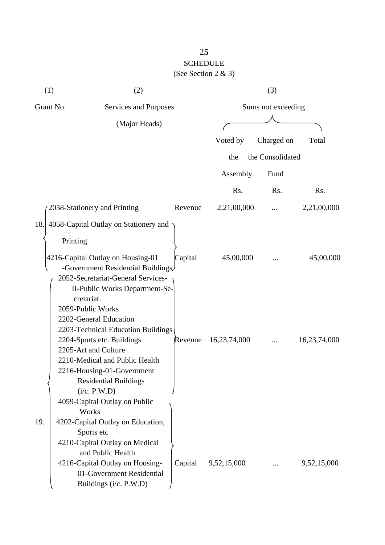| (1)                                | (2)                                                                                                                                                                                                                                                     |                    | (3)          |                  |              |
|------------------------------------|---------------------------------------------------------------------------------------------------------------------------------------------------------------------------------------------------------------------------------------------------------|--------------------|--------------|------------------|--------------|
| Grant No.<br>Services and Purposes |                                                                                                                                                                                                                                                         | Sums not exceeding |              |                  |              |
| (Major Heads)                      |                                                                                                                                                                                                                                                         |                    |              |                  |              |
|                                    |                                                                                                                                                                                                                                                         |                    |              |                  |              |
|                                    |                                                                                                                                                                                                                                                         |                    | Voted by     | Charged on       | Total        |
|                                    |                                                                                                                                                                                                                                                         |                    | the          | the Consolidated |              |
|                                    |                                                                                                                                                                                                                                                         |                    | Assembly     | Fund             |              |
|                                    |                                                                                                                                                                                                                                                         |                    | Rs.          | Rs.              | Rs.          |
|                                    | 2058-Stationery and Printing                                                                                                                                                                                                                            | Revenue            | 2,21,00,000  |                  | 2,21,00,000  |
| 18.                                | 4058-Capital Outlay on Stationery and<br>Printing<br>4216-Capital Outlay on Housing-01<br>-Government Residential Buildings.<br>2052-Secretariat-General Services-<br>II-Public Works Department-Se-<br>cretariat.                                      | Capital            | 45,00,000    |                  | 45,00,000    |
|                                    | 2059-Public Works<br>2202-General Education<br>2203-Technical Education Buildings<br>2204-Sports etc. Buildings<br>2205-Art and Culture<br>2210-Medical and Public Health<br>2216-Housing-01-Government<br><b>Residential Buildings</b><br>(i/c. P.W.D) | Revenue            | 16,23,74,000 |                  | 16,23,74,000 |
| 19.                                | 4059-Capital Outlay on Public<br>Works<br>4202-Capital Outlay on Education,<br>Sports etc<br>4210-Capital Outlay on Medical<br>and Public Health<br>4216-Capital Outlay on Housing-<br>01-Government Residential<br>Buildings (i/c. P.W.D)              | Capital            | 9,52,15,000  |                  | 9,52,15,000  |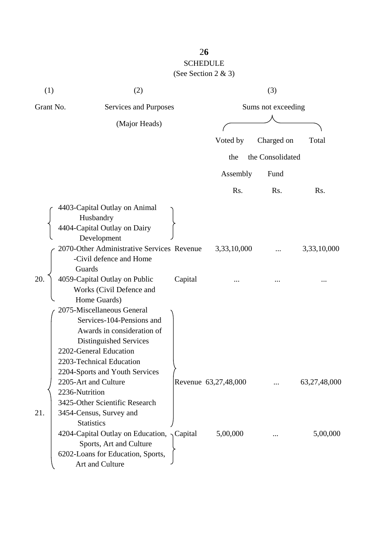| (1)       | (2)                                                                                                                                                                                                     |                      | (3)              |              |
|-----------|---------------------------------------------------------------------------------------------------------------------------------------------------------------------------------------------------------|----------------------|------------------|--------------|
| Grant No. | Services and Purposes                                                                                                                                                                                   | Sums not exceeding   |                  |              |
|           | (Major Heads)                                                                                                                                                                                           |                      |                  |              |
|           |                                                                                                                                                                                                         | Voted by             | Charged on       | Total        |
|           |                                                                                                                                                                                                         | the                  | the Consolidated |              |
|           |                                                                                                                                                                                                         | Assembly             | Fund             |              |
|           |                                                                                                                                                                                                         | Rs.                  | Rs.              | Rs.          |
|           | 4403-Capital Outlay on Animal<br>Husbandry<br>4404-Capital Outlay on Dairy<br>Development                                                                                                               |                      |                  |              |
|           | 2070-Other Administrative Services Revenue<br>-Civil defence and Home<br>Guards                                                                                                                         | 3,33,10,000          |                  | 3,33,10,000  |
| 20.       | 4059-Capital Outlay on Public<br>Capital<br>Works (Civil Defence and<br>Home Guards)                                                                                                                    |                      |                  | .            |
|           | 2075-Miscellaneous General<br>Services-104-Pensions and<br>Awards in consideration of<br>Distinguished Services<br>2202-General Education<br>2203-Technical Education<br>2204-Sports and Youth Services |                      |                  |              |
| 21.       | 2205-Art and Culture<br>2236-Nutrition<br>3425-Other Scientific Research<br>3454-Census, Survey and<br><b>Statistics</b>                                                                                | Revenue 63,27,48,000 |                  | 63,27,48,000 |
|           | 4204-Capital Outlay on Education, $\sqrt{\text{Capital}}$<br>Sports, Art and Culture<br>6202-Loans for Education, Sports,<br>Art and Culture                                                            | 5,00,000             |                  | 5,00,000     |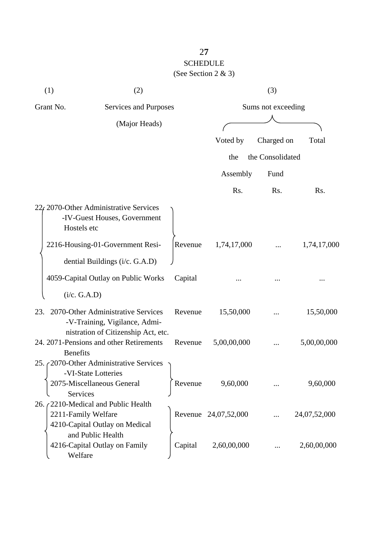| (1)                                | (2)                                                                                                        |                    | (3)                  |                  |              |
|------------------------------------|------------------------------------------------------------------------------------------------------------|--------------------|----------------------|------------------|--------------|
| Grant No.<br>Services and Purposes |                                                                                                            | Sums not exceeding |                      |                  |              |
|                                    | (Major Heads)                                                                                              |                    |                      |                  |              |
|                                    |                                                                                                            |                    | Voted by             | Charged on       | Total        |
|                                    |                                                                                                            |                    | the                  | the Consolidated |              |
|                                    |                                                                                                            |                    | Assembly             | Fund             |              |
|                                    |                                                                                                            |                    | Rs.                  | Rs.              | Rs.          |
| Hostels etc                        | $22f$ 2070-Other Administrative Services<br>-IV-Guest Houses, Government                                   |                    |                      |                  |              |
|                                    | 2216-Housing-01-Government Resi-                                                                           | Revenue            | 1,74,17,000          |                  | 1,74,17,000  |
|                                    | dential Buildings (i/c. G.A.D)                                                                             |                    |                      |                  |              |
|                                    | 4059-Capital Outlay on Public Works                                                                        | Capital            |                      |                  |              |
| (i/c. G.A.D)                       |                                                                                                            |                    |                      |                  |              |
| 23.                                | 2070-Other Administrative Services<br>-V-Training, Vigilance, Admi-<br>nistration of Citizenship Act, etc. | Revenue            | 15,50,000            |                  | 15,50,000    |
| <b>Benefits</b>                    | 24. 2071-Pensions and other Retirements                                                                    | Revenue            | 5,00,00,000          |                  | 5,00,00,000  |
| <b>Services</b>                    | 25. 2070-Other Administrative Services<br>-VI-State Lotteries<br>2075-Miscellaneous General                | Revenue            | 9,60,000             |                  | 9,60,000     |
| 2211-Family Welfare                | 26. (2210-Medical and Public Health<br>4210-Capital Outlay on Medical                                      |                    | Revenue 24,07,52,000 |                  | 24,07,52,000 |
| Welfare                            | and Public Health<br>4216-Capital Outlay on Family                                                         | Capital            | 2,60,00,000          |                  | 2,60,00,000  |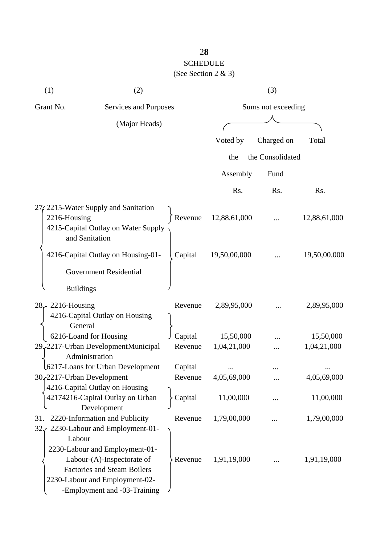| (1)                                | (2)                                                                                                                                                                  |                    |              | (3)              |              |
|------------------------------------|----------------------------------------------------------------------------------------------------------------------------------------------------------------------|--------------------|--------------|------------------|--------------|
| Grant No.<br>Services and Purposes |                                                                                                                                                                      | Sums not exceeding |              |                  |              |
| (Major Heads)                      |                                                                                                                                                                      |                    |              |                  |              |
|                                    |                                                                                                                                                                      |                    | Voted by     | Charged on       | Total        |
|                                    |                                                                                                                                                                      |                    |              |                  |              |
|                                    |                                                                                                                                                                      |                    | the          | the Consolidated |              |
|                                    |                                                                                                                                                                      |                    | Assembly     | Fund             |              |
|                                    |                                                                                                                                                                      |                    | Rs.          | Rs.              | Rs.          |
| 2216-Housing                       | 27, 2215-Water Supply and Sanitation<br>4215-Capital Outlay on Water Supply<br>and Sanitation                                                                        | Revenue            | 12,88,61,000 |                  | 12,88,61,000 |
|                                    | 4216-Capital Outlay on Housing-01-                                                                                                                                   | Capital            | 19,50,00,000 |                  | 19,50,00,000 |
|                                    | <b>Government Residential</b>                                                                                                                                        |                    |              |                  |              |
| <b>Buildings</b>                   |                                                                                                                                                                      |                    |              |                  |              |
| $28\div 2216$ -Housing<br>General  | 4216-Capital Outlay on Housing                                                                                                                                       | Revenue            | 2,89,95,000  |                  | 2,89,95,000  |
|                                    | 6216-Loand for Housing                                                                                                                                               | Capital            | 15,50,000    |                  | 15,50,000    |
|                                    | 29, 2217-Urban DevelopmentMunicipal<br>Administration                                                                                                                | Revenue            | 1,04,21,000  |                  | 1,04,21,000  |
|                                    | 6217-Loans for Urban Development                                                                                                                                     | Capital            |              |                  |              |
|                                    | 30, 2217-Urban Development                                                                                                                                           | Revenue            | 4,05,69,000  |                  | 4,05,69,000  |
|                                    | 4216-Capital Outlay on Housing<br>42174216-Capital Outlay on Urban<br>Development                                                                                    | Capital            | 11,00,000    |                  | 11,00,000    |
| 31.<br>32.7                        | 2220-Information and Publicity<br>2230-Labour and Employment-01-                                                                                                     | Revenue            | 1,79,00,000  |                  | 1,79,00,000  |
| Labour                             | 2230-Labour and Employment-01-<br>Labour-(A)-Inspectorate of<br><b>Factories and Steam Boilers</b><br>2230-Labour and Employment-02-<br>-Employment and -03-Training | Revenue            | 1,91,19,000  |                  | 1,91,19,000  |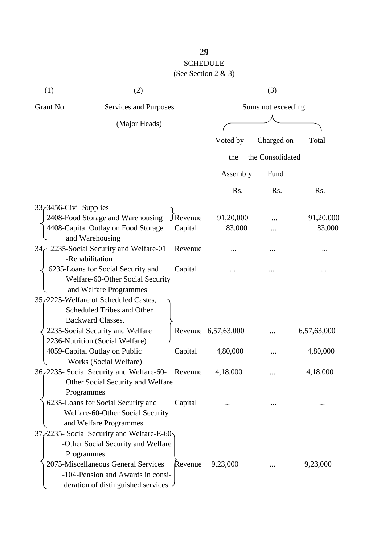| (1)                    | (2)                                        |           |                     | (3)              |             |
|------------------------|--------------------------------------------|-----------|---------------------|------------------|-------------|
| Grant No.              | Services and Purposes                      |           | Sums not exceeding  |                  |             |
| (Major Heads)          |                                            |           |                     |                  |             |
|                        |                                            |           |                     |                  |             |
|                        |                                            |           | Voted by            | Charged on       | Total       |
|                        |                                            |           | the                 | the Consolidated |             |
|                        |                                            |           | Assembly            | Fund             |             |
|                        |                                            |           | Rs.                 | Rs.              | Rs.         |
| 33-3456-Civil Supplies |                                            |           |                     |                  |             |
|                        | 2408-Food Storage and Warehousing          | J Revenue | 91,20,000           |                  | 91,20,000   |
|                        | 4408-Capital Outlay on Food Storage        | Capital   | 83,000              |                  | 83,000      |
|                        | and Warehousing                            |           |                     |                  |             |
|                        | 34 / 2235-Social Security and Welfare-01   | Revenue   |                     |                  |             |
|                        | -Rehabilitation                            |           |                     |                  |             |
|                        | 6235-Loans for Social Security and         | Capital   |                     |                  |             |
|                        | Welfare-60-Other Social Security           |           |                     |                  |             |
|                        | and Welfare Programmes                     |           |                     |                  |             |
|                        | 35, 2225-Welfare of Scheduled Castes,      |           |                     |                  |             |
|                        | Scheduled Tribes and Other                 |           |                     |                  |             |
|                        | <b>Backward Classes.</b>                   |           |                     |                  |             |
|                        | 2235-Social Security and Welfare           |           | Revenue 6,57,63,000 |                  | 6,57,63,000 |
|                        | 2236-Nutrition (Social Welfare)            |           |                     |                  |             |
|                        | 4059-Capital Outlay on Public              | Capital   | 4,80,000            |                  | 4,80,000    |
|                        | Works (Social Welfare)                     |           |                     |                  |             |
|                        | 36, 2235 - Social Security and Welfare-60- | Revenue   | 4,18,000            |                  | 4,18,000    |
|                        | Other Social Security and Welfare          |           |                     |                  |             |
|                        | Programmes                                 |           |                     |                  |             |
|                        | 6235-Loans for Social Security and         | Capital   |                     |                  |             |
|                        | Welfare-60-Other Social Security           |           |                     |                  |             |
|                        | and Welfare Programmes                     |           |                     |                  |             |
|                        | 37, 2235- Social Security and Welfare-E-60 |           |                     |                  |             |
|                        | -Other Social Security and Welfare         |           |                     |                  |             |
|                        | Programmes                                 |           |                     |                  |             |
|                        | 2075-Miscellaneous General Services        | Revenue   | 9,23,000            |                  | 9,23,000    |
|                        | -104-Pension and Awards in consi-          |           |                     |                  |             |
|                        | deration of distinguished services         |           |                     |                  |             |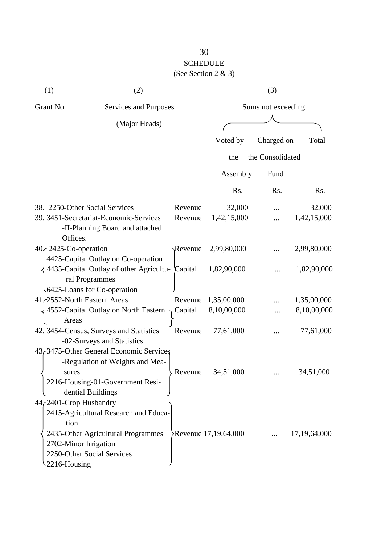| (1)                                                                             | (2)                                                                                                                                  |         |                      | (3)                |                 |
|---------------------------------------------------------------------------------|--------------------------------------------------------------------------------------------------------------------------------------|---------|----------------------|--------------------|-----------------|
| Grant No.                                                                       | Services and Purposes                                                                                                                |         |                      | Sums not exceeding |                 |
|                                                                                 | (Major Heads)                                                                                                                        |         |                      |                    |                 |
|                                                                                 |                                                                                                                                      |         | Voted by             | Charged on         | Total           |
|                                                                                 |                                                                                                                                      |         | the                  | the Consolidated   |                 |
|                                                                                 |                                                                                                                                      |         | Assembly             | Fund               |                 |
|                                                                                 |                                                                                                                                      |         | Rs.                  | Rs.                | Rs.             |
| 38. 2250-Other Social Services                                                  |                                                                                                                                      | Revenue | 32,000               |                    | 32,000          |
|                                                                                 | 39. 3451-Secretariat-Economic-Services<br>-II-Planning Board and attached                                                            | Revenue | 1,42,15,000          |                    | 1,42,15,000     |
| Offices.<br>40 c 2425-Co-operation                                              | 4425-Capital Outlay on Co-operation                                                                                                  | Revenue | 2,99,80,000          |                    | 2,99,80,000     |
|                                                                                 | 4435-Capital Outlay of other Agricultu- Capital<br>ral Programmes<br>6425-Loans for Co-operation                                     |         | 1,82,90,000          |                    | 1,82,90,000     |
| 41 2552-North Eastern Areas                                                     |                                                                                                                                      |         | Revenue 1,35,00,000  |                    | 1,35,00,000     |
| Areas                                                                           | 4552-Capital Outlay on North Eastern                                                                                                 | Capital | 8,10,00,000          |                    | 8,10,00,000     |
|                                                                                 | 42. 3454-Census, Surveys and Statistics<br>-02-Surveys and Statistics                                                                | Revenue | 77,61,000            |                    | 77,61,000       |
| sures                                                                           | 43, 3475-Other General Economic Services<br>-Regulation of Weights and Mea-<br>2216-Housing-01-Government Resi-<br>dential Buildings | Revenue | 34,51,000            |                    | 34,51,000       |
| 44 (2401-Crop Husbandry<br>tion<br>2702-Minor Irrigation<br>$\sim$ 2216-Housing | 2415-Agricultural Research and Educa-<br>2435-Other Agricultural Programmes<br>2250-Other Social Services                            |         | Revenue 17,19,64,000 |                    | 17, 19, 64, 000 |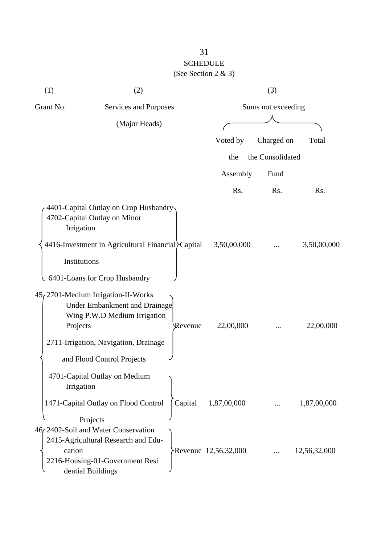| (1)          | (2)                                                                                                                                 |         |                      | (3)              |              |
|--------------|-------------------------------------------------------------------------------------------------------------------------------------|---------|----------------------|------------------|--------------|
| Grant No.    | Services and Purposes                                                                                                               |         | Sums not exceeding   |                  |              |
|              | (Major Heads)                                                                                                                       |         |                      |                  |              |
|              |                                                                                                                                     |         | Voted by             | Charged on       | Total        |
|              |                                                                                                                                     |         | the                  | the Consolidated |              |
|              |                                                                                                                                     |         | Assembly             | Fund             |              |
|              |                                                                                                                                     |         | Rs.                  | Rs.              | Rs.          |
| Irrigation   | 4401-Capital Outlay on Crop Husbandry-<br>4702-Capital Outlay on Minor                                                              |         |                      |                  |              |
|              | 4416-Investment in Agricultural Financial Capital                                                                                   |         | 3,50,00,000          |                  | 3,50,00,000  |
| Institutions |                                                                                                                                     |         |                      |                  |              |
|              | 6401-Loans for Crop Husbandry                                                                                                       |         |                      |                  |              |
| Projects     | $45/2701$ -Medium Irrigation-II-Works<br><b>Under Embankment and Drainage</b><br>Wing P.W.D Medium Irrigation                       | Revenue | 22,00,000            |                  | 22,00,000    |
|              | 2711-Irrigation, Navigation, Drainage                                                                                               |         |                      |                  |              |
|              | and Flood Control Projects                                                                                                          |         |                      |                  |              |
| Irrigation   | 4701-Capital Outlay on Medium                                                                                                       |         |                      |                  |              |
|              | 1471-Capital Outlay on Flood Control                                                                                                | Capital | 1,87,00,000          |                  | 1,87,00,000  |
|              | Projects                                                                                                                            |         |                      |                  |              |
| cation       | 46, 2402-Soil and Water Conservation<br>2415-Agricultural Research and Edu-<br>2216-Housing-01-Government Resi<br>dential Buildings |         | Revenue 12,56,32,000 |                  | 12,56,32,000 |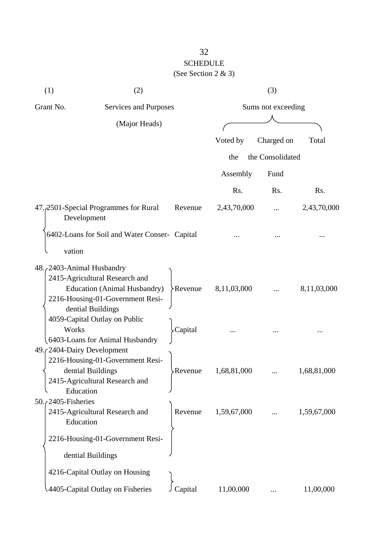| (1)                                      | (2)                                                                                                                            |          |                    | (3)              |             |
|------------------------------------------|--------------------------------------------------------------------------------------------------------------------------------|----------|--------------------|------------------|-------------|
| Grant No.<br>Services and Purposes       |                                                                                                                                |          | Sums not exceeding |                  |             |
|                                          | (Major Heads)                                                                                                                  |          |                    |                  |             |
|                                          |                                                                                                                                |          | Voted by           | Charged on       | Total       |
|                                          |                                                                                                                                |          | the                | the Consolidated |             |
|                                          |                                                                                                                                |          | Assembly           | Fund             |             |
|                                          |                                                                                                                                |          | Rs.                | Rs.              | Rs.         |
| Development                              | 47.2501-Special Programmes for Rural                                                                                           | Revenue  | 2,43,70,000        |                  | 2,43,70,000 |
|                                          | 6402-Loans for Soil and Water Conser- Capital                                                                                  |          |                    |                  |             |
| vation                                   |                                                                                                                                |          |                    |                  |             |
| 48. (2403-Animal Husbandry               | 2415-Agricultural Research and<br><b>Education (Animal Husbandry)</b><br>2216-Housing-01-Government Resi-<br>dential Buildings | >Revenue | 8,11,03,000        |                  | 8,11,03,000 |
| Works                                    | 4059-Capital Outlay on Public<br>6403-Loans for Animal Husbandry                                                               | Capital  |                    |                  |             |
| 49. (2404-Dairy Development<br>Education | 2216-Housing-01-Government Resi-<br>dential Buildings<br>2415-Agricultural Research and                                        | Revenue  | 1,68,81,000        |                  | 1,68,81,000 |
| 50./2405-Fisheries<br>Education          | 2415-Agricultural Research and                                                                                                 | Revenue  | 1,59,67,000        |                  | 1,59,67,000 |
|                                          | 2216-Housing-01-Government Resi-<br>dential Buildings                                                                          |          |                    |                  |             |
|                                          | 4216-Capital Outlay on Housing                                                                                                 |          |                    |                  |             |
|                                          | 4405-Capital Outlay on Fisheries                                                                                               | Capital  | 11,00,000          |                  | 11,00,000   |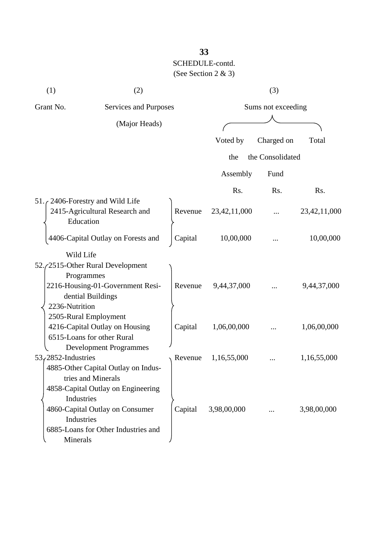| (1)                                     | (2)                                 |         |                    | (3)              |                 |
|-----------------------------------------|-------------------------------------|---------|--------------------|------------------|-----------------|
| Grant No.                               | Services and Purposes               |         | Sums not exceeding |                  |                 |
|                                         | (Major Heads)                       |         |                    |                  |                 |
|                                         |                                     |         | Voted by           | Charged on       | Total           |
|                                         |                                     |         | the                | the Consolidated |                 |
|                                         |                                     |         | Assembly           | Fund             |                 |
|                                         |                                     |         | Rs.                | Rs.              | Rs.             |
| 51. $\zeta$ 2406-Forestry and Wild Life |                                     |         |                    |                  |                 |
|                                         | 2415-Agricultural Research and      | Revenue | 23, 42, 11, 000    |                  | 23, 42, 11, 000 |
| Education                               |                                     |         |                    |                  |                 |
|                                         | 4406-Capital Outlay on Forests and  | Capital | 10,00,000          |                  | 10,00,000       |
| Wild Life                               |                                     |         |                    |                  |                 |
|                                         | 52./2515-Other Rural Development    |         |                    |                  |                 |
| Programmes                              |                                     |         |                    |                  |                 |
|                                         | 2216-Housing-01-Government Resi-    | Revenue | 9,44,37,000        |                  | 9,44,37,000     |
|                                         | dential Buildings                   |         |                    |                  |                 |
| 2236-Nutrition                          |                                     |         |                    |                  |                 |
| 2505-Rural Employment                   |                                     |         |                    |                  |                 |
|                                         | 4216-Capital Outlay on Housing      | Capital | 1,06,00,000        |                  | 1,06,00,000     |
|                                         | 6515-Loans for other Rural          |         |                    |                  |                 |
|                                         | <b>Development Programmes</b>       |         |                    |                  |                 |
| 53, 2852-Industries                     |                                     | Revenue | 1,16,55,000        |                  | 1,16,55,000     |
|                                         | 4885-Other Capital Outlay on Indus- |         |                    |                  |                 |
|                                         | tries and Minerals                  |         |                    |                  |                 |
|                                         | 4858-Capital Outlay on Engineering  |         |                    |                  |                 |
| Industries                              |                                     |         |                    |                  |                 |
|                                         | 4860-Capital Outlay on Consumer     | Capital | 3,98,00,000        |                  | 3,98,00,000     |
| Industries                              |                                     |         |                    |                  |                 |
|                                         | 6885-Loans for Other Industries and |         |                    |                  |                 |
| <b>Minerals</b>                         |                                     |         |                    |                  |                 |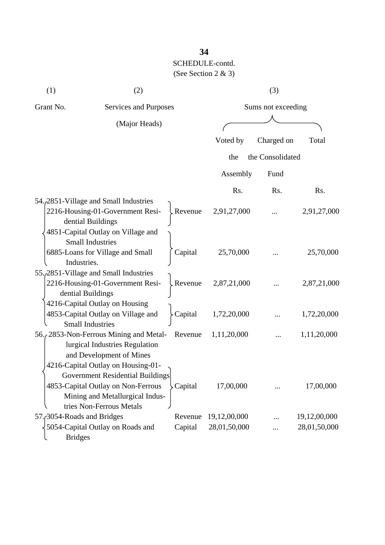# **34** SCHEDULE-contd. (See Section 2 & 3)

| (1)                                | (2)                                                                                                                                         |                    |              | (3)              |              |
|------------------------------------|---------------------------------------------------------------------------------------------------------------------------------------------|--------------------|--------------|------------------|--------------|
| Grant No.<br>Services and Purposes |                                                                                                                                             | Sums not exceeding |              |                  |              |
|                                    | (Major Heads)                                                                                                                               |                    |              |                  |              |
|                                    |                                                                                                                                             |                    | Voted by     | Charged on       | Total        |
|                                    |                                                                                                                                             |                    | the          | the Consolidated |              |
|                                    |                                                                                                                                             |                    | Assembly     | Fund             |              |
|                                    |                                                                                                                                             |                    | Rs.          | Rs.              | Rs.          |
|                                    | 54. 2851 - Village and Small Industries<br>2216-Housing-01-Government Resi-<br>dential Buildings<br>4851-Capital Outlay on Village and      | kevenue            | 2,91,27,000  |                  | 2,91,27,000  |
| Industries.                        | <b>Small Industries</b><br>6885-Loans for Village and Small                                                                                 | Capital            | 25,70,000    |                  | 25,70,000    |
| dential Buildings                  | 55. 2851 - Village and Small Industries<br>2216-Housing-01-Government Resi-                                                                 | Revenue.           | 2,87,21,000  |                  | 2,87,21,000  |
|                                    | 4216-Capital Outlay on Housing<br>4853-Capital Outlay on Village and<br><b>Small Industries</b>                                             | Capital            | 1,72,20,000  |                  | 1,72,20,000  |
|                                    | 56., 2853-Non-Ferrous Mining and Metal-<br>lurgical Industries Regulation<br>and Development of Mines<br>4216-Capital Outlay on Housing-01- | Revenue            | 1,11,20,000  |                  | 1,11,20,000  |
|                                    | Government Residential Buildings<br>4853-Capital Outlay on Non-Ferrous<br>Mining and Metallurgical Indus-<br>tries Non-Ferrous Metals       | Capital            | 17,00,000    |                  | 17,00,000    |
| 57. 3054-Roads and Bridges         |                                                                                                                                             | Revenue            | 19,12,00,000 |                  | 19,12,00,000 |
| <b>Bridges</b>                     | 5054-Capital Outlay on Roads and                                                                                                            | Capital            | 28,01,50,000 |                  | 28,01,50,000 |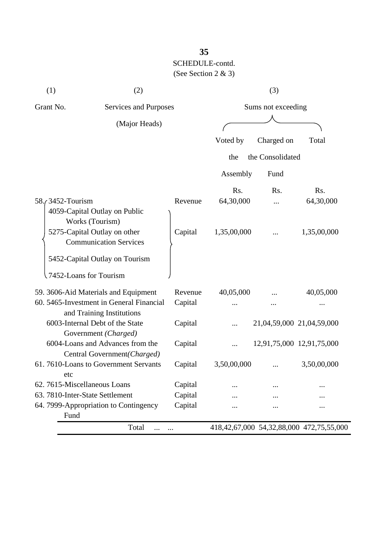# **35** SCHEDULE-contd. (See Section 2 & 3)

| (1)                                | (2)                                                                   |          |             | (3)                |                                                   |
|------------------------------------|-----------------------------------------------------------------------|----------|-------------|--------------------|---------------------------------------------------|
| Grant No.<br>Services and Purposes |                                                                       |          |             | Sums not exceeding |                                                   |
|                                    | (Major Heads)                                                         |          |             |                    |                                                   |
|                                    |                                                                       |          | Voted by    | Charged on         | Total                                             |
|                                    |                                                                       |          | the         | the Consolidated   |                                                   |
|                                    |                                                                       |          | Assembly    | Fund               |                                                   |
|                                    |                                                                       |          | Rs.         | Rs.                | Rs.                                               |
| 58. 3452 - Tourism                 |                                                                       | Revenue  | 64,30,000   |                    | 64,30,000                                         |
|                                    | 4059-Capital Outlay on Public<br>Works (Tourism)                      |          |             |                    |                                                   |
|                                    | 5275-Capital Outlay on other<br><b>Communication Services</b>         | Capital  | 1,35,00,000 |                    | 1,35,00,000                                       |
|                                    | 5452-Capital Outlay on Tourism                                        |          |             |                    |                                                   |
|                                    | 7452-Loans for Tourism                                                |          |             |                    |                                                   |
|                                    | 59. 3606-Aid Materials and Equipment                                  | Revenue  | 40,05,000   |                    | 40,05,000                                         |
|                                    | 60. 5465-Investment in General Financial<br>and Training Institutions | Capital  |             |                    |                                                   |
|                                    | 6003-Internal Debt of the State<br>Government (Charged)               | Capital  |             |                    | 21,04,59,000 21,04,59,000                         |
|                                    | 6004-Loans and Advances from the<br>Central Government (Charged)      | Capital  | $\cdots$    |                    | 12,91,75,000 12,91,75,000                         |
| etc                                | 61.7610-Loans to Government Servants                                  | Capital  | 3,50,00,000 |                    | 3,50,00,000                                       |
| 62. 7615-Miscellaneous Loans       |                                                                       | Capital  |             |                    |                                                   |
| 63. 7810-Inter-State Settlement    |                                                                       | Capital  |             |                    |                                                   |
| Fund                               | 64. 7999-Appropriation to Contingency                                 | Capital  |             |                    |                                                   |
|                                    | Total<br>$\cdots$                                                     | $\cdots$ |             |                    | 418, 42, 67, 000 54, 32, 88, 000 472, 75, 55, 000 |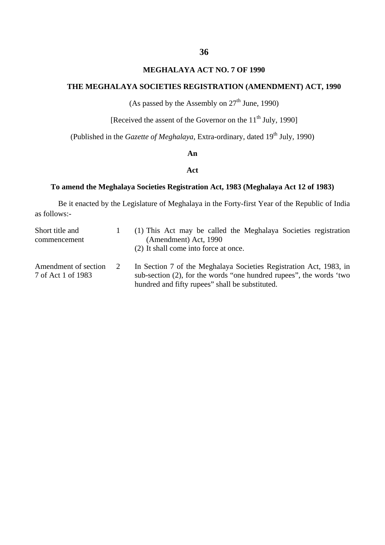## **MEGHALAYA ACT NO. 7 OF 1990**

# **THE MEGHALAYA SOCIETIES REGISTRATION (AMENDMENT) ACT, 1990**

(As passed by the Assembly on  $27<sup>th</sup>$  June, 1990)

[Received the assent of the Governor on the  $11<sup>th</sup>$  July, 1990]

(Published in the *Gazette of Meghalaya*, Extra-ordinary, dated 19<sup>th</sup> July, 1990)

#### **An**

## **Act**

#### **To amend the Meghalaya Societies Registration Act, 1983 (Meghalaya Act 12 of 1983)**

Be it enacted by the Legislature of Meghalaya in the Forty-first Year of the Republic of India as follows:-

| Short title and                            |   | (1) This Act may be called the Meghalaya Societies registration                                                                                                                              |
|--------------------------------------------|---|----------------------------------------------------------------------------------------------------------------------------------------------------------------------------------------------|
| commencement                               |   | (Amendment) Act, 1990                                                                                                                                                                        |
|                                            |   | (2) It shall come into force at once.                                                                                                                                                        |
| Amendment of section<br>7 of Act 1 of 1983 | 2 | In Section 7 of the Meghalaya Societies Registration Act, 1983, in<br>sub-section (2), for the words "one hundred rupees", the words 'two<br>hundred and fifty rupees" shall be substituted. |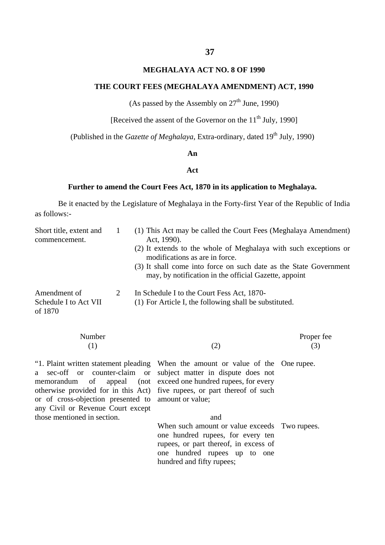## **MEGHALAYA ACT NO. 8 OF 1990**

# **THE COURT FEES (MEGHALAYA AMENDMENT) ACT, 1990**

(As passed by the Assembly on  $27<sup>th</sup>$  June, 1990)

[Received the assent of the Governor on the  $11<sup>th</sup>$  July, 1990]

(Published in the *Gazette of Meghalaya*, Extra-ordinary, dated 19<sup>th</sup> July, 1990)

#### **An**

## **Act**

#### **Further to amend the Court Fees Act, 1870 in its application to Meghalaya.**

Be it enacted by the Legislature of Meghalaya in the Forty-first Year of the Republic of India as follows:-

| Short title, extent and<br>commencement.         | (1) This Act may be called the Court Fees (Meghalaya Amendment)<br>Act, 1990).                                                                                                                                                   |
|--------------------------------------------------|----------------------------------------------------------------------------------------------------------------------------------------------------------------------------------------------------------------------------------|
|                                                  | (2) It extends to the whole of Meghalaya with such exceptions or<br>modifications as are in force.<br>(3) It shall come into force on such date as the State Government<br>may, by notification in the official Gazette, appoint |
| Amendment of<br>Schedule I to Act VII<br>of 1870 | In Schedule I to the Court Fess Act, 1870-<br>(1) For Article I, the following shall be substituted.                                                                                                                             |

| Number<br>(1)                                                                            | (2)                                                                                                                                                                                                                                                                                                | Proper fee<br>(3) |
|------------------------------------------------------------------------------------------|----------------------------------------------------------------------------------------------------------------------------------------------------------------------------------------------------------------------------------------------------------------------------------------------------|-------------------|
| or of cross-objection presented to amount or value;<br>any Civil or Revenue Court except | "1. Plaint written statement pleading When the amount or value of the One rupee.<br>a sec-off or counter-claim or subject matter in dispute does not<br>memorandum of appeal (not exceed one hundred rupees, for every<br>otherwise provided for in this Act) five rupees, or part thereof of such |                   |
| those mentioned in section.                                                              | and                                                                                                                                                                                                                                                                                                |                   |
|                                                                                          | When such amount or value exceeds Two rupees.<br>one hundred rupees, for every ten<br>rupees, or part thereof, in excess of<br>one hundred rupees up to one<br>hundred and fifty rupees;                                                                                                           |                   |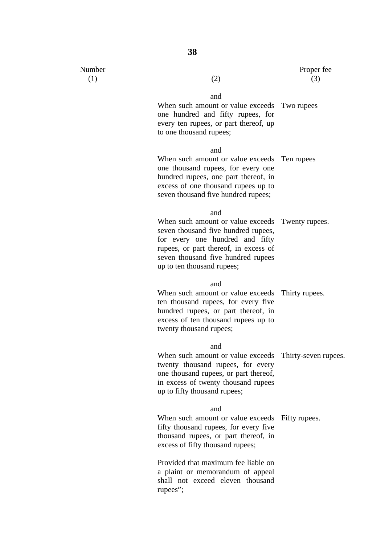| and                                                                                                                                                                                                                                     |                      |
|-----------------------------------------------------------------------------------------------------------------------------------------------------------------------------------------------------------------------------------------|----------------------|
| When such amount or value exceeds Two rupees<br>one hundred and fifty rupees, for<br>every ten rupees, or part thereof, up<br>to one thousand rupees;                                                                                   |                      |
| and                                                                                                                                                                                                                                     |                      |
| When such amount or value exceeds Ten rupees<br>one thousand rupees, for every one<br>hundred rupees, one part thereof, in<br>excess of one thousand rupees up to<br>seven thousand five hundred rupees;                                |                      |
| and                                                                                                                                                                                                                                     |                      |
| When such amount or value exceeds Twenty rupees.<br>seven thousand five hundred rupees,<br>for every one hundred and fifty<br>rupees, or part thereof, in excess of<br>seven thousand five hundred rupees<br>up to ten thousand rupees; |                      |
| and                                                                                                                                                                                                                                     |                      |
| When such amount or value exceeds Thirty rupees.<br>ten thousand rupees, for every five<br>hundred rupees, or part thereof, in<br>excess of ten thousand rupees up to<br>twenty thousand rupees;                                        |                      |
| and                                                                                                                                                                                                                                     |                      |
| When such amount or value exceeds<br>twenty thousand rupees, for every<br>one thousand rupees, or part thereof,<br>in excess of twenty thousand rupees<br>up to fifty thousand rupees;                                                  | Thirty-seven rupees. |
| and                                                                                                                                                                                                                                     |                      |
| When such amount or value exceeds Fifty rupees.<br>fifty thousand rupees, for every five<br>thousand rupees, or part thereof, in<br>excess of fifty thousand rupees;                                                                    |                      |
| Provided that maximum fee liable on<br>a plaint or memorandum of appeal<br>shall not exceed eleven thousand                                                                                                                             |                      |

rupees";

Number  $(1)$ 

(1)  $(2)$ 

Proper fee

(3)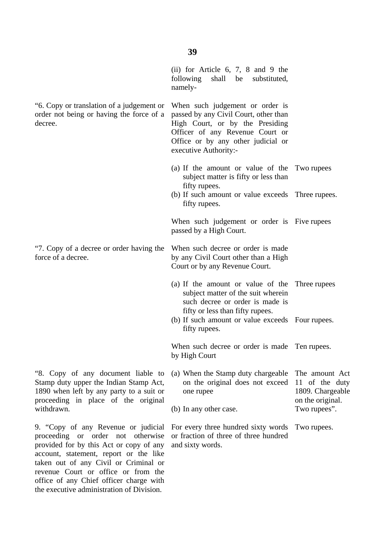(ii) for Article 6, 7, 8 and 9 the following shall be substituted, namely-

When such judgement or order is passed by any Civil Court, other than High Court, or by the Presiding Officer of any Revenue Court or Office or by any other judicial or executive Authority:-

- (a) If the amount or value of the Two rupees subject matter is fifty or less than fifty rupees.
- (b) If such amount or value exceeds Three rupees. fifty rupees.

When such judgement or order is Five rupees passed by a High Court.

When such decree or order is made by any Civil Court other than a High Court or by any Revenue Court.

- (a) If the amount or value of the Three rupees subject matter of the suit wherein such decree or order is made is fifty or less than fifty rupees.
- (b) If such amount or value exceeds Four rupees. fifty rupees.

When such decree or order is made Ten rupees. by High Court

(a) When the Stamp duty chargeable on the original does not exceed 11 of the duty one rupee (b) In any other case. The amount Act 1809. Chargeable on the original. Two rupees".

For every three hundred sixty words Two rupees. or fraction of three of three hundred and sixty words.

"6. Copy or translation of a judgement or order not being or having the force of a decree.

"7. Copy of a decree or order having the force of a decree.

"8. Copy of any document liable to Stamp duty upper the Indian Stamp Act, 1890 when left by any party to a suit or proceeding in place of the original withdrawn.

9. "Copy of any Revenue or judicial proceeding or order not otherwise provided for by this Act or copy of any account, statement, report or the like taken out of any Civil or Criminal or revenue Court or office or from the office of any Chief officer charge with the executive administration of Division.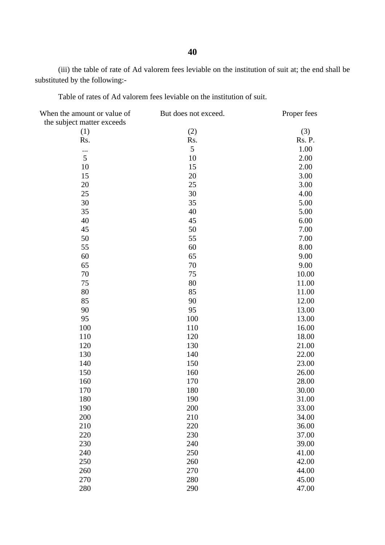(iii) the table of rate of Ad valorem fees leviable on the institution of suit at; the end shall be substituted by the following:-

Table of rates of Ad valorem fees leviable on the institution of suit.

| When the amount or value of | But does not exceed. | Proper fees |
|-----------------------------|----------------------|-------------|
| the subject matter exceeds  |                      |             |
| (1)                         | (2)                  | (3)         |
| Rs.                         | Rs.                  | Rs. P.      |
| $\cdots$                    | 5                    | 1.00        |
| 5                           | 10                   | 2.00        |
| 10                          | 15                   | 2.00        |
| 15                          | 20                   | 3.00        |
| 20                          | 25                   | 3.00        |
| 25                          | 30                   | 4.00        |
| 30                          | 35                   | 5.00        |
| 35                          | 40                   | 5.00        |
| 40                          | 45                   | 6.00        |
| 45                          | 50                   | 7.00        |
| 50                          | 55                   | 7.00        |
| 55                          | 60                   | 8.00        |
| 60                          | 65                   | 9.00        |
| 65                          | 70                   | 9.00        |
| 70                          | 75                   | 10.00       |
| 75                          | 80                   | 11.00       |
| 80                          | 85                   | 11.00       |
| 85                          | 90                   | 12.00       |
| 90                          | 95                   | 13.00       |
| 95                          | 100                  | 13.00       |
| 100                         | 110                  | 16.00       |
| 110                         | 120                  | 18.00       |
| 120                         | 130                  | 21.00       |
| 130                         | 140                  | 22.00       |
| 140                         | 150                  | 23.00       |
| 150                         | 160                  | 26.00       |
| 160                         | 170                  | 28.00       |
| 170                         | 180                  | 30.00       |
| 180                         | 190                  | 31.00       |
| 190                         | 200                  | 33.00       |
| 200                         | 210                  | 34.00       |
| 210                         | 220                  | 36.00       |
| 220                         | 230                  | 37.00       |
| 230                         | 240                  | 39.00       |
| 240                         | 250                  | 41.00       |
| 250                         | 260                  | 42.00       |
| 260                         | 270                  | 44.00       |
| 270                         | 280                  | 45.00       |
| 280                         | 290                  | 47.00       |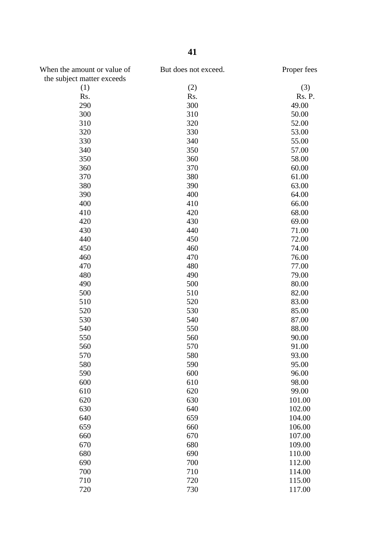| When the amount or value of<br>the subject matter exceeds | But does not exceed. | Proper fees |
|-----------------------------------------------------------|----------------------|-------------|
| (1)                                                       | (2)                  | (3)         |
| Rs.                                                       | Rs.                  | Rs. P.      |
| 290                                                       | 300                  | 49.00       |
| 300                                                       | 310                  | 50.00       |
| 310                                                       | 320                  | 52.00       |
| 320                                                       | 330                  | 53.00       |
| 330                                                       | 340                  | 55.00       |
| 340                                                       | 350                  | 57.00       |
| 350                                                       | 360                  | 58.00       |
| 360                                                       | 370                  | 60.00       |
| 370                                                       | 380                  | 61.00       |
| 380                                                       | 390                  | 63.00       |
| 390                                                       | 400                  | 64.00       |
| 400                                                       | 410                  | 66.00       |
| 410                                                       | 420                  | 68.00       |
| 420                                                       | 430                  | 69.00       |
| 430                                                       | 440                  | 71.00       |
| 440                                                       | 450                  | 72.00       |
| 450                                                       | 460                  | 74.00       |
| 460                                                       | 470                  | 76.00       |
| 470                                                       | 480                  | 77.00       |
| 480                                                       | 490                  | 79.00       |
| 490                                                       | 500                  | 80.00       |
| 500                                                       | 510                  | 82.00       |
| 510                                                       | 520                  | 83.00       |
| 520                                                       | 530                  | 85.00       |
| 530                                                       | 540                  | 87.00       |
| 540                                                       | 550                  | 88.00       |
| 550                                                       | 560                  | 90.00       |
| 560                                                       | 570                  | 91.00       |
| 570                                                       | 580                  | 93.00       |
| 580                                                       | 590                  | 95.00       |
| 590                                                       | 600                  | 96.00       |
| 600                                                       | 610                  | 98.00       |
| 610                                                       | 620                  | 99.00       |
| 620                                                       | 630                  | 101.00      |
| 630                                                       | 640                  | 102.00      |
| 640                                                       | 659                  | 104.00      |
| 659                                                       | 660                  | 106.00      |
| 660                                                       | 670                  | 107.00      |
| 670                                                       | 680                  | 109.00      |
| 680                                                       | 690                  | 110.00      |
| 690                                                       | 700                  | 112.00      |
| 700                                                       | 710                  | 114.00      |
| 710                                                       | 720                  | 115.00      |
| 720                                                       | 730                  | 117.00      |
|                                                           |                      |             |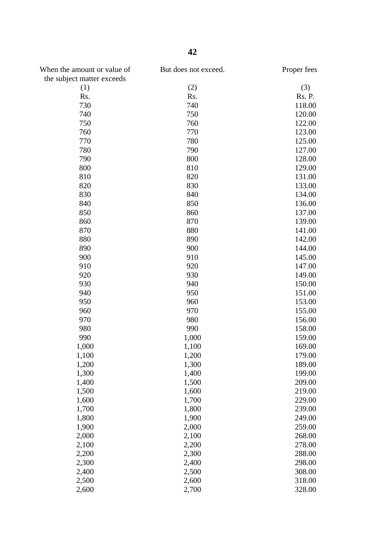| When the amount or value of<br>the subject matter exceeds | But does not exceed. | Proper fees |
|-----------------------------------------------------------|----------------------|-------------|
| (1)                                                       | (2)                  | (3)         |
| Rs.                                                       | Rs.                  | Rs. P.      |
| 730                                                       | 740                  | 118.00      |
| 740                                                       | 750                  | 120.00      |
| 750                                                       | 760                  | 122.00      |
| 760                                                       | 770                  | 123.00      |
| 770                                                       | 780                  | 125.00      |
| 780                                                       | 790                  | 127.00      |
| 790                                                       | 800                  | 128.00      |
| 800                                                       | 810                  | 129.00      |
| 810                                                       | 820                  | 131.00      |
| 820                                                       | 830                  | 133.00      |
| 830                                                       | 840                  | 134.00      |
| 840                                                       | 850                  | 136.00      |
| 850                                                       | 860                  | 137.00      |
| 860                                                       | 870                  | 139.00      |
| 870                                                       | 880                  | 141.00      |
| 880                                                       | 890                  | 142.00      |
| 890                                                       | 900                  | 144.00      |
| 900                                                       | 910                  | 145.00      |
| 910                                                       | 920                  | 147.00      |
| 920                                                       | 930                  | 149.00      |
| 930                                                       | 940                  | 150.00      |
| 940                                                       | 950                  | 151.00      |
| 950                                                       | 960                  | 153.00      |
| 960                                                       | 970                  | 155.00      |
| 970                                                       | 980                  | 156.00      |
| 980                                                       | 990                  | 158.00      |
| 990                                                       | 1,000                | 159.00      |
| 1,000                                                     | 1,100                | 169.00      |
| 1,100                                                     | 1,200                | 179.00      |
| 1,200                                                     | 1,300                | 189.00      |
| 1,300                                                     | 1,400                | 199.00      |
| 1,400                                                     | 1,500                | 209.00      |
| 1,500                                                     | 1,600                | 219.00      |
| 1,600                                                     | 1,700                | 229.00      |
| 1,700                                                     | 1,800                | 239.00      |
| 1,800                                                     | 1,900                | 249.00      |
| 1,900                                                     | 2,000                | 259.00      |
| 2,000                                                     | 2,100                | 268.00      |
| 2,100                                                     | 2,200                | 278.00      |
| 2,200                                                     | 2,300                | 288.00      |
| 2,300                                                     | 2,400                | 298.00      |
| 2,400                                                     | 2,500                | 308.00      |
| 2,500                                                     | 2,600                | 318.00      |
| 2,600                                                     | 2,700                | 328.00      |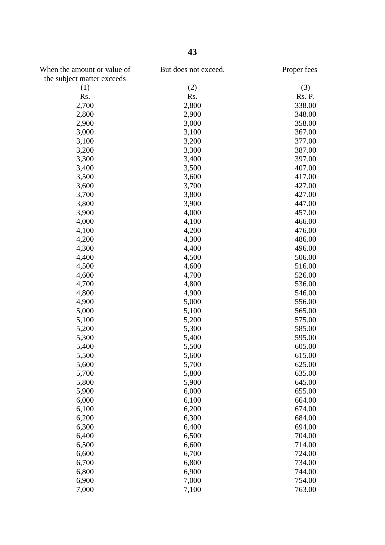| When the amount or value of | But does not exceed. | Proper fees |
|-----------------------------|----------------------|-------------|
| the subject matter exceeds  |                      |             |
| (1)                         | (2)                  | (3)         |
| Rs.                         | Rs.                  | Rs. P.      |
| 2,700                       | 2,800                | 338.00      |
| 2,800                       | 2,900                | 348.00      |
| 2,900                       | 3,000                | 358.00      |
| 3,000                       | 3,100                | 367.00      |
| 3,100                       | 3,200                | 377.00      |
| 3,200                       | 3,300                | 387.00      |
| 3,300                       | 3,400                | 397.00      |
| 3,400                       | 3,500                | 407.00      |
| 3,500                       | 3,600                | 417.00      |
| 3,600                       | 3,700                | 427.00      |
| 3,700                       | 3,800                | 427.00      |
| 3,800                       | 3,900                | 447.00      |
| 3,900                       | 4,000                | 457.00      |
| 4,000                       | 4,100                | 466.00      |
| 4,100                       | 4,200                | 476.00      |
| 4,200                       | 4,300                | 486.00      |
| 4,300                       | 4,400                | 496.00      |
| 4,400                       | 4,500                | 506.00      |
| 4,500                       | 4,600                | 516.00      |
| 4,600                       | 4,700                | 526.00      |
| 4,700                       | 4,800                | 536.00      |
| 4,800                       | 4,900                | 546.00      |
| 4,900                       | 5,000                | 556.00      |
| 5,000                       | 5,100                | 565.00      |
| 5,100                       | 5,200                | 575.00      |
| 5,200                       | 5,300                | 585.00      |
| 5,300                       | 5,400                | 595.00      |
| 5,400                       | 5,500                | 605.00      |
| 5,500                       | 5,600                | 615.00      |
| 5,600                       | 5,700                | 625.00      |
| 5,700                       | 5,800                | 635.00      |
| 5,800                       | 5,900                | 645.00      |
| 5,900                       | 6,000                | 655.00      |
| 6,000                       | 6,100                | 664.00      |
| 6,100                       | 6,200                | 674.00      |
| 6,200                       | 6,300                | 684.00      |
|                             | 6,400                | 694.00      |
| 6,300                       |                      | 704.00      |
| 6,400                       | 6,500                |             |
| 6,500                       | 6,600                | 714.00      |
| 6,600                       | 6,700                | 724.00      |
| 6,700                       | 6,800                | 734.00      |
| 6,800                       | 6,900                | 744.00      |
| 6,900                       | 7,000                | 754.00      |
| 7,000                       | 7,100                | 763.00      |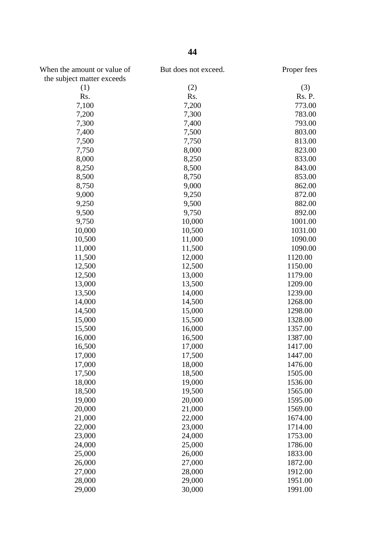| When the amount or value of<br>the subject matter exceeds | But does not exceed. | Proper fees |
|-----------------------------------------------------------|----------------------|-------------|
| (1)                                                       | (2)                  | (3)         |
| Rs.                                                       | Rs.                  | Rs. P.      |
| 7,100                                                     | 7,200                | 773.00      |
| 7,200                                                     | 7,300                | 783.00      |
| 7,300                                                     | 7,400                | 793.00      |
| 7,400                                                     | 7,500                | 803.00      |
| 7,500                                                     |                      | 813.00      |
|                                                           | 7,750                |             |
| 7,750                                                     | 8,000                | 823.00      |
| 8,000                                                     | 8,250                | 833.00      |
| 8,250                                                     | 8,500                | 843.00      |
| 8,500                                                     | 8,750                | 853.00      |
| 8,750                                                     | 9,000                | 862.00      |
| 9,000                                                     | 9,250                | 872.00      |
| 9,250                                                     | 9,500                | 882.00      |
| 9,500                                                     | 9,750                | 892.00      |
| 9,750                                                     | 10,000               | 1001.00     |
| 10,000                                                    | 10,500               | 1031.00     |
| 10,500                                                    | 11,000               | 1090.00     |
| 11,000                                                    | 11,500               | 1090.00     |
| 11,500                                                    | 12,000               | 1120.00     |
| 12,500                                                    | 12,500               | 1150.00     |
| 12,500                                                    | 13,000               | 1179.00     |
| 13,000                                                    | 13,500               | 1209.00     |
| 13,500                                                    | 14,000               | 1239.00     |
| 14,000                                                    | 14,500               | 1268.00     |
| 14,500                                                    | 15,000               | 1298.00     |
| 15,000                                                    | 15,500               | 1328.00     |
| 15,500                                                    | 16,000               | 1357.00     |
| 16,000                                                    | 16,500               | 1387.00     |
| 16,500                                                    | 17,000               | 1417.00     |
| 17,000                                                    | 17,500               | 1447.00     |
| 17,000                                                    | 18,000               | 1476.00     |
| 17,500                                                    | 18,500               | 1505.00     |
| 18,000                                                    | 19,000               | 1536.00     |
| 18,500                                                    | 19,500               | 1565.00     |
| 19,000                                                    | 20,000               | 1595.00     |
| 20,000                                                    | 21,000               | 1569.00     |
| 21,000                                                    | 22,000               | 1674.00     |
| 22,000                                                    | 23,000               | 1714.00     |
| 23,000                                                    | 24,000               | 1753.00     |
| 24,000                                                    | 25,000               | 1786.00     |
| 25,000                                                    | 26,000               | 1833.00     |
| 26,000                                                    | 27,000               | 1872.00     |
| 27,000                                                    | 28,000               | 1912.00     |
| 28,000                                                    | 29,000               | 1951.00     |
| 29,000                                                    | 30,000               | 1991.00     |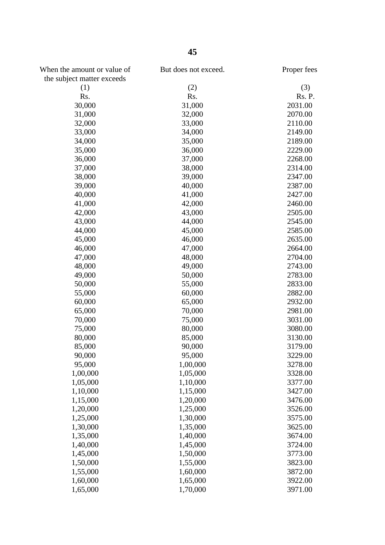| When the amount or value of | But does not exceed. | Proper fees |
|-----------------------------|----------------------|-------------|
| the subject matter exceeds  |                      |             |
| (1)                         | (2)                  | (3)         |
| Rs.                         | Rs.                  | Rs. P.      |
| 30,000                      | 31,000               | 2031.00     |
| 31,000                      | 32,000               | 2070.00     |
| 32,000                      | 33,000               | 2110.00     |
| 33,000                      | 34,000               | 2149.00     |
| 34,000                      | 35,000               | 2189.00     |
| 35,000                      | 36,000               | 2229.00     |
| 36,000                      | 37,000               | 2268.00     |
| 37,000                      | 38,000               | 2314.00     |
| 38,000                      | 39,000               | 2347.00     |
| 39,000                      | 40,000               | 2387.00     |
| 40,000                      | 41,000               | 2427.00     |
| 41,000                      | 42,000               | 2460.00     |
| 42,000                      | 43,000               | 2505.00     |
| 43,000                      | 44,000               | 2545.00     |
| 44,000                      | 45,000               | 2585.00     |
| 45,000                      | 46,000               | 2635.00     |
| 46,000                      | 47,000               | 2664.00     |
| 47,000                      | 48,000               | 2704.00     |
| 48,000                      | 49,000               | 2743.00     |
| 49,000                      | 50,000               | 2783.00     |
| 50,000                      | 55,000               | 2833.00     |
| 55,000                      | 60,000               | 2882.00     |
| 60,000                      | 65,000               | 2932.00     |
| 65,000                      | 70,000               | 2981.00     |
| 70,000                      | 75,000               | 3031.00     |
| 75,000                      | 80,000               | 3080.00     |
| 80,000                      | 85,000               | 3130.00     |
| 85,000                      | 90,000               | 3179.00     |
| 90,000                      | 95,000               | 3229.00     |
| 95,000                      | 1,00,000             | 3278.00     |
|                             |                      | 3328.00     |
| 1,00,000                    | 1,05,000             | 3377.00     |
| 1,05,000                    | 1,10,000             |             |
| 1,10,000                    | 1,15,000             | 3427.00     |
| 1,15,000                    | 1,20,000             | 3476.00     |
| 1,20,000                    | 1,25,000             | 3526.00     |
| 1,25,000                    | 1,30,000             | 3575.00     |
| 1,30,000                    | 1,35,000             | 3625.00     |
| 1,35,000                    | 1,40,000             | 3674.00     |
| 1,40,000                    | 1,45,000             | 3724.00     |
| 1,45,000                    | 1,50,000             | 3773.00     |
| 1,50,000                    | 1,55,000             | 3823.00     |
| 1,55,000                    | 1,60,000             | 3872.00     |
| 1,60,000                    | 1,65,000             | 3922.00     |
| 1,65,000                    | 1,70,000             | 3971.00     |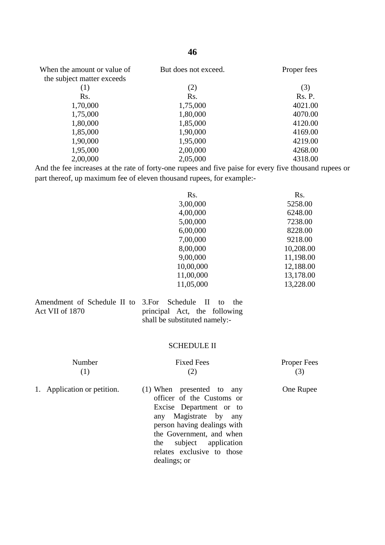| When the amount or value of<br>the subject matter exceeds | But does not exceed. | Proper fees |
|-----------------------------------------------------------|----------------------|-------------|
| (1)                                                       | (2)                  | (3)         |
| Rs.                                                       | Rs.                  | Rs. P.      |
| 1,70,000                                                  | 1,75,000             | 4021.00     |
| 1,75,000                                                  | 1,80,000             | 4070.00     |
| 1,80,000                                                  | 1,85,000             | 4120.00     |
| 1,85,000                                                  | 1,90,000             | 4169.00     |
| 1,90,000                                                  | 1,95,000             | 4219.00     |
| 1,95,000                                                  | 2,00,000             | 4268.00     |
| 2,00,000                                                  | 2,05,000             | 4318.00     |

And the fee increases at the rate of forty-one rupees and five paise for every five thousand rupees or part thereof, up maximum fee of eleven thousand rupees, for example:-

| Rs.       | Rs.       |
|-----------|-----------|
| 3,00,000  | 5258.00   |
| 4,00,000  | 6248.00   |
| 5,00,000  | 7238.00   |
| 6,00,000  | 8228.00   |
| 7,00,000  | 9218.00   |
| 8,00,000  | 10,208.00 |
| 9,00,000  | 11,198.00 |
| 10,00,000 | 12,188.00 |
| 11,00,000 | 13,178.00 |
| 11,05,000 | 13,228.00 |

| Amendment of Schedule II to |  |  |
|-----------------------------|--|--|
| Act VII of 1870             |  |  |

3.For Schedule II to the principal Act, the following shall be substituted namely:-

### SCHEDULE II

| Number                      | <b>Fixed Fees</b>                                        | <b>Proper Fees</b><br>(3) |
|-----------------------------|----------------------------------------------------------|---------------------------|
| 1. Application or petition. | $(1)$ When presented to any<br>officer of the Customs on | One Rupee                 |

officer of the Customs or Excise Department or to any Magistrate by any person having dealings with the Government, and when the subject application relates exclusive to those dealings; or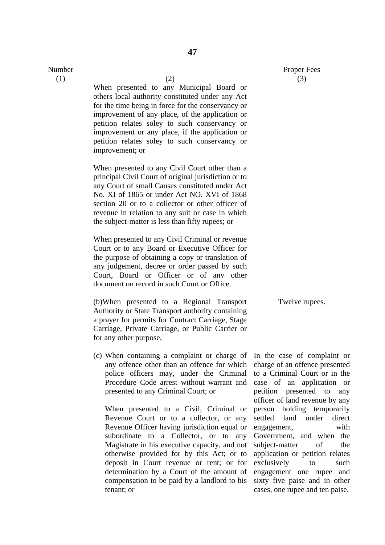Number

(1)  $(2)$ 

When presented to any Municipal Board or others local authority constituted under any Act for the time being in force for the conservancy or improvement of any place, of the application or petition relates soley to such conservancy or improvement or any place, if the application or petition relates soley to such conservancy or improvement; or

When presented to any Civil Court other than a principal Civil Court of original jurisdiction or to any Court of small Causes constituted under Act No. XI of 1865 or under Act NO. XVI of 1868 section 20 or to a collector or other officer of revenue in relation to any suit or case in which the subject-matter is less than fifty rupees; or

When presented to any Civil Criminal or revenue Court or to any Board or Executive Officer for the purpose of obtaining a copy or translation of any judgement, decree or order passed by such Court, Board or Officer or of any other document on record in such Court or Office.

(b)When presented to a Regional Transport Authority or State Transport authority containing a prayer for permits for Contract Carriage, Stage Carriage, Private Carriage, or Public Carrier or for any other purpose,

(c) When containing a complaint or charge of any offence other than an offence for which police officers may, under the Criminal Procedure Code arrest without warrant and presented to any Criminal Court; or

When presented to a Civil, Criminal or Revenue Court or to a collector, or any Revenue Officer having jurisdiction equal or subordinate to a Collector, or to any Magistrate in his executive capacity, and not otherwise provided for by this Act; or to deposit in Court revenue or rent; or for determination by a Court of the amount of compensation to be paid by a landlord to his tenant; or

In the case of complaint or charge of an offence presented to a Criminal Court or in the case of an application or petition presented to any officer of land revenue by any person holding temporarily settled land under direct engagement, with Government, and when the subject-matter of the application or petition relates exclusively to such engagement one rupee and sixty five paise and in other cases, one rupee and ten paise.

Twelve rupees.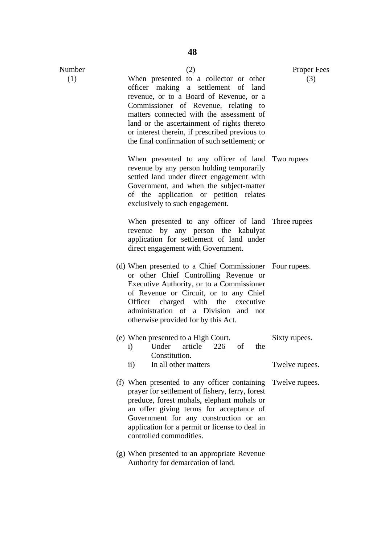| Number | (2)                                                                                                                                                                                                                                                                                                                                                            | <b>Proper Fees</b>               |
|--------|----------------------------------------------------------------------------------------------------------------------------------------------------------------------------------------------------------------------------------------------------------------------------------------------------------------------------------------------------------------|----------------------------------|
| (1)    | When presented to a collector or other<br>officer making a settlement of land<br>revenue, or to a Board of Revenue, or a<br>Commissioner of Revenue, relating to<br>matters connected with the assessment of<br>land or the ascertainment of rights thereto<br>or interest therein, if prescribed previous to<br>the final confirmation of such settlement; or | (3)                              |
|        | When presented to any officer of land Two rupees<br>revenue by any person holding temporarily<br>settled land under direct engagement with<br>Government, and when the subject-matter<br>of the application or petition relates<br>exclusively to such engagement.                                                                                             |                                  |
|        | When presented to any officer of land Three rupees<br>revenue by any person the kabulyat<br>application for settlement of land under<br>direct engagement with Government.                                                                                                                                                                                     |                                  |
|        | (d) When presented to a Chief Commissioner Four rupees.<br>or other Chief Controlling Revenue or<br>Executive Authority, or to a Commissioner<br>of Revenue or Circuit, or to any Chief<br>Officer charged with the executive<br>administration of a Division and not<br>otherwise provided for by this Act.                                                   |                                  |
|        | (e) When presented to a High Court.<br>i) Under article 226 of the<br>Constitution.                                                                                                                                                                                                                                                                            | Sixty rupees.                    |
|        | In all other matters<br>$\rm ii)$<br>(f) When presented to any officer containing<br>prayer for settlement of fishery, ferry, forest<br>preduce, forest mohals, elephant mohals or<br>an offer giving terms for acceptance of<br>Government for any construction or an<br>application for a permit or license to deal in<br>controlled commodities.            | Twelve rupees.<br>Twelve rupees. |
|        | (g) When presented to an appropriate Revenue                                                                                                                                                                                                                                                                                                                   |                                  |

Authority for demarcation of land.

**48**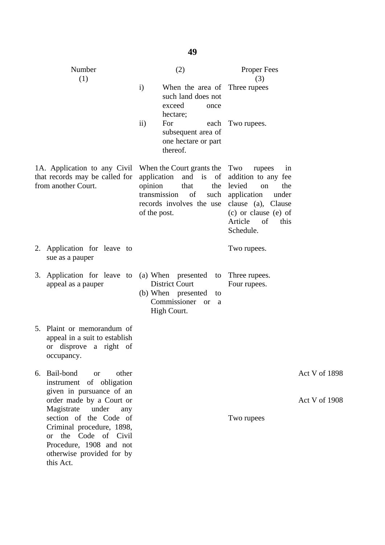|    | Number<br>(1)                                                                                                                                              | (2)                                                                                                                                                           | <b>Proper Fees</b><br>(3)                                                                                                                                              |                      |
|----|------------------------------------------------------------------------------------------------------------------------------------------------------------|---------------------------------------------------------------------------------------------------------------------------------------------------------------|------------------------------------------------------------------------------------------------------------------------------------------------------------------------|----------------------|
|    |                                                                                                                                                            | $\mathbf{i}$<br>When the area of Three rupees<br>such land does not<br>exceed<br>once<br>hectare;                                                             |                                                                                                                                                                        |                      |
|    |                                                                                                                                                            | $\rm ii)$<br>For<br>each<br>subsequent area of<br>one hectare or part<br>thereof.                                                                             | Two rupees.                                                                                                                                                            |                      |
|    | 1A. Application to any Civil<br>that records may be called for<br>from another Court.                                                                      | When the Court grants the Two<br>application<br>and is of<br>that<br>opinion<br>the<br>transmission<br>of<br>such<br>records involves the use<br>of the post. | rupees<br>in<br>addition to any fee<br>levied<br>the<br>on<br>application<br>under<br>clause (a), Clause<br>(c) or clause (e) of<br>Article<br>of<br>this<br>Schedule. |                      |
| 2. | Application for leave to<br>sue as a pauper                                                                                                                |                                                                                                                                                               | Two rupees.                                                                                                                                                            |                      |
|    | 3. Application for leave to (a) When presented to<br>appeal as a pauper                                                                                    | <b>District Court</b><br>(b) When presented<br>to<br>Commissioner<br>or a<br>High Court.                                                                      | Three rupees.<br>Four rupees.                                                                                                                                          |                      |
|    | 5. Plaint or memorandum of<br>appeal in a suit to establish<br>or disprove a right of<br>occupancy.                                                        |                                                                                                                                                               |                                                                                                                                                                        |                      |
| 6. | Bail-bond<br>other<br><sub>or</sub><br>instrument of obligation<br>given in pursuance of an                                                                |                                                                                                                                                               |                                                                                                                                                                        | Act V of 1898        |
|    | order made by a Court or<br>Magistrate<br>under<br>any                                                                                                     |                                                                                                                                                               |                                                                                                                                                                        | <b>Act V of 1908</b> |
|    | section of the Code of<br>Criminal procedure, 1898,<br>the Code of Civil<br><b>or</b><br>Procedure, 1908 and not<br>otherwise provided for by<br>this Act. |                                                                                                                                                               | Two rupees                                                                                                                                                             |                      |

**49**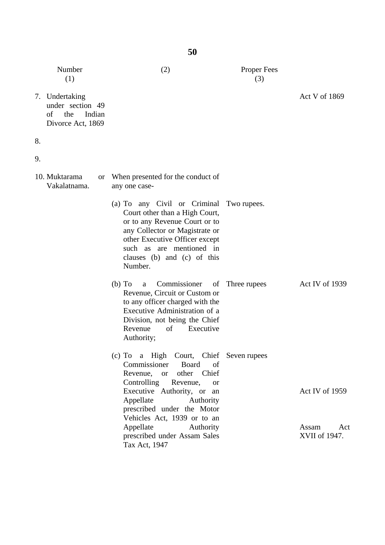|    | Number<br>(1)                                                                  | (2)                                                                                                                                                                                                                                                                                                                         | <b>Proper Fees</b><br>(3) |                                                 |
|----|--------------------------------------------------------------------------------|-----------------------------------------------------------------------------------------------------------------------------------------------------------------------------------------------------------------------------------------------------------------------------------------------------------------------------|---------------------------|-------------------------------------------------|
|    | 7. Undertaking<br>under section 49<br>of<br>the<br>Indian<br>Divorce Act, 1869 |                                                                                                                                                                                                                                                                                                                             |                           | Act V of 1869                                   |
| 8. |                                                                                |                                                                                                                                                                                                                                                                                                                             |                           |                                                 |
| 9. |                                                                                |                                                                                                                                                                                                                                                                                                                             |                           |                                                 |
|    | 10. Muktarama<br>or<br>Vakalatnama.                                            | When presented for the conduct of<br>any one case-                                                                                                                                                                                                                                                                          |                           |                                                 |
|    |                                                                                | (a) To any Civil or Criminal<br>Court other than a High Court,<br>or to any Revenue Court or to<br>any Collector or Magistrate or<br>other Executive Officer except<br>such as are mentioned in<br>clauses (b) and (c) of this<br>Number.                                                                                   | Two rupees.               |                                                 |
|    |                                                                                | Commissioner<br>$(b)$ To<br>of<br>a<br>Revenue, Circuit or Custom or<br>to any officer charged with the<br>Executive Administration of a<br>Division, not being the Chief<br>of<br>Executive<br>Revenue<br>Authority;                                                                                                       | Three rupees              | Act IV of 1939                                  |
|    |                                                                                | (c) To a High Court, Chief Seven rupees<br>Commissioner<br>Board<br>of<br>or other Chief<br>Revenue,<br>Controlling<br>Revenue,<br><b>or</b><br>Executive Authority, or an<br>Appellate<br>Authority<br>prescribed under the Motor<br>Vehicles Act, 1939 or to an<br>Appellate<br>Authority<br>prescribed under Assam Sales |                           | Act IV of 1959<br>Assam<br>Act<br>XVII of 1947. |
|    |                                                                                | Tax Act, 1947                                                                                                                                                                                                                                                                                                               |                           |                                                 |

**50**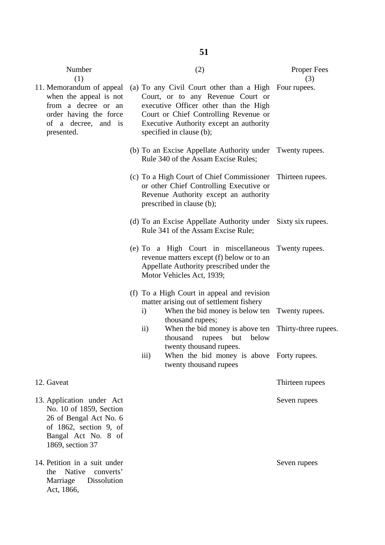| Number<br>(1)                                                                                                                                       | (2)                                                                                                                                                                                                                                                 | <b>Proper Fees</b><br>(3) |
|-----------------------------------------------------------------------------------------------------------------------------------------------------|-----------------------------------------------------------------------------------------------------------------------------------------------------------------------------------------------------------------------------------------------------|---------------------------|
| 11. Memorandum of appeal<br>when the appeal is not<br>from a decree or an<br>order having the force<br>of a decree, and is<br>presented.            | (a) To any Civil Court other than a High Four rupees.<br>Court, or to any Revenue Court or<br>executive Officer other than the High<br>Court or Chief Controlling Revenue or<br>Executive Authority except an authority<br>specified in clause (b); |                           |
|                                                                                                                                                     | (b) To an Excise Appellate Authority under Twenty rupees.<br>Rule 340 of the Assam Excise Rules;                                                                                                                                                    |                           |
|                                                                                                                                                     | (c) To a High Court of Chief Commissioner<br>or other Chief Controlling Executive or<br>Revenue Authority except an authority<br>prescribed in clause (b);                                                                                          | Thirteen rupees.          |
|                                                                                                                                                     | (d) To an Excise Appellate Authority under Sixty six rupees.<br>Rule 341 of the Assam Excise Rule;                                                                                                                                                  |                           |
|                                                                                                                                                     | (e) To a High Court in miscellaneous<br>revenue matters except (f) below or to an<br>Appellate Authority prescribed under the<br>Motor Vehicles Act, 1939;                                                                                          | Twenty rupees.            |
|                                                                                                                                                     | (f) To a High Court in appeal and revision<br>matter arising out of settlement fishery<br>When the bid money is below ten Twenty rupees.<br>$\mathbf{i}$                                                                                            |                           |
|                                                                                                                                                     | thousand rupees;<br>$\rm ii)$<br>When the bid money is above ten<br>thousand rupees<br>below<br>but                                                                                                                                                 | Thirty-three rupees.      |
|                                                                                                                                                     | twenty thousand rupees.<br>iii)<br>When the bid money is above Forty rupees.<br>twenty thousand rupees                                                                                                                                              |                           |
| 12. Gaveat                                                                                                                                          |                                                                                                                                                                                                                                                     | Thirteen rupees           |
| 13. Application under Act<br>No. 10 of 1859, Section<br>26 of Bengal Act No. 6<br>of 1862, section 9, of<br>Bangal Act No. 8 of<br>1869, section 37 |                                                                                                                                                                                                                                                     | Seven rupees              |
| 14. Petition in a suit under<br>Native<br>converts'<br>the                                                                                          |                                                                                                                                                                                                                                                     | Seven rupees              |

Marriage Dissolution

Act, 1866,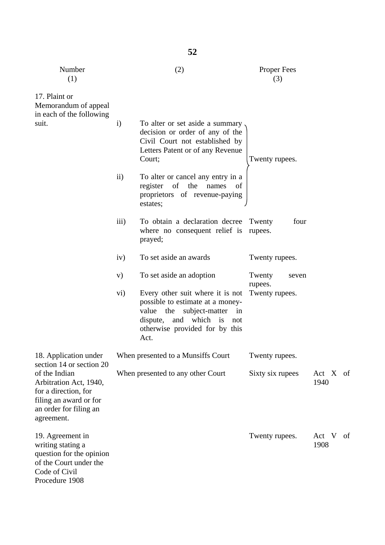| Number<br>(1)                                                                                                                                                 |                    | (2)                                                                                                                                                                                          | <b>Proper Fees</b><br>(3) |               |    |
|---------------------------------------------------------------------------------------------------------------------------------------------------------------|--------------------|----------------------------------------------------------------------------------------------------------------------------------------------------------------------------------------------|---------------------------|---------------|----|
| 17. Plaint or<br>Memorandum of appeal<br>in each of the following                                                                                             |                    |                                                                                                                                                                                              |                           |               |    |
| suit.                                                                                                                                                         | $\mathbf{i}$       | To alter or set aside a summary<br>decision or order of any of the<br>Civil Court not established by<br>Letters Patent or of any Revenue<br>Court;                                           | Twenty rupees.            |               |    |
|                                                                                                                                                               | $\rm ii)$          | To alter or cancel any entry in a<br>of the<br>register<br>names<br>of<br>proprietors of revenue-paying<br>estates;                                                                          |                           |               |    |
|                                                                                                                                                               | $\overline{111}$ ) | To obtain a declaration decree<br>where no consequent relief is<br>prayed;                                                                                                                   | four<br>Twenty<br>rupees. |               |    |
|                                                                                                                                                               | iv)                | To set aside an awards                                                                                                                                                                       | Twenty rupees.            |               |    |
|                                                                                                                                                               | V)                 | To set aside an adoption                                                                                                                                                                     | Twenty<br>seven           |               |    |
|                                                                                                                                                               | vi)                | Every other suit where it is not<br>possible to estimate at a money-<br>value the<br>subject-matter<br>in<br>and<br>which<br>dispute,<br>is<br>not<br>otherwise provided for by this<br>Act. | rupees.<br>Twenty rupees. |               |    |
| 18. Application under                                                                                                                                         |                    | When presented to a Munsiffs Court                                                                                                                                                           | Twenty rupees.            |               |    |
| section 14 or section 20<br>of the Indian<br>Arbitration Act, 1940,<br>for a direction, for<br>filing an award or for<br>an order for filing an<br>agreement. |                    | When presented to any other Court                                                                                                                                                            | Sixty six rupees          | Act X<br>1940 | of |
| 19. Agreement in<br>writing stating a<br>question for the opinion<br>of the Court under the<br>Code of Civil<br>Procedure 1908                                |                    |                                                                                                                                                                                              | Twenty rupees.            | Act V<br>1908 | of |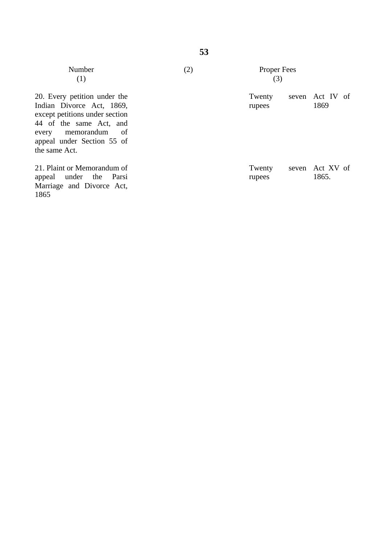| Number<br>(1)                                                                                                                                                                                     | (2) | Proper Fees<br>(3) |                          |  |
|---------------------------------------------------------------------------------------------------------------------------------------------------------------------------------------------------|-----|--------------------|--------------------------|--|
| 20. Every petition under the<br>Indian Divorce Act, 1869,<br>except petitions under section<br>44 of the same Act, and<br>every memorandum<br>- of<br>appeal under Section 55 of<br>the same Act. |     | Twenty<br>rupees   | seven Act IV of<br>1869  |  |
| 21. Plaint or Memorandum of<br>appeal under the Parsi<br>Marriage and Divorce Act,<br>1865                                                                                                        |     | Twenty<br>rupees   | seven Act XV of<br>1865. |  |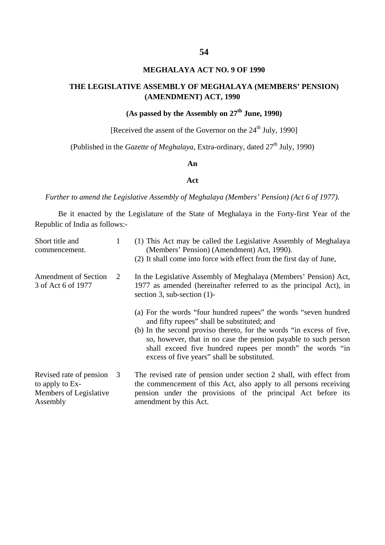## **MEGHALAYA ACT NO. 9 OF 1990**

# **THE LEGISLATIVE ASSEMBLY OF MEGHALAYA (MEMBERS' PENSION) (AMENDMENT) ACT, 1990**

# **(As passed by the Assembly on 27th June, 1990)**

[Received the assent of the Governor on the  $24<sup>th</sup>$  July, 1990]

(Published in the *Gazette of Meghalaya*, Extra-ordinary, dated 27<sup>th</sup> July, 1990)

#### **An**

## **Act**

*Further to amend the Legislative Assembly of Meghalaya (Members' Pension) (Act 6 of 1977).*

Be it enacted by the Legislature of the State of Meghalaya in the Forty-first Year of the Republic of India as follows:-

| Short title and<br>commencement.                                                 |                | (1) This Act may be called the Legislative Assembly of Meghalaya<br>(Members' Pension) (Amendment) Act, 1990).<br>(2) It shall come into force with effect from the first day of June,                                                                                                                                                                                 |
|----------------------------------------------------------------------------------|----------------|------------------------------------------------------------------------------------------------------------------------------------------------------------------------------------------------------------------------------------------------------------------------------------------------------------------------------------------------------------------------|
| <b>Amendment of Section</b><br>3 of Act 6 of 1977                                | 2              | In the Legislative Assembly of Meghalaya (Members' Pension) Act,<br>1977 as amended (hereinafter referred to as the principal Act), in<br>section 3, sub-section $(1)$ -                                                                                                                                                                                               |
|                                                                                  |                | (a) For the words "four hundred rupees" the words "seven hundred<br>and fifty rupees" shall be substituted; and<br>(b) In the second proviso thereto, for the words "in excess of five,<br>so, however, that in no case the pension payable to such person<br>shall exceed five hundred rupees per month" the words "in<br>excess of five years" shall be substituted. |
| Revised rate of pension<br>to apply to Ex-<br>Members of Legislative<br>Assembly | $\overline{3}$ | The revised rate of pension under section 2 shall, with effect from<br>the commencement of this Act, also apply to all persons receiving<br>pension under the provisions of the principal Act before its<br>amendment by this Act.                                                                                                                                     |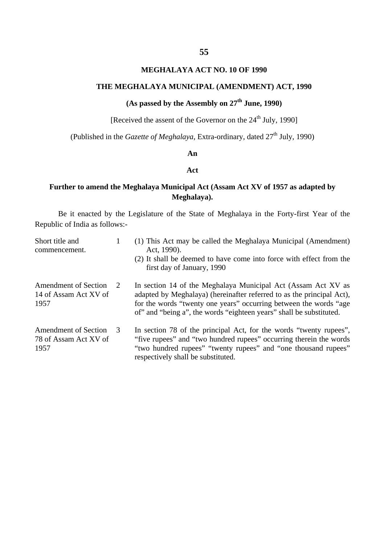## **MEGHALAYA ACT NO. 10 OF 1990**

# **THE MEGHALAYA MUNICIPAL (AMENDMENT) ACT, 1990**

# **(As passed by the Assembly on 27th June, 1990)**

[Received the assent of the Governor on the  $24<sup>th</sup>$  July, 1990]

(Published in the *Gazette of Meghalaya*, Extra-ordinary, dated 27<sup>th</sup> July, 1990)

## **An**

## **Act**

## **Further to amend the Meghalaya Municipal Act (Assam Act XV of 1957 as adapted by Meghalaya).**

Be it enacted by the Legislature of the State of Meghalaya in the Forty-first Year of the Republic of India as follows:-

| Short title and<br>commencement.                      |                       | (1) This Act may be called the Meghalaya Municipal (Amendment)<br>Act, 1990).                                                                                                                                                                                                      |
|-------------------------------------------------------|-----------------------|------------------------------------------------------------------------------------------------------------------------------------------------------------------------------------------------------------------------------------------------------------------------------------|
|                                                       |                       | (2) It shall be deemed to have come into force with effect from the<br>first day of January, 1990                                                                                                                                                                                  |
| Amendment of Section<br>14 of Assam Act XV of<br>1957 | $\mathcal{D}_{\cdot}$ | In section 14 of the Meghalaya Municipal Act (Assam Act XV as<br>adapted by Meghalaya) (hereinafter referred to as the principal Act),<br>for the words "twenty one years" occurring between the words "age<br>of" and "being a", the words "eighteen years" shall be substituted. |
| Amendment of Section<br>78 of Assam Act XV of<br>1957 | 3                     | In section 78 of the principal Act, for the words "twenty rupees",<br>"five rupees" and "two hundred rupees" occurring therein the words<br>"two hundred rupees" "twenty rupees" and "one thousand rupees"<br>respectively shall be substituted.                                   |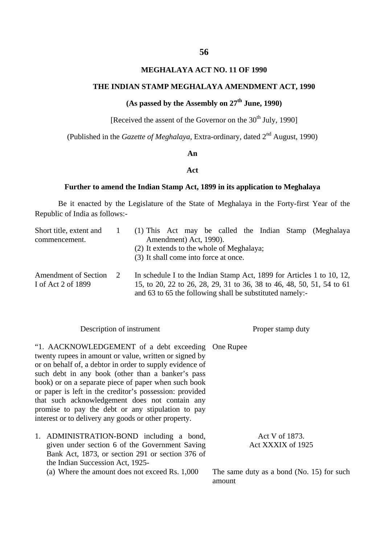## **MEGHALAYA ACT NO. 11 OF 1990**

## **THE INDIAN STAMP MEGHALAYA AMENDMENT ACT, 1990**

# **(As passed by the Assembly on 27th June, 1990)**

[Received the assent of the Governor on the  $30<sup>th</sup>$  July, 1990]

(Published in the *Gazette of Meghalaya*, Extra-ordinary, dated 2nd August, 1990)

#### **An**

## **Act**

#### **Further to amend the Indian Stamp Act, 1899 in its application to Meghalaya**

Be it enacted by the Legislature of the State of Meghalaya in the Forty-first Year of the Republic of India as follows:-

| Short title, extent and     |                                           | (1) This Act may be called the Indian Stamp (Meghalaya                |  |  |  |
|-----------------------------|-------------------------------------------|-----------------------------------------------------------------------|--|--|--|
| commencement.               |                                           | Amendment) Act, 1990).                                                |  |  |  |
|                             | (2) It extends to the whole of Meghalaya; |                                                                       |  |  |  |
|                             |                                           | (3) It shall come into force at once.                                 |  |  |  |
| <b>Amendment of Section</b> | 2                                         | In schedule I to the Indian Stamp Act, 1899 for Articles 1 to 10, 12, |  |  |  |
| I of Act 2 of 1899          |                                           | 15, to 20, 22 to 26, 28, 29, 31 to 36, 38 to 46, 48, 50, 51, 54 to 61 |  |  |  |
|                             |                                           | and 63 to 65 the following shall be substituted namely:-              |  |  |  |

| Description of instrument                                                                                                                                                                                                                                                                                                                                                                                                                                                                                       | Proper stamp duty |                                     |  |
|-----------------------------------------------------------------------------------------------------------------------------------------------------------------------------------------------------------------------------------------------------------------------------------------------------------------------------------------------------------------------------------------------------------------------------------------------------------------------------------------------------------------|-------------------|-------------------------------------|--|
| "1. AACKNOWLEDGEMENT of a debt exceeding One Rupee<br>twenty rupees in amount or value, written or signed by<br>or on behalf of, a debtor in order to supply evidence of<br>such debt in any book (other than a banker's pass<br>book) or on a separate piece of paper when such book<br>or paper is left in the creditor's possession: provided<br>that such acknowledgement does not contain any<br>promise to pay the debt or any stipulation to pay<br>interest or to delivery any goods or other property. |                   |                                     |  |
| 1. ADMINISTRATION-BOND including a bond,<br>given under section 6 of the Government Saving<br>Bank Act, 1873, or section 291 or section 376 of<br>the Indian Succession Act, 1925-                                                                                                                                                                                                                                                                                                                              |                   | Act V of 1873.<br>Act XXXIX of 1925 |  |

(a) Where the amount does not exceed Rs. 1,000

The same duty as a bond (No. 15) for such amount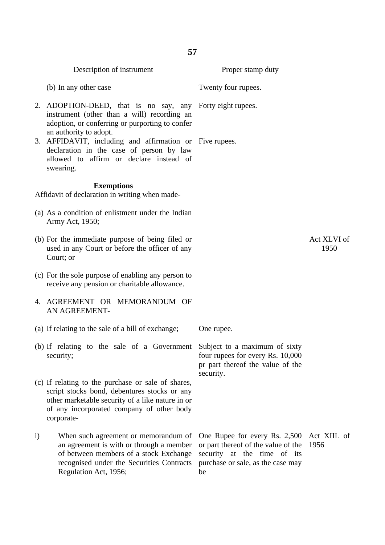|              | Description of instrument                                                                                                                                                                                         | Proper stamp duty                                                                                                                              |                     |
|--------------|-------------------------------------------------------------------------------------------------------------------------------------------------------------------------------------------------------------------|------------------------------------------------------------------------------------------------------------------------------------------------|---------------------|
|              | (b) In any other case                                                                                                                                                                                             | Twenty four rupees.                                                                                                                            |                     |
|              | 2. ADOPTION-DEED, that is no say, any Forty eight rupees.<br>instrument (other than a will) recording an<br>adoption, or conferring or purporting to confer<br>an authority to adopt.                             |                                                                                                                                                |                     |
|              | 3. AFFIDAVIT, including and affirmation or Five rupees.<br>declaration in the case of person by law<br>allowed to affirm or declare instead of<br>swearing.                                                       |                                                                                                                                                |                     |
|              | <b>Exemptions</b><br>Affidavit of declaration in writing when made-                                                                                                                                               |                                                                                                                                                |                     |
|              | (a) As a condition of enlistment under the Indian<br>Army Act, 1950;                                                                                                                                              |                                                                                                                                                |                     |
|              | (b) For the immediate purpose of being filed or<br>used in any Court or before the officer of any<br>Court; or                                                                                                    |                                                                                                                                                | Act XLVI of<br>1950 |
|              | (c) For the sole purpose of enabling any person to<br>receive any pension or charitable allowance.                                                                                                                |                                                                                                                                                |                     |
|              | 4. AGREEMENT OR MEMORANDUM OF<br>AN AGREEMENT-                                                                                                                                                                    |                                                                                                                                                |                     |
|              | (a) If relating to the sale of a bill of exchange;                                                                                                                                                                | One rupee.                                                                                                                                     |                     |
|              | (b) If relating to the sale of a Government Subject to a maximum of sixty<br>security;                                                                                                                            | four rupees for every Rs. 10,000<br>pr part thereof the value of the<br>security.                                                              |                     |
|              | (c) If relating to the purchase or sale of shares,<br>script stocks bond, debentures stocks or any<br>other marketable security of a like nature in or<br>of any incorporated company of other body<br>corporate- |                                                                                                                                                |                     |
| $\mathbf{i}$ | When such agreement or memorandum of<br>an agreement is with or through a member<br>of between members of a stock Exchange<br>recognised under the Securities Contracts<br>Regulation Act, 1956;                  | One Rupee for every Rs. 2,500<br>or part thereof of the value of the<br>security at the time of its<br>purchase or sale, as the case may<br>be | Act XIIL of<br>1956 |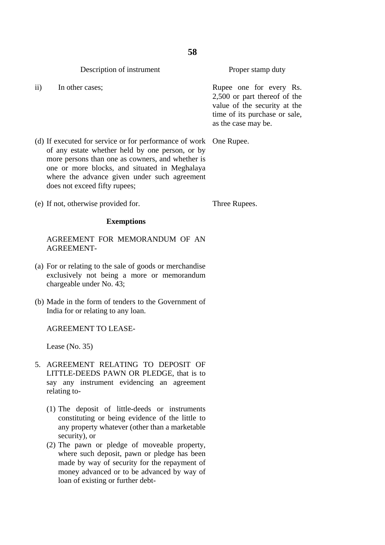Description of instrument

ii) In other cases;

Proper stamp duty

Rupee one for every Rs. 2,500 or part thereof of the value of the security at the time of its purchase or sale, as the case may be.

(d) If executed for service or for performance of work One Rupee. of any estate whether held by one person, or by

does not exceed fifty rupees; (e) If not, otherwise provided for.

Three Rupees.

#### **Exemptions**

more persons than one as cowners, and whether is one or more blocks, and situated in Meghalaya where the advance given under such agreement

AGREEMENT FOR MEMORANDUM OF AN AGREEMENT-

- (a) For or relating to the sale of goods or merchandise exclusively not being a more or memorandum chargeable under No. 43;
- (b) Made in the form of tenders to the Government of India for or relating to any loan.

#### AGREEMENT TO LEASE-

Lease (No. 35)

- 5. AGREEMENT RELATING TO DEPOSIT OF LITTLE-DEEDS PAWN OR PLEDGE, that is to say any instrument evidencing an agreement relating to-
	- (1) The deposit of little-deeds or instruments constituting or being evidence of the little to any property whatever (other than a marketable security), or
	- (2) The pawn or pledge of moveable property, where such deposit, pawn or pledge has been made by way of security for the repayment of money advanced or to be advanced by way of loan of existing or further debt-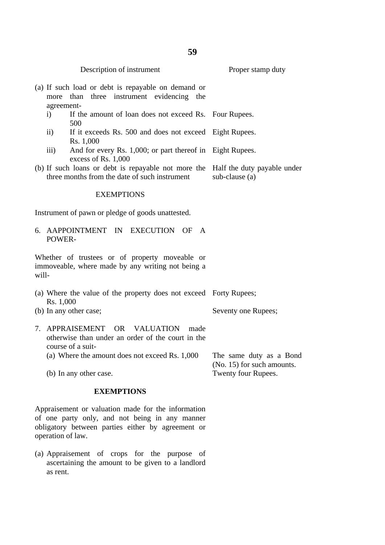| Description of instrument                                                                                                    | Proper stamp duty                                     |  |
|------------------------------------------------------------------------------------------------------------------------------|-------------------------------------------------------|--|
| (a) If such load or debt is repayable on demand or<br>three<br>instrument evidencing<br>than<br>more<br>the<br>agreement-    |                                                       |  |
| If the amount of loan does not exceed Rs. Four Rupees.<br>i)<br>500                                                          |                                                       |  |
| $\mathbf{ii}$<br>If it exceeds Rs. 500 and does not exceed<br>Rs. 1,000                                                      | Eight Rupees.                                         |  |
| And for every Rs. 1,000; or part thereof in Eight Rupees.<br>$\overline{iii}$<br>excess of Rs. 1,000                         |                                                       |  |
| (b) If such loans or debt is repayable not more the<br>three months from the date of such instrument                         | Half the duty payable under<br>sub-clause (a)         |  |
| <b>EXEMPTIONS</b>                                                                                                            |                                                       |  |
| Instrument of pawn or pledge of goods unattested.                                                                            |                                                       |  |
| EXECUTION OF<br>6. AAPPOINTMENT IN<br>$\mathbf{A}$<br>POWER-                                                                 |                                                       |  |
| Whether of trustees or of property moveable or<br>immoveable, where made by any writing not being a<br>will-                 |                                                       |  |
| (a) Where the value of the property does not exceed Forty Rupees;<br>Rs. 1,000                                               |                                                       |  |
| (b) In any other case;                                                                                                       | Seventy one Rupees;                                   |  |
| 7. APPRAISEMENT<br><b>VALUATION</b><br>OR.<br>made<br>otherwise than under an order of the court in the<br>course of a suit- |                                                       |  |
| (a) Where the amount does not exceed Rs. 1,000                                                                               | The same duty as a Bond<br>(No. 15) for such amounts. |  |
| (b) In any other case.                                                                                                       | Twenty four Rupees.                                   |  |

# **EXEMPTIONS**

Appraisement or valuation made for the information of one party only, and not being in any manner obligatory between parties either by agreement or operation of law.

(a) Appraisement of crops for the purpose of ascertaining the amount to be given to a landlord as rent.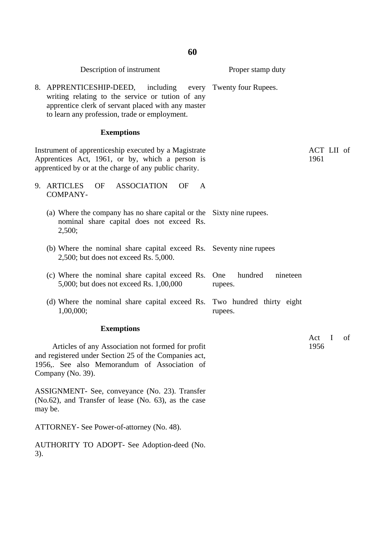|     | Description of instrument                                                                                                                                                                                              | Proper stamp duty              |                    |    |
|-----|------------------------------------------------------------------------------------------------------------------------------------------------------------------------------------------------------------------------|--------------------------------|--------------------|----|
|     | 8. APPRENTICESHIP-DEED, including every Twenty four Rupees.<br>writing relating to the service or tution of any<br>apprentice clerk of servant placed with any master<br>to learn any profession, trade or employment. |                                |                    |    |
|     | <b>Exemptions</b>                                                                                                                                                                                                      |                                |                    |    |
|     | Instrument of apprenticeship executed by a Magistrate<br>Apprentices Act, 1961, or by, which a person is<br>apprenticed by or at the charge of any public charity.                                                     |                                | ACT LII of<br>1961 |    |
|     | 9. ARTICLES<br>ASSOCIATION<br>OF<br>OF<br>A<br>COMPANY-                                                                                                                                                                |                                |                    |    |
|     | (a) Where the company has no share capital or the Sixty nine rupees.<br>nominal share capital does not exceed Rs.<br>2,500;                                                                                            |                                |                    |    |
|     | (b) Where the nominal share capital exceed Rs. Seventy nine rupees<br>$2,500$ ; but does not exceed Rs. $5,000$ .                                                                                                      |                                |                    |    |
|     | (c) Where the nominal share capital exceed Rs. One<br>5,000; but does not exceed Rs. 1,00,000                                                                                                                          | hundred<br>nineteen<br>rupees. |                    |    |
|     | (d) Where the nominal share capital exceed Rs. Two hundred thirty eight<br>1,00,000;                                                                                                                                   | rupees.                        |                    |    |
|     | <b>Exemptions</b>                                                                                                                                                                                                      |                                |                    |    |
|     | Articles of any Association not formed for profit<br>and registered under Section 25 of the Companies act,<br>1956,. See also Memorandum of Association of<br>Company (No. 39).                                        |                                | Act I<br>1956      | of |
|     | ASSIGNMENT- See, conveyance (No. 23). Transfer<br>(No.62), and Transfer of lease (No. 63), as the case<br>may be.                                                                                                      |                                |                    |    |
|     | ATTORNEY- See Power-of-attorney (No. 48).                                                                                                                                                                              |                                |                    |    |
| 3). | AUTHORITY TO ADOPT- See Adoption-deed (No.                                                                                                                                                                             |                                |                    |    |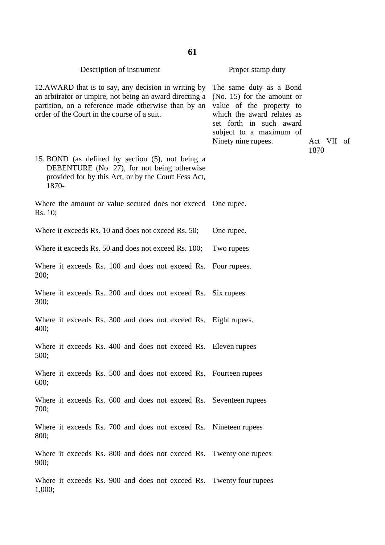| 61                                                                                                                                                                                                                   |                                                                                                                                                                                                |                    |  |  |  |
|----------------------------------------------------------------------------------------------------------------------------------------------------------------------------------------------------------------------|------------------------------------------------------------------------------------------------------------------------------------------------------------------------------------------------|--------------------|--|--|--|
| Description of instrument                                                                                                                                                                                            | Proper stamp duty                                                                                                                                                                              |                    |  |  |  |
| 12.AWARD that is to say, any decision in writing by<br>an arbitrator or umpire, not being an award directing a<br>partition, on a reference made otherwise than by an<br>order of the Court in the course of a suit. | The same duty as a Bond<br>$(No. 15)$ for the amount or<br>value of the property to<br>which the award relates as<br>set forth in such award<br>subject to a maximum of<br>Ninety nine rupees. | Act VII of<br>1870 |  |  |  |
| 15. BOND (as defined by section (5), not being a<br>DEBENTURE (No. 27), for not being otherwise<br>provided for by this Act, or by the Court Fess Act,<br>1870-                                                      |                                                                                                                                                                                                |                    |  |  |  |
| Where the amount or value secured does not exceed One rupee.<br>Rs. 10;                                                                                                                                              |                                                                                                                                                                                                |                    |  |  |  |
| Where it exceeds Rs. 10 and does not exceed Rs. 50;                                                                                                                                                                  | One rupee.                                                                                                                                                                                     |                    |  |  |  |
| Where it exceeds Rs. 50 and does not exceed Rs. 100;                                                                                                                                                                 | Two rupees                                                                                                                                                                                     |                    |  |  |  |
| Where it exceeds Rs. 100 and does not exceed Rs. Four rupees.<br>200;                                                                                                                                                |                                                                                                                                                                                                |                    |  |  |  |
| Where it exceeds Rs. 200 and does not exceed Rs. Six rupees.<br>300;                                                                                                                                                 |                                                                                                                                                                                                |                    |  |  |  |
| Where it exceeds Rs. 300 and does not exceed Rs. Eight rupees.<br>400;                                                                                                                                               |                                                                                                                                                                                                |                    |  |  |  |
| Where it exceeds Rs. 400 and does not exceed Rs. Eleven rupees<br>500;                                                                                                                                               |                                                                                                                                                                                                |                    |  |  |  |
| Where it exceeds Rs. 500 and does not exceed Rs. Fourteen rupees<br>600;                                                                                                                                             |                                                                                                                                                                                                |                    |  |  |  |
| Where it exceeds Rs. 600 and does not exceed Rs. Seventeen rupees<br>700;                                                                                                                                            |                                                                                                                                                                                                |                    |  |  |  |
| Where it exceeds Rs. 700 and does not exceed Rs. Nineteen rupees<br>800;                                                                                                                                             |                                                                                                                                                                                                |                    |  |  |  |
| Where it exceeds Rs. 800 and does not exceed Rs. Twenty one rupees<br>900;                                                                                                                                           |                                                                                                                                                                                                |                    |  |  |  |
| Where it exceeds Rs. 900 and does not exceed Rs. Twenty four rupees<br>1,000;                                                                                                                                        |                                                                                                                                                                                                |                    |  |  |  |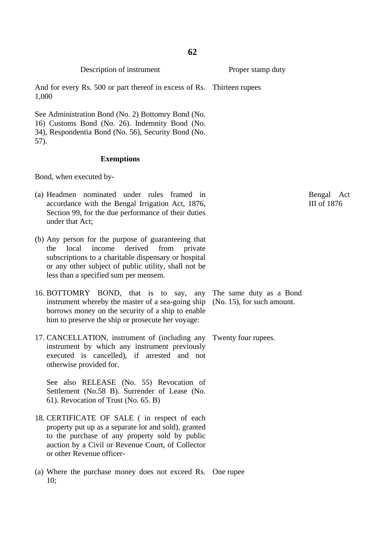Description of instrument

And for every Rs. 500 or part thereof in excess of Rs. Thirteen rupees 1,000

See Administration Bond (No. 2) Bottomry Bond (No. 16) Customs Bond (No. 26). Indemnity Bond (No. 34), Respondentia Bond (No. 56), Security Bond (No. 57).

#### **Exemptions**

Bond, when executed by-

- (a) Headmen nominated under rules framed in accordance with the Bengal Irrigation Act, 1876, Section 99, for the due performance of their duties under that Act;
- (b) Any person for the purpose of guaranteeing that the local income derived from private subscriptions to a charitable dispensary or hospital or any other subject of public utility, shall not be less than a specified sum per mensem.
- 16. BOTTOMRY BOND, that is to say, any instrument whereby the master of a sea-going ship borrows money on the security of a ship to enable him to preserve the ship or prosecute her voyage:
- 17. CANCELLATION, instrument of (including any Twenty four rupees. instrument by which any instrument previously executed is cancelled), if arrested and not otherwise provided for.

See also RELEASE (No. 55) Revocation of Settlement (No.58 B). Surrender of Lease (No. 61). Revocation of Trust (No. 65. B)

- 18. CERTIFICATE OF SALE ( in respect of each property put up as a separate lot and sold), granted to the purchase of any property sold by public auction by a Civil or Revenue Court, of Collector or other Revenue officer-
- (a) Where the purchase money does not exceed Rs. One rupee  $10:$

The same duty as a Bond (No. 15), for such amount.

Bengal Act III of 1876

Proper stamp duty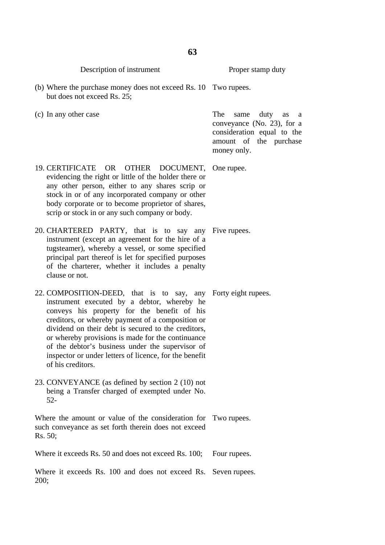|         | Description of instrument                                                                                                                                                                                                                                                                                                                                                                                                                                       | Proper stamp duty                                                                                                                   |
|---------|-----------------------------------------------------------------------------------------------------------------------------------------------------------------------------------------------------------------------------------------------------------------------------------------------------------------------------------------------------------------------------------------------------------------------------------------------------------------|-------------------------------------------------------------------------------------------------------------------------------------|
|         | (b) Where the purchase money does not exceed Rs. 10 Two rupees.<br>but does not exceed Rs. 25;                                                                                                                                                                                                                                                                                                                                                                  |                                                                                                                                     |
|         | (c) In any other case                                                                                                                                                                                                                                                                                                                                                                                                                                           | The<br>duty<br>same<br>as<br>a<br>conveyance (No. 23), for a<br>consideration equal to the<br>amount of the purchase<br>money only. |
|         | 19. CERTIFICATE OR OTHER DOCUMENT,<br>evidencing the right or little of the holder there or<br>any other person, either to any shares scrip or<br>stock in or of any incorporated company or other<br>body corporate or to become proprietor of shares,<br>scrip or stock in or any such company or body.                                                                                                                                                       | One rupee.                                                                                                                          |
|         | 20. CHARTERED PARTY, that is to say any Five rupees.<br>instrument (except an agreement for the hire of a<br>tugsteamer), whereby a vessel, or some specified<br>principal part thereof is let for specified purposes<br>of the charterer, whether it includes a penalty<br>clause or not.                                                                                                                                                                      |                                                                                                                                     |
|         | 22. COMPOSITION-DEED, that is to say, any Forty eight rupees.<br>instrument executed by a debtor, whereby he<br>conveys his property for the benefit of his<br>creditors, or whereby payment of a composition or<br>dividend on their debt is secured to the creditors,<br>or whereby provisions is made for the continuance<br>of the debtor's business under the supervisor of<br>inspector or under letters of licence, for the benefit<br>of his creditors. |                                                                                                                                     |
|         | 23. CONVEYANCE (as defined by section 2 (10) not<br>being a Transfer charged of exempted under No.<br>$52 -$                                                                                                                                                                                                                                                                                                                                                    |                                                                                                                                     |
| Rs. 50; | Where the amount or value of the consideration for Two rupees.<br>such conveyance as set forth therein does not exceed                                                                                                                                                                                                                                                                                                                                          |                                                                                                                                     |
|         | Where it exceeds Rs. 50 and does not exceed Rs. 100;                                                                                                                                                                                                                                                                                                                                                                                                            | Four rupees.                                                                                                                        |
| 200;    | Where it exceeds Rs. 100 and does not exceed Rs.                                                                                                                                                                                                                                                                                                                                                                                                                | Seven rupees.                                                                                                                       |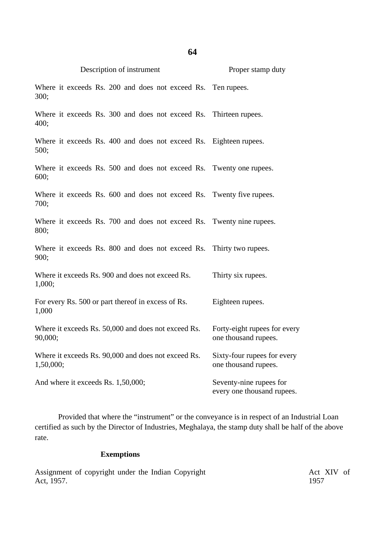| Description of instrument                                                    | Proper stamp duty                                     |
|------------------------------------------------------------------------------|-------------------------------------------------------|
| Where it exceeds Rs. 200 and does not exceed Rs. Ten rupees.<br>300;         |                                                       |
| Where it exceeds Rs. 300 and does not exceed Rs. Thirteen rupees.<br>400;    |                                                       |
| Where it exceeds Rs. 400 and does not exceed Rs. Eighteen rupees.<br>500;    |                                                       |
| Where it exceeds Rs. 500 and does not exceed Rs. Twenty one rupees.<br>600;  |                                                       |
| Where it exceeds Rs. 600 and does not exceed Rs. Twenty five rupees.<br>700; |                                                       |
| Where it exceeds Rs. 700 and does not exceed Rs. Twenty nine rupees.<br>800; |                                                       |
| Where it exceeds Rs. 800 and does not exceed Rs.<br>900;                     | Thirty two rupees.                                    |
| Where it exceeds Rs. 900 and does not exceed Rs.<br>1,000;                   | Thirty six rupees.                                    |
| For every Rs. 500 or part thereof in excess of Rs.<br>1,000                  | Eighteen rupees.                                      |
| Where it exceeds Rs. 50,000 and does not exceed Rs.<br>90,000;               | Forty-eight rupees for every<br>one thousand rupees.  |
| Where it exceeds Rs. 90,000 and does not exceed Rs.<br>1,50,000;             | Sixty-four rupees for every<br>one thousand rupees.   |
| And where it exceeds Rs. 1,50,000;                                           | Seventy-nine rupees for<br>every one thousand rupees. |

**64**

Provided that where the "instrument" or the conveyance is in respect of an Industrial Loan certified as such by the Director of Industries, Meghalaya, the stamp duty shall be half of the above rate.

# **Exemptions**

Assignment of copyright under the Indian Copyright Act, 1957.

Act XIV of 1957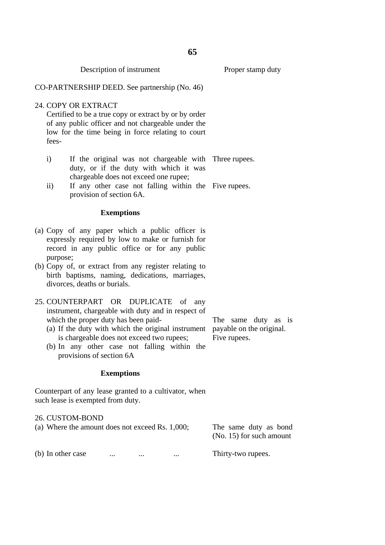|                                                                                                                                                                                                                                                                                                                                              | CO-PARTNERSHIP DEED. See partnership (No. 46) |                                                                                                                                                                                         |                                       |  |                                                                                                                                                      |                                                       |  |  |
|----------------------------------------------------------------------------------------------------------------------------------------------------------------------------------------------------------------------------------------------------------------------------------------------------------------------------------------------|-----------------------------------------------|-----------------------------------------------------------------------------------------------------------------------------------------------------------------------------------------|---------------------------------------|--|------------------------------------------------------------------------------------------------------------------------------------------------------|-------------------------------------------------------|--|--|
|                                                                                                                                                                                                                                                                                                                                              | fees-                                         | 24. COPY OR EXTRACT<br>Certified to be a true copy or extract by or by order<br>of any public officer and not chargeable under the<br>low for the time being in force relating to court |                                       |  |                                                                                                                                                      |                                                       |  |  |
|                                                                                                                                                                                                                                                                                                                                              | $\mathbf{i}$<br>$\rm ii)$                     |                                                                                                                                                                                         | chargeable does not exceed one rupee; |  | duty, or if the duty with which it was<br>If any other case not falling within the Five rupees.                                                      | If the original was not chargeable with Three rupees. |  |  |
|                                                                                                                                                                                                                                                                                                                                              |                                               | provision of section 6A.                                                                                                                                                                |                                       |  |                                                                                                                                                      |                                                       |  |  |
|                                                                                                                                                                                                                                                                                                                                              |                                               |                                                                                                                                                                                         | <b>Exemptions</b>                     |  |                                                                                                                                                      |                                                       |  |  |
|                                                                                                                                                                                                                                                                                                                                              | purpose;                                      |                                                                                                                                                                                         |                                       |  | (a) Copy of any paper which a public officer is<br>expressly required by low to make or furnish for<br>record in any public office or for any public |                                                       |  |  |
|                                                                                                                                                                                                                                                                                                                                              |                                               | divorces, deaths or burials.                                                                                                                                                            |                                       |  | (b) Copy of, or extract from any register relating to<br>birth baptisms, naming, dedications, marriages,                                             |                                                       |  |  |
| 25. COUNTERPART OR DUPLICATE of<br>any<br>instrument, chargeable with duty and in respect of<br>which the proper duty has been paid-<br>(a) If the duty with which the original instrument payable on the original.<br>is chargeable does not exceed two rupees;<br>(b) In any other case not falling within the<br>provisions of section 6A |                                               |                                                                                                                                                                                         |                                       |  | The same duty as is<br>Five rupees.                                                                                                                  |                                                       |  |  |
|                                                                                                                                                                                                                                                                                                                                              |                                               |                                                                                                                                                                                         | <b>Exemptions</b>                     |  |                                                                                                                                                      |                                                       |  |  |
| Counterpart of any lease granted to a cultivator, when<br>such lease is exempted from duty.                                                                                                                                                                                                                                                  |                                               |                                                                                                                                                                                         |                                       |  |                                                                                                                                                      |                                                       |  |  |
|                                                                                                                                                                                                                                                                                                                                              |                                               | 26. CUSTOM-BOND<br>(a) Where the amount does not exceed Rs. 1,000;                                                                                                                      |                                       |  |                                                                                                                                                      | The same duty as bond<br>(No. 15) for such amount     |  |  |
|                                                                                                                                                                                                                                                                                                                                              | (b) In other case                             |                                                                                                                                                                                         |                                       |  |                                                                                                                                                      | Thirty-two rupees.                                    |  |  |
|                                                                                                                                                                                                                                                                                                                                              |                                               |                                                                                                                                                                                         |                                       |  |                                                                                                                                                      |                                                       |  |  |

# **65**

Proper stamp duty

Description of instrument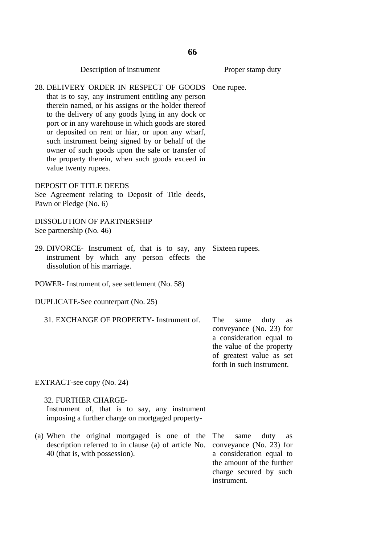Description of instrument 28. DELIVERY ORDER IN RESPECT OF GOODS that is to say, any instrument entitling any person therein named, or his assigns or the holder thereof to the delivery of any goods lying in any dock or port or in any warehouse in which goods are stored or deposited on rent or hiar, or upon any wharf, such instrument being signed by or behalf of the owner of such goods upon the sale or transfer of the property therein, when such goods exceed in value twenty rupees. DEPOSIT OF TITLE DEEDS See Agreement relating to Deposit of Title deeds, Pawn or Pledge (No. 6) DISSOLUTION OF PARTNERSHIP See partnership (No. 46) 29. DIVORCE- Instrument of, that is to say, any Sixteen rupees. instrument by which any person effects the dissolution of his marriage. POWER- Instrument of, see settlement (No. 58) DUPLICATE-See counterpart (No. 25) 31. EXCHANGE OF PROPERTY- Instrument of. EXTRACT-see copy (No. 24) 32. FURTHER CHARGE-Instrument of, that is to say, any instrument imposing a further charge on mortgaged property- (a) When the original mortgaged is one of the Proper stamp duty One rupee. The same duty as conveyance (No. 23) for a consideration equal to the value of the property of greatest value as set forth in such instrument. same duty as

description referred to in clause (a) of article No. 40 (that is, with possession).

conveyance (No. 23) for a consideration equal to the amount of the further charge secured by such instrument.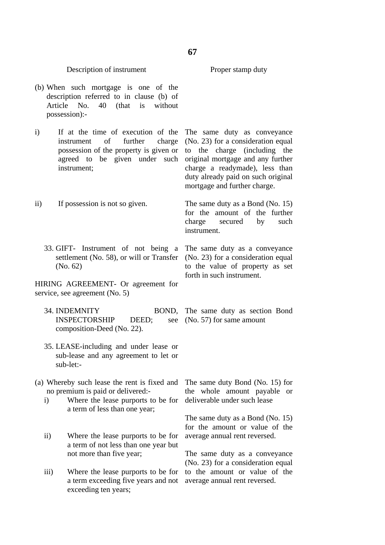Proper stamp duty

## Description of instrument

- (b) When such mortgage is one of the description referred to in clause (b) of Article No. 40 (that is without possession):-
- i) If at the time of execution of the instrument of further charge possession of the property is given or agreed to be given under such instrument;
- ii) If possession is not so given.
	- 33. GIFT- Instrument of not being a settlement (No. 58), or will or Transfer (No. 62)

HIRING AGREEMENT- Or agreement for service, see agreement (No. 5)

- 34. INDEMNITY BOND, INSPECTORSHIP DEED: composition-Deed (No. 22).
- 35. LEASE-including and under lease or sub-lease and any agreement to let or sub-let:-
- (a) Whereby such lease the rent is fixed and no premium is paid or delivered:
	- i) Where the lease purports to be for a term of less than one year;
	- ii) Where the lease purports to be for a term of not less than one year but not more than five year;
	- iii) Where the lease purports to be for a term exceeding five years and not exceeding ten years;

The same duty as conveyance (No. 23) for a consideration equal to the charge (including the original mortgage and any further charge a readymade), less than duty already paid on such original mortgage and further charge.

The same duty as a Bond (No. 15) for the amount of the further charge secured by such instrument.

The same duty as a conveyance (No. 23) for a consideration equal to the value of property as set forth in such instrument.

The same duty as section Bond see (No. 57) for same amount

> The same duty Bond (No. 15) for the whole amount payable or deliverable under such lease

> The same duty as a Bond (No. 15) for the amount or value of the average annual rent reversed.

> The same duty as a conveyance (No. 23) for a consideration equal to the amount or value of the average annual rent reversed.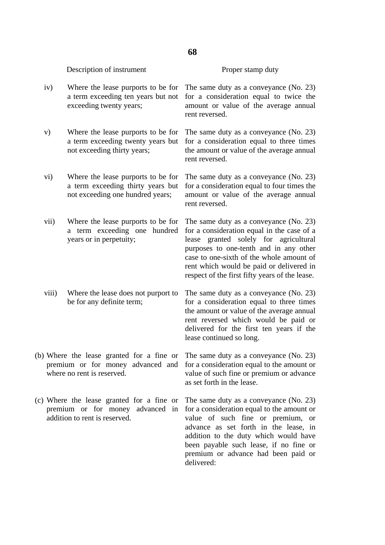## Description of instrument

#### Proper stamp duty

- iv) Where the lease purports to be for a term exceeding ten years but not exceeding twenty years;
- v) Where the lease purports to be for a term exceeding twenty years but not exceeding thirty years;
- vi) Where the lease purports to be for a term exceeding thirty years but not exceeding one hundred years;
- vii) Where the lease purports to be for a term exceeding one hundred years or in perpetuity;
- viii) Where the lease does not purport to be for any definite term;
- (b) Where the lease granted for a fine or premium or for money advanced and where no rent is reserved.
- (c) Where the lease granted for a fine or premium or for money advanced in addition to rent is reserved.

The same duty as a conveyance (No. 23) for a consideration equal to twice the amount or value of the average annual rent reversed.

The same duty as a conveyance (No. 23) for a consideration equal to three times the amount or value of the average annual rent reversed.

The same duty as a conveyance (No. 23) for a consideration equal to four times the amount or value of the average annual rent reversed.

The same duty as a conveyance (No. 23) for a consideration equal in the case of a lease granted solely for agricultural purposes to one-tenth and in any other case to one-sixth of the whole amount of rent which would be paid or delivered in respect of the first fifty years of the lease.

The same duty as a conveyance (No. 23) for a consideration equal to three times the amount or value of the average annual rent reversed which would be paid or delivered for the first ten years if the lease continued so long.

The same duty as a conveyance (No. 23) for a consideration equal to the amount or value of such fine or premium or advance as set forth in the lease.

The same duty as a conveyance (No. 23) for a consideration equal to the amount or value of such fine or premium, or advance as set forth in the lease, in addition to the duty which would have been payable such lease, if no fine or premium or advance had been paid or delivered: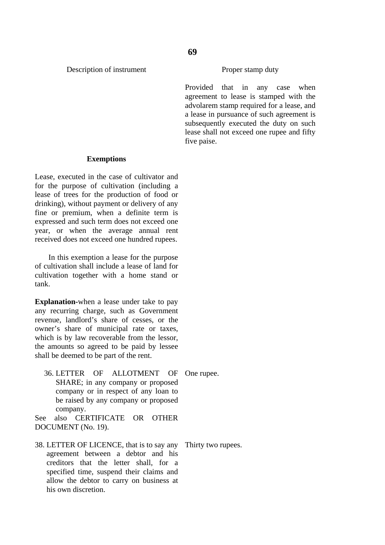#### Description of instrument

Proper stamp duty

Provided that in any case when agreement to lease is stamped with the advolarem stamp required for a lease, and a lease in pursuance of such agreement is subsequently executed the duty on such lease shall not exceed one rupee and fifty five paise.

#### **Exemptions**

Lease, executed in the case of cultivator and for the purpose of cultivation (including a lease of trees for the production of food or drinking), without payment or delivery of any fine or premium, when a definite term is expressed and such term does not exceed one year, or when the average annual rent received does not exceed one hundred rupees.

 In this exemption a lease for the purpose of cultivation shall include a lease of land for cultivation together with a home stand or tank.

**Explanation-**when a lease under take to pay any recurring charge, such as Government revenue, landlord's share of cesses, or the owner's share of municipal rate or taxes, which is by law recoverable from the lessor, the amounts so agreed to be paid by lessee shall be deemed to be part of the rent.

36. LETTER OF ALLOTMENT OF SHARE; in any company or proposed company or in respect of any loan to be raised by any company or proposed company. One rupee.

See also CERTIFICATE OR OTHER DOCUMENT (No. 19).

38. LETTER OF LICENCE, that is to say any agreement between a debtor and his creditors that the letter shall, for a specified time, suspend their claims and allow the debtor to carry on business at his own discretion.

Thirty two rupees.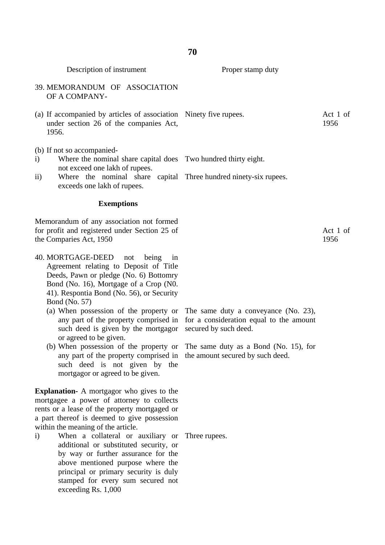Description of instrument

Proper stamp duty

- 39. MEMORANDUM OF ASSOCIATION OF A COMPANY-
- (a) If accompanied by articles of association Ninety five rupees. under section 26 of the companies Act, 1956. Act 1 of 1956
- (b) If not so accompanied-
- i) Where the nominal share capital does Two hundred thirty eight. not exceed one lakh of rupees.
- ii) Where the nominal share capital Three hundred ninety-six rupees. exceeds one lakh of rupees.

#### **Exemptions**

Memorandum of any association not formed for profit and registered under Section 25 of the Comparies Act, 1950

- 40. MORTGAGE-DEED not being in Agreement relating to Deposit of Title Deeds, Pawn or pledge (No. 6) Bottomry Bond (No. 16), Mortgage of a Crop (N0. 41). Respontia Bond (No. 56), or Security Bond (No. 57)
	- (a) When possession of the property or any part of the property comprised in such deed is given by the mortgagor or agreed to be given.
	- (b) When possession of the property or any part of the property comprised in such deed is not given by the mortgagor or agreed to be given.

**Explanation-** A mortgagor who gives to the mortgagee a power of attorney to collects rents or a lease of the property mortgaged or a part thereof is deemed to give possession within the meaning of the article.

i) When a collateral or auxiliary or additional or substituted security, or by way or further assurance for the above mentioned purpose where the principal or primary security is duly stamped for every sum secured not exceeding Rs. 1,000

The same duty a conveyance (No. 23), for a consideration equal to the amount secured by such deed.

The same duty as a Bond (No. 15), for the amount secured by such deed.

Three rupees.

Act 1 of 1956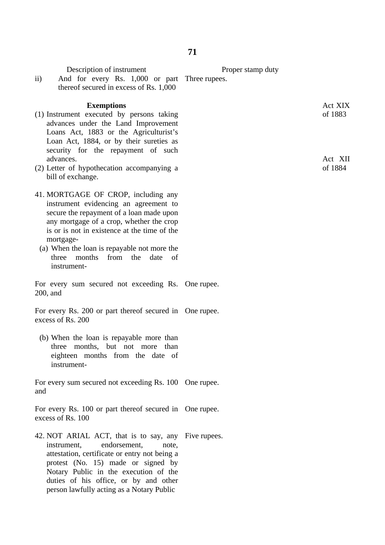| Description of instrument<br>And for every Rs. 1,000 or part Three rupees.<br>$\rm ii)$<br>thereof secured in excess of Rs. 1,000                                                                                                                                                                                                               | Proper stamp duty                        |
|-------------------------------------------------------------------------------------------------------------------------------------------------------------------------------------------------------------------------------------------------------------------------------------------------------------------------------------------------|------------------------------------------|
| <b>Exemptions</b><br>(1) Instrument executed by persons taking<br>advances under the Land Improvement<br>Loans Act, 1883 or the Agriculturist's<br>Loan Act, 1884, or by their sureties as<br>security for the repayment of such<br>advances.<br>(2) Letter of hypothecation accompanying a<br>bill of exchange.                                | Act XIX<br>of 1883<br>Act XII<br>of 1884 |
| 41. MORTGAGE OF CROP, including any<br>instrument evidencing an agreement to<br>secure the repayment of a loan made upon<br>any mortgage of a crop, whether the crop<br>is or is not in existence at the time of the<br>mortgage-<br>(a) When the loan is repayable not more the<br>months<br>from<br>three<br>the<br>date<br>of<br>instrument- |                                          |
| For every sum secured not exceeding Rs. One rupee.<br>$200$ , and                                                                                                                                                                                                                                                                               |                                          |
| For every Rs. 200 or part thereof secured in One rupee.<br>excess of Rs. 200                                                                                                                                                                                                                                                                    |                                          |
| (b) When the loan is repayable more than<br>months, but not more<br>three<br>than<br>eighteen months from the date of<br>instrument-                                                                                                                                                                                                            |                                          |
| For every sum secured not exceeding Rs. 100 One rupee.<br>and                                                                                                                                                                                                                                                                                   |                                          |
| For every Rs. 100 or part thereof secured in One rupee.<br>excess of Rs. 100                                                                                                                                                                                                                                                                    |                                          |
| 42. NOT ARIAL ACT, that is to say, any Five rupees.<br>endorsement,<br>instrument,<br>note,<br>attestation, certificate or entry not being a<br>protest (No. 15) made or signed by<br>Notary Public in the execution of the<br>duties of his office, or by and other<br>person lawfully acting as a Notary Public                               |                                          |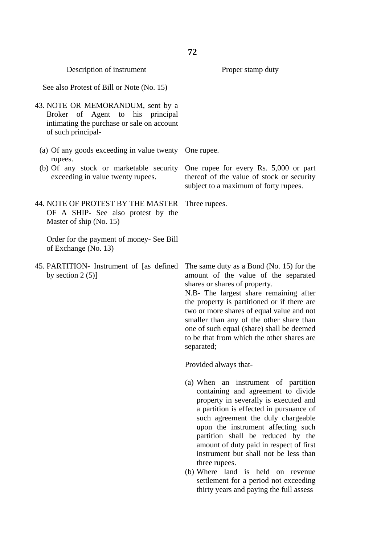| Description of instrument                                                                                                                 | Proper stamp duty                                                                                                                                                                                                                                                                                                                                                                                                                                                                                            |
|-------------------------------------------------------------------------------------------------------------------------------------------|--------------------------------------------------------------------------------------------------------------------------------------------------------------------------------------------------------------------------------------------------------------------------------------------------------------------------------------------------------------------------------------------------------------------------------------------------------------------------------------------------------------|
| See also Protest of Bill or Note (No. 15)                                                                                                 |                                                                                                                                                                                                                                                                                                                                                                                                                                                                                                              |
| 43. NOTE OR MEMORANDUM, sent by a<br>Broker of Agent to his principal<br>intimating the purchase or sale on account<br>of such principal- |                                                                                                                                                                                                                                                                                                                                                                                                                                                                                                              |
| (a) Of any goods exceeding in value twenty One rupee.<br>rupees.                                                                          |                                                                                                                                                                                                                                                                                                                                                                                                                                                                                                              |
| (b) Of any stock or marketable security<br>exceeding in value twenty rupees.                                                              | One rupee for every Rs. 5,000 or part<br>thereof of the value of stock or security<br>subject to a maximum of forty rupees.                                                                                                                                                                                                                                                                                                                                                                                  |
| 44. NOTE OF PROTEST BY THE MASTER<br>OF A SHIP- See also protest by the<br>Master of ship (No. 15)                                        | Three rupees.                                                                                                                                                                                                                                                                                                                                                                                                                                                                                                |
| Order for the payment of money- See Bill<br>of Exchange (No. 13)                                                                          |                                                                                                                                                                                                                                                                                                                                                                                                                                                                                                              |
| 45. PARTITION- Instrument of [as defined]<br>by section $2(5)$ ]                                                                          | The same duty as a Bond (No. 15) for the<br>amount of the value of the separated<br>shares or shares of property.<br>N.B- The largest share remaining after<br>the property is partitioned or if there are<br>two or more shares of equal value and not<br>smaller than any of the other share than<br>one of such equal (share) shall be deemed<br>to be that from which the other shares are<br>separated;                                                                                                 |
|                                                                                                                                           | Provided always that-                                                                                                                                                                                                                                                                                                                                                                                                                                                                                        |
|                                                                                                                                           | (a) When an instrument of partition<br>containing and agreement to divide<br>property in severally is executed and<br>a partition is effected in pursuance of<br>such agreement the duly chargeable<br>upon the instrument affecting such<br>partition shall be reduced by the<br>amount of duty paid in respect of first<br>instrument but shall not be less than<br>three rupees.<br>(b) Where land is held on revenue<br>settlement for a period not exceeding<br>thirty years and paying the full assess |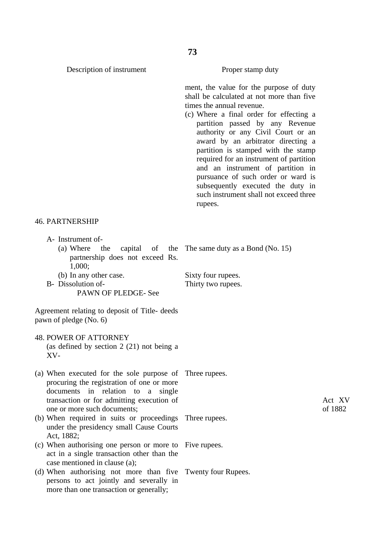Description of instrument

Proper stamp duty

ment, the value for the purpose of duty shall be calculated at not more than five times the annual revenue.

(c) Where a final order for effecting a partition passed by any Revenue authority or any Civil Court or an award by an arbitrator directing a partition is stamped with the stamp required for an instrument of partition and an instrument of partition in pursuance of such order or ward is subsequently executed the duty in such instrument shall not exceed three rupees.

#### 46. PARTNERSHIP

- A- Instrument of-
	- (a) Where the capital of the partnership does not exceed Rs. 1,000; (b) In any other case. The same duty as a Bond (No. 15) Sixty four rupees.
- B- Dissolution of-PAWN OF PLEDGE- See

Agreement relating to deposit of Title- deeds pawn of pledge (No. 6)

- 48. POWER OF ATTORNEY (as defined by section 2 (21) not being a XV-
- (a) When executed for the sole purpose of Three rupees. procuring the registration of one or more documents in relation to a single transaction or for admitting execution of one or more such documents; Three rupees.
- (b) When required in suits or proceedings under the presidency small Cause Courts Act, 1882;
- (c) When authorising one person or more to act in a single transaction other than the case mentioned in clause (a);
- (d) When authorising not more than five persons to act jointly and severally in more than one transaction or generally; Twenty four Rupees.

Thirty two rupees.

Five rupees.

Act XV of 1882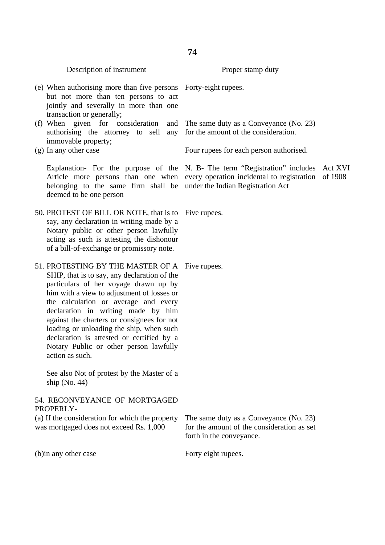Description of instrument

- (e) When authorising more than five persons but not more than ten persons to act jointly and severally in more than one transaction or generally;
- (f) When given for consideration and authorising the attorney to sell any immovable property;
- (g) In any other case

Explanation- For the purpose of the Article more persons than one when belonging to the same firm shall be deemed to be one person

50. PROTEST OF BILL OR NOTE, that is to say, any declaration in writing made by a Notary public or other person lawfully acting as such is attesting the dishonour of a bill-of-exchange or promissory note.

51. PROTESTING BY THE MASTER OF A Five rupees. SHIP, that is to say, any declaration of the particulars of her voyage drawn up by him with a view to adjustment of losses or the calculation or average and every declaration in writing made by him against the charters or consignees for not loading or unloading the ship, when such declaration is attested or certified by a Notary Public or other person lawfully action as such.

See also Not of protest by the Master of a ship (No. 44)

### 54. RECONVEYANCE OF MORTGAGED PROPERLY-

(a) If the consideration for which the property was mortgaged does not exceed Rs. 1,000

(b)in any other case

Forty-eight rupees.

The same duty as a Conveyance (No. 23) for the amount of the consideration.

Proper stamp duty

Four rupees for each person authorised.

N. B- The term "Registration" includes Act XVI every operation incidental to registration of 1908under the Indian Registration Act

Five rupees.

The same duty as a Conveyance (No. 23) for the amount of the consideration as set forth in the conveyance.

Forty eight rupees.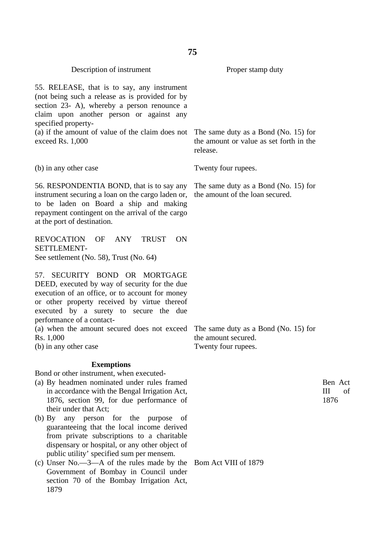| Description of instrument                                                                                                                                                                                                                                   | Proper stamp duty                                                                           |                              |
|-------------------------------------------------------------------------------------------------------------------------------------------------------------------------------------------------------------------------------------------------------------|---------------------------------------------------------------------------------------------|------------------------------|
| 55. RELEASE, that is to say, any instrument<br>(not being such a release as is provided for by<br>section 23- A), whereby a person renounce a<br>claim upon another person or against any<br>specified property-                                            |                                                                                             |                              |
| (a) if the amount of value of the claim does not<br>exceed Rs. 1,000                                                                                                                                                                                        | The same duty as a Bond (No. 15) for<br>the amount or value as set forth in the<br>release. |                              |
| (b) in any other case                                                                                                                                                                                                                                       | Twenty four rupees.                                                                         |                              |
| 56. RESPONDENTIA BOND, that is to say any<br>instrument securing a loan on the cargo laden or,<br>to be laden on Board a ship and making<br>repayment contingent on the arrival of the cargo<br>at the port of destination.                                 | The same duty as a Bond (No. 15) for<br>the amount of the loan secured.                     |                              |
| <b>REVOCATION</b><br><b>ANY</b><br><b>TRUST</b><br>OF<br><b>ON</b><br>SETTLEMENT-<br>See settlement (No. 58), Trust (No. 64)                                                                                                                                |                                                                                             |                              |
| SECURITY BOND OR MORTGAGE<br>57.<br>DEED, executed by way of security for the due<br>execution of an office, or to account for money<br>or other property received by virtue thereof<br>executed by a surety to secure the due<br>performance of a contact- |                                                                                             |                              |
| (a) when the amount secured does not exceed<br>Rs. 1,000<br>(b) in any other case                                                                                                                                                                           | The same duty as a Bond (No. 15) for<br>the amount secured.<br>Twenty four rupees.          |                              |
| <b>Exemptions</b>                                                                                                                                                                                                                                           |                                                                                             |                              |
| Bond or other instrument, when executed-<br>(a) By headmen nominated under rules framed<br>in accordance with the Bengal Irrigation Act,<br>1876, section 99, for due performance of<br>their under that Act;                                               |                                                                                             | Ben Act<br>III<br>of<br>1876 |
| any person for the purpose<br>(b) By<br>-of<br>guaranteeing that the local income derived<br>from private subscriptions to a charitable<br>dispensary or hospital, or any other object of                                                                   |                                                                                             |                              |
| public utility' specified sum per mensem.<br>(c) Unser $No. -3 - A$ of the rules made by the<br>Government of Bombay in Council under<br>section 70 of the Bombay Irrigation Act,<br>1879                                                                   | Bom Act VIII of 1879                                                                        |                              |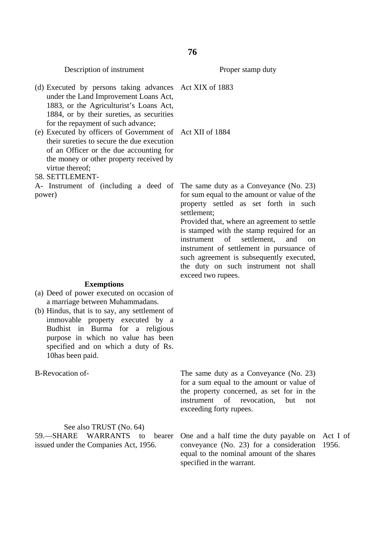Description of instrument

Proper stamp duty

(d) Executed by persons taking advances Act XIX of 1883 under the Land Improvement Loans Act, 1883, or the Agriculturist's Loans Act, 1884, or by their sureties, as securities for the repayment of such advance; (e) Executed by officers of Government of Act XII of 1884 their sureties to secure the due execution of an Officer or the due accounting for the money or other property received by virtue thereof; 58. SETTLEMENT-A- Instrument of (including a deed of power) **Exemptions** (a) Deed of power executed on occasion of a marriage between Muhammadans. (b) Hindus, that is to say, any settlement of immovable property executed by a Budhist in Burma for a religious purpose in which no value has been specified and on which a duty of Rs. 10has been paid. B-Revocation of-See also TRUST (No. 64) 59.—SHARE WARRANTS to bearer issued under the Companies Act, 1956. The same duty as a Conveyance (No. 23) for sum equal to the amount or value of the property settled as set forth in such settlement; Provided that, where an agreement to settle is stamped with the stamp required for an instrument of settlement, and on instrument of settlement in pursuance of such agreement is subsequently executed, the duty on such instrument not shall exceed two rupees. The same duty as a Conveyance (No. 23) for a sum equal to the amount or value of the property concerned, as set for in the instrument of revocation, but not exceeding forty rupees. One and a half time the duty payable on Act I of conveyance (No. 23) for a consideration 1956. equal to the nominal amount of the shares specified in the warrant.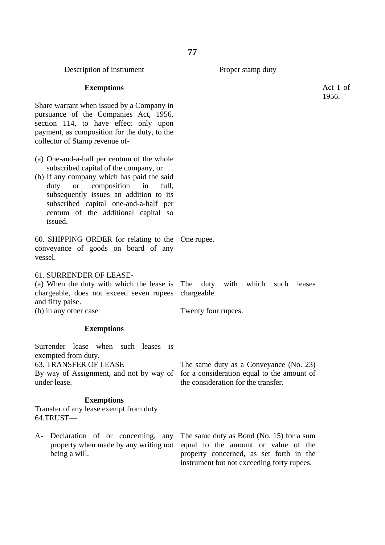Description of instrument

#### Proper stamp duty

### **Exemptions**

Share warrant when issued by a Company in pursuance of the Companies Act, 1956, section 114, to have effect only upon payment, as composition for the duty, to the collector of Stamp revenue of-

- (a) One-and-a-half per centum of the whole subscribed capital of the company, or
- (b) If any company which has paid the said duty or composition in full, subsequently issues an addition to its subscribed capital one-and-a-half per centum of the additional capital so issued.

60. SHIPPING ORDER for relating to the One rupee. conveyance of goods on board of any vessel.

### 61. SURRENDER OF LEASE-

(a) When the duty with which the lease is The duty with which such leases chargeable, does not exceed seven rupees chargeable. and fifty paise. Twenty four rupees.

(b) in any other case

#### **Exemptions**

Surrender lease when such leases is exempted from duty.

63. TRANSFER OF LEASE

By way of Assignment, and not by way of for a consideration equal to the amount of under lease.

### **Exemptions**

Transfer of any lease exempt from duty 64.TRUST—

A- Declaration of or concerning, any property when made by any writing not being a will.

the consideration for the transfer.

The same duty as a Conveyance (No. 23)

The same duty as Bond (No. 15) for a sum equal to the amount or value of the property concerned, as set forth in the instrument but not exceeding forty rupees.

Act I of 1956.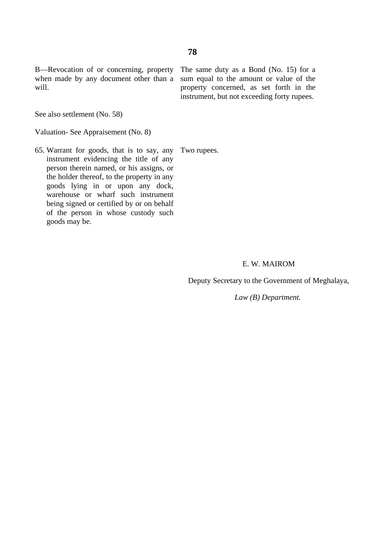B—Revocation of or concerning, property when made by any document other than a sum equal to the amount or value of the will.

The same duty as a Bond (No. 15) for a property concerned, as set forth in the instrument, but not exceeding forty rupees.

See also settlement (No. 58)

Valuation- See Appraisement (No. 8)

65. Warrant for goods, that is to say, any Two rupees. instrument evidencing the title of any person therein named, or his assigns, or the holder thereof, to the property in any goods lying in or upon any dock, warehouse or wharf such instrument being signed or certified by or on behalf of the person in whose custody such goods may be.

#### E. W. MAIROM

Deputy Secretary to the Government of Meghalaya,

 *Law (B) Department.*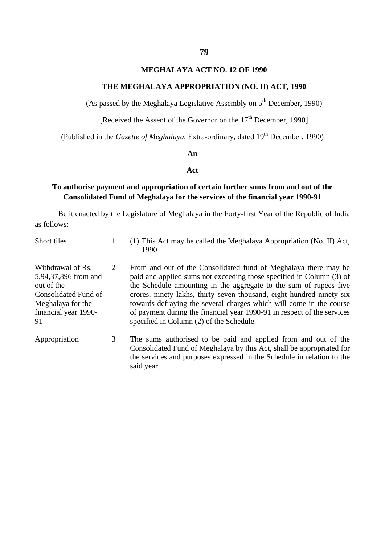### **MEGHALAYA ACT NO. 12 OF 1990**

### **THE MEGHALAYA APPROPRIATION (NO. II) ACT, 1990**

(As passed by the Meghalaya Legislative Assembly on  $5<sup>th</sup>$  December, 1990)

[Received the Assent of the Governor on the 17<sup>th</sup> December, 1990]

(Published in the *Gazette of Meghalaya*, Extra-ordinary, dated 19<sup>th</sup> December, 1990)

#### **An**

### **Act**

### **To authorise payment and appropriation of certain further sums from and out of the Consolidated Fund of Meghalaya for the services of the financial year 1990-91**

Be it enacted by the Legislature of Meghalaya in the Forty-first Year of the Republic of India as follows:-

| Short tiles                                                                                                                        |   | (1) This Act may be called the Meghalaya Appropriation (No. II) Act,<br>1990                                                                                                                                                                                                                                                                                                                                                                                                        |
|------------------------------------------------------------------------------------------------------------------------------------|---|-------------------------------------------------------------------------------------------------------------------------------------------------------------------------------------------------------------------------------------------------------------------------------------------------------------------------------------------------------------------------------------------------------------------------------------------------------------------------------------|
| Withdrawal of Rs.<br>5,94,37,896 from and<br>out of the<br>Consolidated Fund of<br>Meghalaya for the<br>financial year 1990-<br>91 | 2 | From and out of the Consolidated fund of Meghalaya there may be<br>paid and applied sums not exceeding those specified in Column (3) of<br>the Schedule amounting in the aggregate to the sum of rupees five<br>crores, ninety lakhs, thirty seven thousand, eight hundred ninety six<br>towards defraying the several charges which will come in the course<br>of payment during the financial year 1990-91 in respect of the services<br>specified in Column (2) of the Schedule. |
| Appropriation                                                                                                                      | 3 | The sums authorised to be paid and applied from and out of the<br>Consolidated Fund of Meghalaya by this Act, shall be appropriated for<br>the services and purposes expressed in the Schedule in relation to the                                                                                                                                                                                                                                                                   |

said year.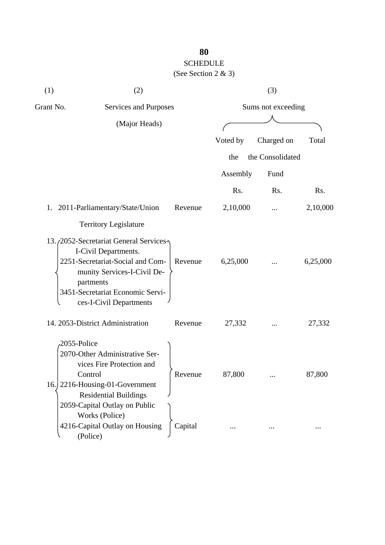### **80** SCHEDULE (See Section 2 & 3)

| (1)                           | (2)                                                                                                                                                                                                                        |         |                    | (3)              |          |  |
|-------------------------------|----------------------------------------------------------------------------------------------------------------------------------------------------------------------------------------------------------------------------|---------|--------------------|------------------|----------|--|
| Grant No.                     | <b>Services and Purposes</b>                                                                                                                                                                                               |         | Sums not exceeding |                  |          |  |
|                               | (Major Heads)                                                                                                                                                                                                              |         |                    |                  |          |  |
|                               |                                                                                                                                                                                                                            |         | Voted by           | Charged on       | Total    |  |
|                               |                                                                                                                                                                                                                            |         | the                | the Consolidated |          |  |
|                               |                                                                                                                                                                                                                            |         | Assembly           | Fund             |          |  |
|                               |                                                                                                                                                                                                                            |         | Rs.                | Rs.              | Rs.      |  |
| 1.                            | 2011-Parliamentary/State/Union                                                                                                                                                                                             | Revenue | 2,10,000           |                  | 2,10,000 |  |
|                               | <b>Territory Legislature</b>                                                                                                                                                                                               |         |                    |                  |          |  |
|                               | 13. <sub>(2052</sub> -Secretariat General Services-<br>I-Civil Departments.<br>2251-Secretariat-Social and Com-<br>munity Services-I-Civil De-<br>partments<br>3451-Secretariat Economic Servi-<br>ces-I-Civil Departments | Revenue | 6,25,000           |                  | 6,25,000 |  |
|                               | 14. 2053-District Administration                                                                                                                                                                                           | Revenue | 27,332             |                  | 27,332   |  |
| 2055-Police<br>Control<br>16. | 2070-Other Administrative Ser-<br>vices Fire Protection and<br>2216-Housing-01-Government<br><b>Residential Buildings</b><br>2059-Capital Outlay on Public<br>Works (Police)                                               | Revenue | 87,800             |                  | 87,800   |  |
|                               | 4216-Capital Outlay on Housing<br>(Police)                                                                                                                                                                                 | Capital |                    |                  |          |  |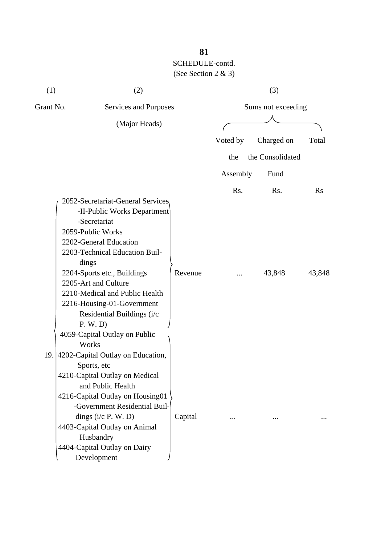| (1)       | (2)                                                                                                                                                                                                                                                                                                                                              |                    |          | (3)              |           |
|-----------|--------------------------------------------------------------------------------------------------------------------------------------------------------------------------------------------------------------------------------------------------------------------------------------------------------------------------------------------------|--------------------|----------|------------------|-----------|
| Grant No. | Services and Purposes                                                                                                                                                                                                                                                                                                                            | Sums not exceeding |          |                  |           |
|           | (Major Heads)                                                                                                                                                                                                                                                                                                                                    |                    |          |                  |           |
|           |                                                                                                                                                                                                                                                                                                                                                  |                    | Voted by | Charged on       | Total     |
|           |                                                                                                                                                                                                                                                                                                                                                  |                    | the      | the Consolidated |           |
|           |                                                                                                                                                                                                                                                                                                                                                  |                    | Assembly | Fund             |           |
|           |                                                                                                                                                                                                                                                                                                                                                  |                    | Rs.      | Rs.              | <b>Rs</b> |
|           | 2052-Secretariat-General Services<br>-II-Public Works Department<br>-Secretariat<br>2059-Public Works<br>2202-General Education<br>2203-Technical Education Buil-<br>dings<br>2204-Sports etc., Buildings<br>2205-Art and Culture<br>2210-Medical and Public Health<br>2216-Housing-01-Government<br>Residential Buildings (i/c<br>P. W. D)      | Revenue            |          | 43,848           | 43,848    |
|           | 4059-Capital Outlay on Public<br>Works<br>19. 4202-Capital Outlay on Education,<br>Sports, etc<br>4210-Capital Outlay on Medical<br>and Public Health<br>4216-Capital Outlay on Housing01<br>-Government Residential Buil-<br>dings $(i/c$ P. W. D)<br>4403-Capital Outlay on Animal<br>Husbandry<br>4404-Capital Outlay on Dairy<br>Development | Capital            |          |                  |           |

**81**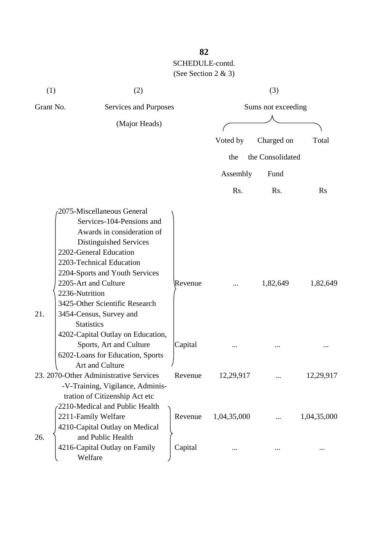| (1)                                | (2)                                    |         |             | (3)                |             |
|------------------------------------|----------------------------------------|---------|-------------|--------------------|-------------|
| Grant No.<br>Services and Purposes |                                        |         |             | Sums not exceeding |             |
|                                    | (Major Heads)                          |         |             |                    |             |
|                                    |                                        |         | Voted by    | Charged on         | Total       |
|                                    |                                        |         |             |                    |             |
|                                    |                                        |         | the         | the Consolidated   |             |
|                                    |                                        |         | Assembly    | Fund               |             |
|                                    |                                        |         | Rs.         | Rs.                | <b>Rs</b>   |
|                                    | 2075-Miscellaneous General             |         |             |                    |             |
|                                    | Services-104-Pensions and              |         |             |                    |             |
|                                    | Awards in consideration of             |         |             |                    |             |
|                                    | Distinguished Services                 |         |             |                    |             |
|                                    | 2202-General Education                 |         |             |                    |             |
|                                    | 2203-Technical Education               |         |             |                    |             |
|                                    | 2204-Sports and Youth Services         |         |             |                    |             |
|                                    | 2205-Art and Culture                   | Revenue |             | 1,82,649           | 1,82,649    |
| 2236-Nutrition                     |                                        |         |             |                    |             |
|                                    | 3425-Other Scientific Research         |         |             |                    |             |
| 21.                                | 3454-Census, Survey and                |         |             |                    |             |
|                                    | <b>Statistics</b>                      |         |             |                    |             |
|                                    | 4202-Capital Outlay on Education,      |         |             |                    |             |
|                                    | Sports, Art and Culture                | Capital |             |                    |             |
|                                    | 6202-Loans for Education, Sports       |         |             |                    |             |
|                                    | Art and Culture                        |         |             |                    |             |
|                                    | 23. 2070-Other Administrative Services | Revenue | 12,29,917   |                    | 12,29,917   |
|                                    | -V-Training, Vigilance, Adminis-       |         |             |                    |             |
|                                    | tration of Citizenship Act etc         |         |             |                    |             |
|                                    | -2210-Medical and Public Health        |         |             |                    |             |
|                                    | 2211-Family Welfare                    | Revenue | 1,04,35,000 |                    | 1,04,35,000 |
|                                    | 4210-Capital Outlay on Medical         |         |             |                    |             |
| 26.                                | and Public Health                      |         |             |                    |             |
|                                    | 4216-Capital Outlay on Family          | Capital |             |                    |             |
|                                    | Welfare                                |         |             |                    |             |

### **82**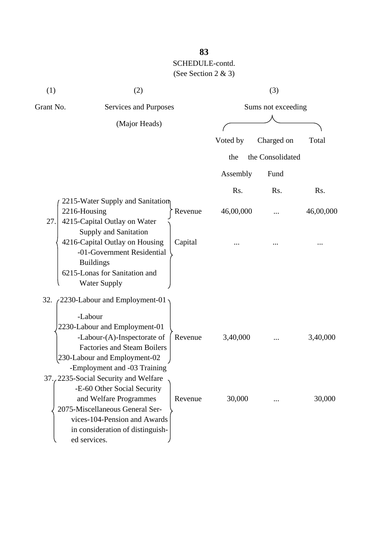| (1)                 | (2)                                                                                                                                                      |           | (3)                |           |  |  |
|---------------------|----------------------------------------------------------------------------------------------------------------------------------------------------------|-----------|--------------------|-----------|--|--|
| Grant No.           | Services and Purposes                                                                                                                                    |           | Sums not exceeding |           |  |  |
|                     | (Major Heads)                                                                                                                                            |           |                    |           |  |  |
|                     |                                                                                                                                                          | Voted by  | Charged on         | Total     |  |  |
|                     |                                                                                                                                                          | the       | the Consolidated   |           |  |  |
|                     |                                                                                                                                                          | Assembly  | Fund               |           |  |  |
|                     |                                                                                                                                                          | Rs.       | Rs.                | Rs.       |  |  |
| 2216-Housing<br>27. | 2215-Water Supply and Sanitation<br>Revenue<br>4215-Capital Outlay on Water<br><b>Supply and Sanitation</b>                                              | 46,00,000 |                    | 46,00,000 |  |  |
|                     | 4216-Capital Outlay on Housing<br>Capital<br>-01-Government Residential<br><b>Buildings</b><br>6215-Lonas for Sanitation and<br><b>Water Supply</b>      |           |                    |           |  |  |
| 32.                 | 2230-Labour and Employment-01                                                                                                                            |           |                    |           |  |  |
|                     | -Labour<br>2230-Labour and Employment-01<br>-Labour-(A)-Inspectorate of<br>Revenue<br><b>Factories and Steam Boilers</b>                                 | 3,40,000  |                    | 3,40,000  |  |  |
|                     | 230-Labour and Employment-02<br>-Employment and -03 Training<br>37., 2235-Social Security and Welfare<br>-E-60 Other Social Security                     |           |                    |           |  |  |
|                     | and Welfare Programmes<br>Revenue<br>2075-Miscellaneous General Ser-<br>vices-104-Pension and Awards<br>in consideration of distinguish-<br>ed services. | 30,000    |                    | 30,000    |  |  |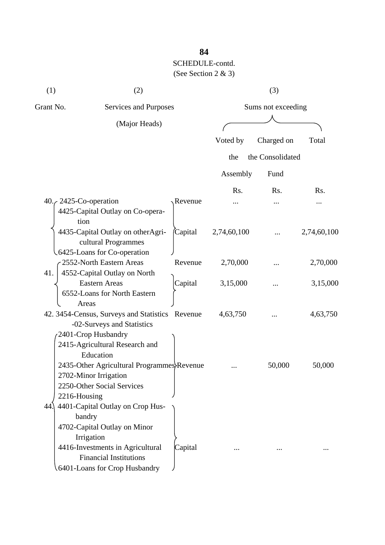| (1)                    | (2)                                                                                                                                                                                            |                    |             | (3)              |             |
|------------------------|------------------------------------------------------------------------------------------------------------------------------------------------------------------------------------------------|--------------------|-------------|------------------|-------------|
| Grant No.              | Services and Purposes                                                                                                                                                                          | Sums not exceeding |             |                  |             |
| (Major Heads)          |                                                                                                                                                                                                |                    |             |                  |             |
|                        |                                                                                                                                                                                                |                    | Voted by    | Charged on       | Total       |
|                        |                                                                                                                                                                                                |                    | the         | the Consolidated |             |
|                        |                                                                                                                                                                                                |                    | Assembly    | Fund             |             |
|                        |                                                                                                                                                                                                |                    | Rs.         | Rs.              | Rs.         |
| 40. $\epsilon$<br>tion | 2425-Co-operation<br>4425-Capital Outlay on Co-opera-                                                                                                                                          | Revenue            |             |                  |             |
|                        | 4435-Capital Outlay on otherAgri-<br>cultural Programmes<br>6425-Loans for Co-operation                                                                                                        | (Capital           | 2,74,60,100 |                  | 2,74,60,100 |
| 41.                    | 2552-North Eastern Areas<br>4552-Capital Outlay on North                                                                                                                                       | Revenue            | 2,70,000    |                  | 2,70,000    |
|                        | <b>Eastern Areas</b><br>6552-Loans for North Eastern<br>Areas                                                                                                                                  | Capital            | 3,15,000    |                  | 3,15,000    |
|                        | 42. 3454-Census, Surveys and Statistics Revenue<br>-02-Surveys and Statistics<br>2401-Crop Husbandry                                                                                           |                    | 4,63,750    |                  | 4,63,750    |
| 2216-Housing           | 2415-Agricultural Research and<br>Education<br>2435-Other Agricultural Programmes Revenue<br>2702-Minor Irrigation<br>2250-Other Social Services                                               |                    |             | 50,000           | 50,000      |
| 44.                    | 4401-Capital Outlay on Crop Hus-<br>bandry<br>4702-Capital Outlay on Minor<br>Irrigation<br>4416-Investments in Agricultural<br><b>Financial Institutions</b><br>6401-Loans for Crop Husbandry | Capital            |             |                  |             |

**84**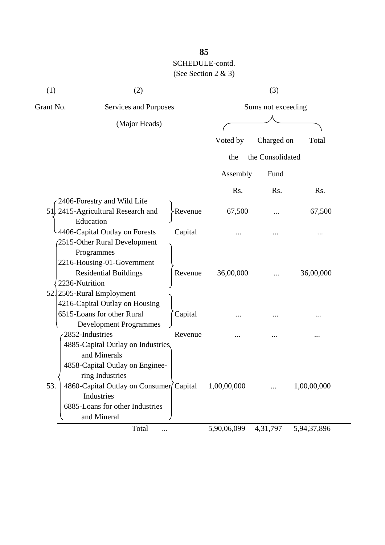| (1)       | (2)                                             |                    |             | (3)              |             |  |
|-----------|-------------------------------------------------|--------------------|-------------|------------------|-------------|--|
| Grant No. | Services and Purposes                           | Sums not exceeding |             |                  |             |  |
|           | (Major Heads)                                   |                    |             |                  |             |  |
|           |                                                 |                    | Voted by    | Charged on       | Total       |  |
|           |                                                 |                    | the         | the Consolidated |             |  |
|           |                                                 |                    | Assembly    | Fund             |             |  |
|           |                                                 |                    | Rs.         | Rs.              | Rs.         |  |
|           | 2406-Forestry and Wild Life                     |                    |             |                  |             |  |
|           | 51. 2415-Agricultural Research and<br>Education | >Revenue           | 67,500      |                  | 67,500      |  |
|           | -4406-Capital Outlay on Forests                 | Capital            |             |                  |             |  |
|           | 2515-Other Rural Development                    |                    |             |                  |             |  |
|           | Programmes                                      |                    |             |                  |             |  |
|           | 2216-Housing-01-Government                      |                    |             |                  |             |  |
|           | <b>Residential Buildings</b>                    | Revenue            | 36,00,000   |                  | 36,00,000   |  |
|           | 2236-Nutrition                                  |                    |             |                  |             |  |
|           | 52. 2505-Rural Employment                       |                    |             |                  |             |  |
|           | 4216-Capital Outlay on Housing                  |                    |             |                  |             |  |
|           | 6515-Loans for other Rural                      | Capital            |             |                  |             |  |
|           | <b>Development Programmes</b>                   |                    |             |                  |             |  |
|           | 2852-Industries                                 | Revenue            |             | .                |             |  |
|           | 4885-Capital Outlay on Industries,              |                    |             |                  |             |  |
|           | and Minerals                                    |                    |             |                  |             |  |
|           | 4858-Capital Outlay on Enginee-                 |                    |             |                  |             |  |
|           | ring Industries                                 |                    |             |                  |             |  |
| 53.       | 4860-Capital Outlay on Consumer Capital         |                    | 1,00,00,000 |                  | 1,00,00,000 |  |
|           | Industries                                      |                    |             |                  |             |  |
|           | 6885-Loans for other Industries                 |                    |             |                  |             |  |
|           | and Mineral                                     |                    |             |                  |             |  |
|           | Total<br>                                       |                    | 5,90,06,099 | 4,31,797         | 5,94,37,896 |  |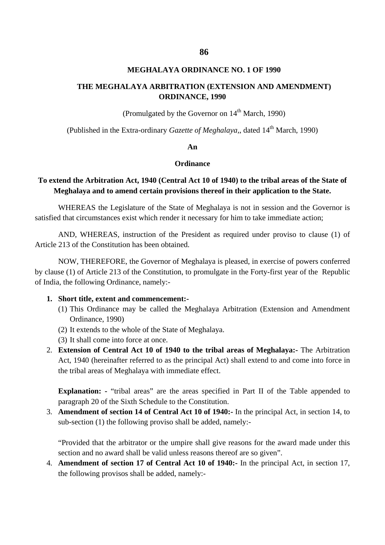#### **MEGHALAYA ORDINANCE NO. 1 OF 1990**

### **THE MEGHALAYA ARBITRATION (EXTENSION AND AMENDMENT) ORDINANCE, 1990**

**(Promulgated by the Governor on**  $14<sup>th</sup>$  **March, 1990)** 

(Published in the Extra-ordinary *Gazette of Meghalaya*,, dated 14<sup>th</sup> March, 1990)

### **An**

#### **Ordinance**

### **To extend the Arbitration Act, 1940 (Central Act 10 of 1940) to the tribal areas of the State of Meghalaya and to amend certain provisions thereof in their application to the State.**

WHEREAS the Legislature of the State of Meghalaya is not in session and the Governor is satisfied that circumstances exist which render it necessary for him to take immediate action;

AND, WHEREAS, instruction of the President as required under proviso to clause (1) of Article 213 of the Constitution has been obtained.

NOW, THEREFORE, the Governor of Meghalaya is pleased, in exercise of powers conferred by clause (1) of Article 213 of the Constitution, to promulgate in the Forty-first year of the Republic of India, the following Ordinance, namely:-

### **1. Short title, extent and commencement:-**

- (1) This Ordinance may be called the Meghalaya Arbitration (Extension and Amendment Ordinance, 1990)
- (2) It extends to the whole of the State of Meghalaya.
- (3) It shall come into force at once.
- 2. **Extension of Central Act 10 of 1940 to the tribal areas of Meghalaya:-** The Arbitration Act, 1940 (hereinafter referred to as the principal Act) shall extend to and come into force in the tribal areas of Meghalaya with immediate effect.

**Explanation:** - "tribal areas" are the areas specified in Part II of the Table appended to paragraph 20 of the Sixth Schedule to the Constitution.

3. **Amendment of section 14 of Central Act 10 of 1940:-** In the principal Act, in section 14, to sub-section (1) the following proviso shall be added, namely:-

"Provided that the arbitrator or the umpire shall give reasons for the award made under this section and no award shall be valid unless reasons thereof are so given".

4. **Amendment of section 17 of Central Act 10 of 1940:-** In the principal Act, in section 17, the following provisos shall be added, namely:-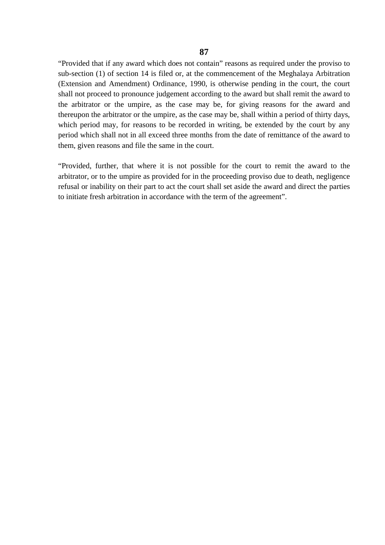"Provided that if any award which does not contain" reasons as required under the proviso to sub-section (1) of section 14 is filed or, at the commencement of the Meghalaya Arbitration (Extension and Amendment) Ordinance, 1990, is otherwise pending in the court, the court shall not proceed to pronounce judgement according to the award but shall remit the award to the arbitrator or the umpire, as the case may be, for giving reasons for the award and thereupon the arbitrator or the umpire, as the case may be, shall within a period of thirty days, which period may, for reasons to be recorded in writing, be extended by the court by any period which shall not in all exceed three months from the date of remittance of the award to them, given reasons and file the same in the court.

"Provided, further, that where it is not possible for the court to remit the award to the arbitrator, or to the umpire as provided for in the proceeding proviso due to death, negligence refusal or inability on their part to act the court shall set aside the award and direct the parties to initiate fresh arbitration in accordance with the term of the agreement".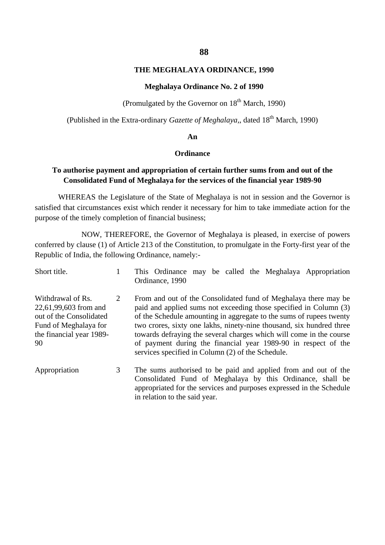#### **THE MEGHALAYA ORDINANCE, 1990**

#### **Meghalaya Ordinance No. 2 of 1990**

**(Promulgated by the Governor on**  $18<sup>th</sup>$  **March, 1990)** 

(Published in the Extra-ordinary *Gazette of Meghalaya,*, dated 18th March, 1990)

#### **An**

#### **Ordinance**

### **To authorise payment and appropriation of certain further sums from and out of the Consolidated Fund of Meghalaya for the services of the financial year 1989-90**

WHEREAS the Legislature of the State of Meghalaya is not in session and the Governor is satisfied that circumstances exist which render it necessary for him to take immediate action for the purpose of the timely completion of financial business;

NOW, THEREFORE, the Governor of Meghalaya is pleased, in exercise of powers conferred by clause (1) of Article 213 of the Constitution, to promulgate in the Forty-first year of the Republic of India, the following Ordinance, namely:-

| Short title.                                                                                                                     |   | This Ordinance may be called the Meghalaya Appropriation<br>Ordinance, 1990                                                                                                                                                                                                                                                                                                                                                                                                       |
|----------------------------------------------------------------------------------------------------------------------------------|---|-----------------------------------------------------------------------------------------------------------------------------------------------------------------------------------------------------------------------------------------------------------------------------------------------------------------------------------------------------------------------------------------------------------------------------------------------------------------------------------|
| Withdrawal of Rs.<br>22,61,99,603 from and<br>out of the Consolidated<br>Fund of Meghalaya for<br>the financial year 1989-<br>90 | 2 | From and out of the Consolidated fund of Meghalaya there may be<br>paid and applied sums not exceeding those specified in Column (3)<br>of the Schedule amounting in aggregate to the sums of rupees twenty<br>two crores, sixty one lakhs, ninety-nine thousand, six hundred three<br>towards defraying the several charges which will come in the course<br>of payment during the financial year 1989-90 in respect of the<br>services specified in Column (2) of the Schedule. |
| Appropriation                                                                                                                    | 3 | The sums authorised to be paid and applied from and out of the<br>Consolidated Fund of Meghalaya by this Ordinance, shall be<br>appropriated for the services and purposes expressed in the Schedule<br>in relation to the said year.                                                                                                                                                                                                                                             |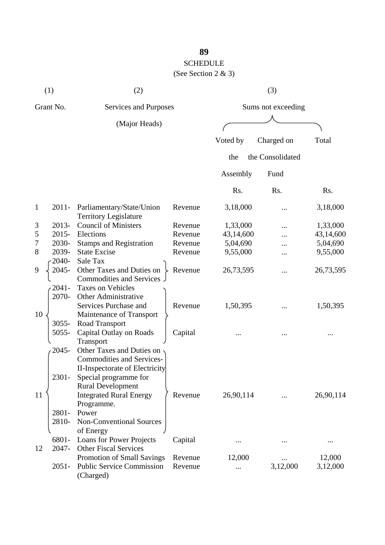(See Section 2 & 3)

|              | (1)                                | (2)                                                       |         |           | (3)                |           |
|--------------|------------------------------------|-----------------------------------------------------------|---------|-----------|--------------------|-----------|
|              | Grant No.<br>Services and Purposes |                                                           |         |           | Sums not exceeding |           |
|              |                                    | (Major Heads)                                             |         |           |                    |           |
|              |                                    |                                                           |         | Voted by  | Charged on         | Total     |
|              |                                    |                                                           |         | the       | the Consolidated   |           |
|              |                                    |                                                           |         | Assembly  | Fund               |           |
|              |                                    |                                                           |         | Rs.       | Rs.                | Rs.       |
| $\mathbf{1}$ | $2011 -$                           | Parliamentary/State/Union<br><b>Territory Legislature</b> | Revenue | 3,18,000  |                    | 3,18,000  |
| 3            | 2013-                              | <b>Council of Ministers</b>                               | Revenue | 1,33,000  | .                  | 1,33,000  |
| 5            | $2015 -$                           | Elections                                                 | Revenue | 43,14,600 |                    | 43,14,600 |
| 7            | 2030-                              | <b>Stamps and Registration</b>                            | Revenue | 5,04,690  |                    | 5,04,690  |
| 8            | 2039-                              | <b>State Excise</b>                                       | Revenue | 9,55,000  |                    | 9,55,000  |
|              | 2040-                              | Sale Tax                                                  |         |           |                    |           |
| 9            | 2045-                              | Other Taxes and Duties on<br>Commodities and Services     | Revenue | 26,73,595 | .                  | 26,73,595 |
|              | $2041 -$                           | <b>Taxes on Vehicles</b>                                  |         |           |                    |           |
|              | 2070-                              | <b>Other Administrative</b>                               |         |           |                    |           |
|              |                                    | Services Purchase and                                     | Revenue | 1,50,395  |                    | 1,50,395  |
| 10           |                                    | Maintenance of Transport                                  |         |           |                    |           |
|              | $3055 -$                           | Road Transport                                            |         |           |                    |           |
|              | 5055-                              | Capital Outlay on Roads                                   | Capital |           |                    |           |
|              |                                    | Transport                                                 |         |           |                    |           |
|              | 2045-                              | Other Taxes and Duties on                                 |         |           |                    |           |
|              |                                    | <b>Commodities and Services-</b>                          |         |           |                    |           |
|              |                                    | II-Inspectorate of Electricity                            |         |           |                    |           |
|              | 2301-                              | Special programme for                                     |         |           |                    |           |
|              |                                    | <b>Rural Development</b>                                  |         |           |                    |           |
| 11           |                                    | <b>Integrated Rural Energy</b>                            | Revenue | 26,90,114 |                    | 26,90,114 |
|              |                                    | Programme.                                                |         |           |                    |           |
|              | 2801-                              | Power                                                     |         |           |                    |           |
|              | 2810-                              | Non-Conventional Sources                                  |         |           |                    |           |
|              |                                    | of Energy                                                 |         |           |                    |           |
|              | 6801-                              | Loans for Power Projects                                  | Capital |           |                    |           |
| 12           | 2047-                              | <b>Other Fiscal Services</b>                              |         |           |                    |           |
|              |                                    | Promotion of Small Savings                                | Revenue | 12,000    |                    | 12,000    |
|              | $2051 -$                           | <b>Public Service Commission</b><br>(Charged)             | Revenue |           | 3,12,000           | 3,12,000  |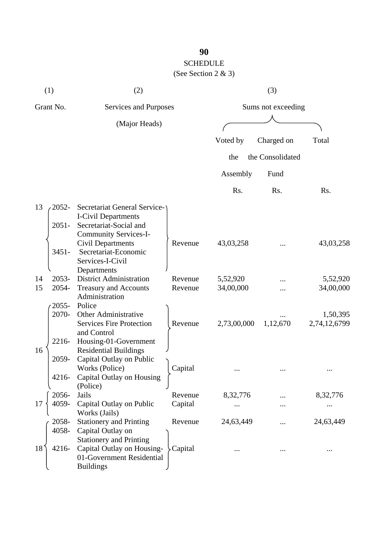# SCHEDULE

(See Section 2 & 3)

|           | (1)               | (2)                                                                                                           |         |             | (3)                |                          |
|-----------|-------------------|---------------------------------------------------------------------------------------------------------------|---------|-------------|--------------------|--------------------------|
| Grant No. |                   | Services and Purposes                                                                                         |         |             | Sums not exceeding |                          |
|           |                   | (Major Heads)                                                                                                 |         |             |                    |                          |
|           |                   |                                                                                                               |         | Voted by    | Charged on         | Total                    |
|           |                   |                                                                                                               |         | the         | the Consolidated   |                          |
|           |                   |                                                                                                               |         | Assembly    | Fund               |                          |
|           |                   |                                                                                                               |         | Rs.         | Rs.                | Rs.                      |
| 13        | 2052-<br>$2051 -$ | Secretariat General Service-<br><b>I-Civil Departments</b><br>Secretariat-Social and<br>Community Services-I- |         |             |                    |                          |
|           | $3451 -$          | <b>Civil Departments</b><br>Secretariat-Economic<br>Services-I-Civil<br>Departments                           | Revenue | 43,03,258   |                    | 43,03,258                |
| 14        | $2053 -$          | <b>District Administration</b>                                                                                | Revenue | 5,52,920    |                    | 5,52,920                 |
| 15        | 2054-             | <b>Treasury and Accounts</b><br>Administration                                                                | Revenue | 34,00,000   |                    | 34,00,000                |
|           | $2055 -$<br>2070- | Police<br>Other Administrative<br><b>Services Fire Protection</b><br>and Control                              | Revenue | 2,73,00,000 | 1,12,670           | 1,50,395<br>2,74,12,6799 |
| 16        | 2216-<br>2059-    | Housing-01-Government<br><b>Residential Buildings</b><br>Capital Outlay on Public                             |         |             |                    |                          |
|           | 4216-             | Works (Police)<br>Capital Outlay on Housing<br>(Police)                                                       | Capital |             |                    |                          |
|           | 2056-             | Jails                                                                                                         | Revenue | 8,32,776    |                    | 8,32,776                 |
| 17        | 4059-             | Capital Outlay on Public<br>Works (Jails)                                                                     | Capital |             |                    |                          |
|           | 2058-<br>4058-    | <b>Stationery and Printing</b><br>Capital Outlay on<br><b>Stationery and Printing</b>                         | Revenue | 24,63,449   |                    | 24,63,449                |
| 18        | 4216-             | Capital Outlay on Housing-<br>01-Government Residential<br><b>Buildings</b>                                   | Capital |             |                    |                          |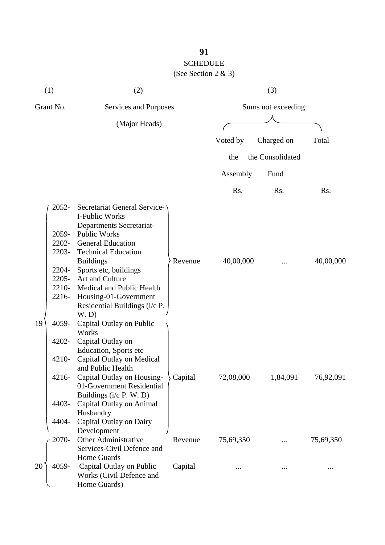(See Section 2 & 3)

| (1)       |                                                                            | (2)                                                                                                                                                                                                                                                                                                                                                         |         | (3)                |                  |           |  |
|-----------|----------------------------------------------------------------------------|-------------------------------------------------------------------------------------------------------------------------------------------------------------------------------------------------------------------------------------------------------------------------------------------------------------------------------------------------------------|---------|--------------------|------------------|-----------|--|
| Grant No. |                                                                            | Services and Purposes                                                                                                                                                                                                                                                                                                                                       |         | Sums not exceeding |                  |           |  |
|           |                                                                            | (Major Heads)                                                                                                                                                                                                                                                                                                                                               |         |                    |                  |           |  |
|           |                                                                            |                                                                                                                                                                                                                                                                                                                                                             |         | Voted by           | Charged on       | Total     |  |
|           |                                                                            |                                                                                                                                                                                                                                                                                                                                                             |         | the                | the Consolidated |           |  |
|           |                                                                            |                                                                                                                                                                                                                                                                                                                                                             |         | Assembly           | Fund             |           |  |
|           |                                                                            |                                                                                                                                                                                                                                                                                                                                                             |         | Rs.                | Rs.              | Rs.       |  |
| 19        | $2052 -$<br>2059-<br>2203-<br>2204-<br>$2205 -$<br>2210-<br>2216-<br>4059- | <b>Secretariat General Service-</b><br>I-Public Works<br>Departments Secretariat-<br><b>Public Works</b><br>2202- General Education<br><b>Technical Education</b><br><b>Buildings</b><br>Sports etc, buildings<br>Art and Culture<br>Medical and Public Health<br>Housing-01-Government<br>Residential Buildings (i/c P.<br>W.D<br>Capital Outlay on Public | Revenue | 40,00,000          |                  | 40,00,000 |  |
|           | 4202-<br>4210-<br>4216-<br>4403-<br>4404-                                  | Works<br>Capital Outlay on<br>Education, Sports etc<br>Capital Outlay on Medical<br>and Public Health<br>Capital Outlay on Housing-<br>01-Government Residential<br>Buildings (i/c P. W. D)<br>Capital Outlay on Animal<br>Husbandry<br>Capital Outlay on Dairy                                                                                             | Capital | 72,08,000          | 1,84,091         | 76,92,091 |  |
|           | 2070-                                                                      | Development<br>Other Administrative<br>Services-Civil Defence and                                                                                                                                                                                                                                                                                           | Revenue | 75,69,350          |                  | 75,69,350 |  |
| 20        | 4059-                                                                      | <b>Home Guards</b><br>Capital Outlay on Public<br>Works (Civil Defence and<br>Home Guards)                                                                                                                                                                                                                                                                  | Capital |                    |                  |           |  |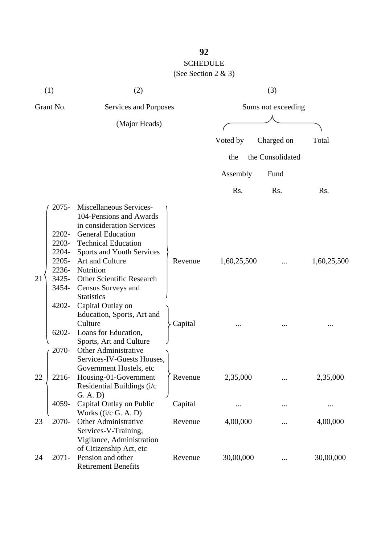### **92** SCHEDULE (See Section 2 & 3)

|           | (1)                                                                              | (2)                                                                                                                                                                                                                                                                                                                                          |                    |                    | (3)              |             |
|-----------|----------------------------------------------------------------------------------|----------------------------------------------------------------------------------------------------------------------------------------------------------------------------------------------------------------------------------------------------------------------------------------------------------------------------------------------|--------------------|--------------------|------------------|-------------|
| Grant No. |                                                                                  | Services and Purposes                                                                                                                                                                                                                                                                                                                        |                    | Sums not exceeding |                  |             |
|           |                                                                                  | (Major Heads)                                                                                                                                                                                                                                                                                                                                |                    |                    |                  |             |
|           |                                                                                  |                                                                                                                                                                                                                                                                                                                                              |                    | Voted by           | Charged on       | Total       |
|           |                                                                                  |                                                                                                                                                                                                                                                                                                                                              |                    | the                | the Consolidated |             |
|           |                                                                                  |                                                                                                                                                                                                                                                                                                                                              |                    | Assembly           | Fund             |             |
|           |                                                                                  |                                                                                                                                                                                                                                                                                                                                              |                    | Rs.                | Rs.              | Rs.         |
| 21        | 2075-<br>2202-<br>2203-<br>2204-<br>2205-<br>2236-<br>$3425 -$<br>3454-<br>4202- | Miscellaneous Services-<br>104-Pensions and Awards<br>in consideration Services<br><b>General Education</b><br><b>Technical Education</b><br>Sports and Youth Services<br>Art and Culture<br>Nutrition<br>Other Scientific Research<br>Census Surveys and<br><b>Statistics</b><br>Capital Outlay on<br>Education, Sports, Art and<br>Culture | Revenue<br>Capital | 1,60,25,500        |                  | 1,60,25,500 |
|           | 6202-<br>2070-                                                                   | Loans for Education,<br>Sports, Art and Culture<br><b>Other Administrative</b><br>Services-IV-Guests Houses,<br>Government Hostels, etc.                                                                                                                                                                                                     |                    |                    |                  |             |
| 22        | 2216-                                                                            | Housing-01-Government<br>Residential Buildings (i/c<br>G. A. D)                                                                                                                                                                                                                                                                              | Revenue            | 2,35,000           |                  | 2,35,000    |
|           | 4059-                                                                            | Capital Outlay on Public<br>Works $((i/c G. A. D))$                                                                                                                                                                                                                                                                                          | Capital            |                    |                  |             |
| 23        | 2070-                                                                            | Other Administrative<br>Services-V-Training,<br>Vigilance, Administration                                                                                                                                                                                                                                                                    | Revenue            | 4,00,000           |                  | 4,00,000    |
| 24        | $2071 -$                                                                         | of Citizenship Act, etc<br>Pension and other<br><b>Retirement Benefits</b>                                                                                                                                                                                                                                                                   | Revenue            | 30,00,000          |                  | 30,00,000   |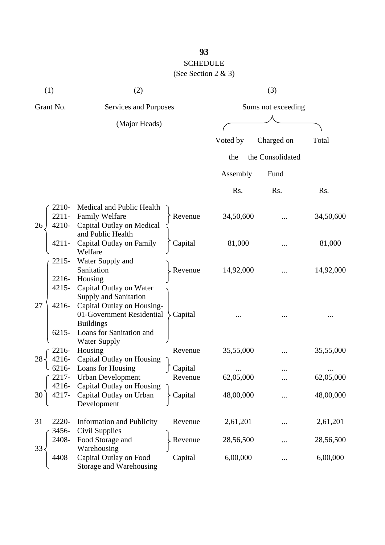(See Section 2 & 3)

| (1)                                    | (2)                                                                                                                                                                                       |                           |                    | (3)              |           |  |
|----------------------------------------|-------------------------------------------------------------------------------------------------------------------------------------------------------------------------------------------|---------------------------|--------------------|------------------|-----------|--|
| Grant No.                              | Services and Purposes                                                                                                                                                                     |                           | Sums not exceeding |                  |           |  |
|                                        | (Major Heads)                                                                                                                                                                             |                           |                    |                  |           |  |
|                                        |                                                                                                                                                                                           |                           | Voted by           | Charged on       | Total     |  |
|                                        |                                                                                                                                                                                           |                           | the                | the Consolidated |           |  |
|                                        |                                                                                                                                                                                           |                           | Assembly           | Fund             |           |  |
|                                        |                                                                                                                                                                                           |                           | Rs.                | Rs.              | Rs.       |  |
| 2210-<br>$2211 -$<br>4210-<br>26       | Medical and Public Health<br><b>Family Welfare</b><br>Capital Outlay on Medical<br>and Public Health                                                                                      | Revenue                   | 34,50,600          |                  | 34,50,600 |  |
| $4211 -$                               | Capital Outlay on Family<br>Welfare                                                                                                                                                       | Capital                   | 81,000             |                  | 81,000    |  |
| 2215-<br>2216-                         | Water Supply and<br>Sanitation<br>Housing                                                                                                                                                 | Revenue                   | 14,92,000          |                  | 14,92,000 |  |
| $4215 -$<br>27<br>$4216 -$<br>$6215 -$ | Capital Outlay on Water<br><b>Supply and Sanitation</b><br>Capital Outlay on Housing-<br>01-Government Residential<br><b>Buildings</b><br>Loans for Sanitation and<br><b>Water Supply</b> | Capital                   |                    |                  |           |  |
| 2216-<br>$4216 -$<br>28                | Housing<br>Capital Outlay on Housing                                                                                                                                                      | Revenue                   | 35,55,000          |                  | 35,55,000 |  |
| 6216-<br>4216-                         | Loans for Housing<br>$\int 2217$ - Urban Development<br>Capital Outlay on Housing                                                                                                         | $\int$ Capital<br>Revenue | 62,05,000          |                  | 62,05,000 |  |
| 30                                     | Capital Outlay on Urban<br>Development                                                                                                                                                    | Capital                   | 48,00,000          |                  | 48,00,000 |  |
| 31<br>2220-<br>3456-                   | <b>Information and Publicity</b><br>Civil Supplies                                                                                                                                        | Revenue                   | 2,61,201           |                  | 2,61,201  |  |
| 2408-<br>33                            | Food Storage and<br>Warehousing                                                                                                                                                           | Revenue                   | 28,56,500          |                  | 28,56,500 |  |
| 4408                                   | Capital Outlay on Food<br>Storage and Warehousing                                                                                                                                         | Capital                   | 6,00,000           |                  | 6,00,000  |  |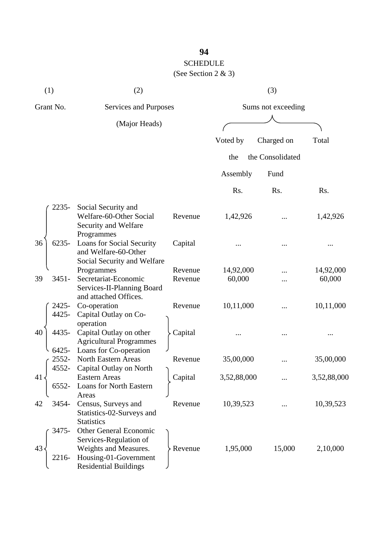(See Section 2 & 3)

| (1)                  | (2)                                                                                                                                |                    |             | (3)              |             |
|----------------------|------------------------------------------------------------------------------------------------------------------------------------|--------------------|-------------|------------------|-------------|
| Grant No.            | Services and Purposes                                                                                                              | Sums not exceeding |             |                  |             |
|                      | (Major Heads)                                                                                                                      |                    |             |                  |             |
|                      |                                                                                                                                    |                    | Voted by    | Charged on       | Total       |
|                      |                                                                                                                                    |                    | the         | the Consolidated |             |
|                      |                                                                                                                                    |                    | Assembly    | Fund             |             |
|                      |                                                                                                                                    |                    | Rs.         | Rs.              | Rs.         |
| 2235-                | Social Security and<br>Welfare-60-Other Social<br>Security and Welfare<br>Programmes                                               | Revenue            | 1,42,926    |                  | 1,42,926    |
| $6235 -$<br>36       | <b>Loans for Social Security</b><br>and Welfare-60-Other<br>Social Security and Welfare                                            | Capital            |             |                  |             |
|                      | Programmes                                                                                                                         | Revenue            | 14,92,000   |                  | 14,92,000   |
| 39<br>$3451 -$       | Secretariat-Economic<br>Services-II-Planning Board<br>and attached Offices.                                                        | Revenue            | 60,000      |                  | 60,000      |
| 2425-<br>4425-       | Co-operation<br>Capital Outlay on Co-<br>operation                                                                                 | Revenue            | 10,11,000   |                  | 10,11,000   |
| 4435-<br>40<br>6425- | Capital Outlay on other<br><b>Agricultural Programmes</b><br>Loans for Co-operation                                                | Capital            |             |                  |             |
| 2552-<br>4552-       | <b>North Eastern Areas</b><br>Capital Outlay on North                                                                              | Revenue            | 35,00,000   |                  | 35,00,000   |
| 41<br>6552-          | <b>Eastern Areas</b><br>Loans for North Eastern<br>Areas                                                                           | Capital            | 3,52,88,000 |                  | 3,52,88,000 |
| 3454-<br>42          | Census, Surveys and<br>Statistics-02-Surveys and<br><b>Statistics</b>                                                              | Revenue            | 10,39,523   |                  | 10,39,523   |
| 3475-<br>43<br>2216- | Other General Economic<br>Services-Regulation of<br>Weights and Measures.<br>Housing-01-Government<br><b>Residential Buildings</b> | Revenue            | 1,95,000    | 15,000           | 2,10,000    |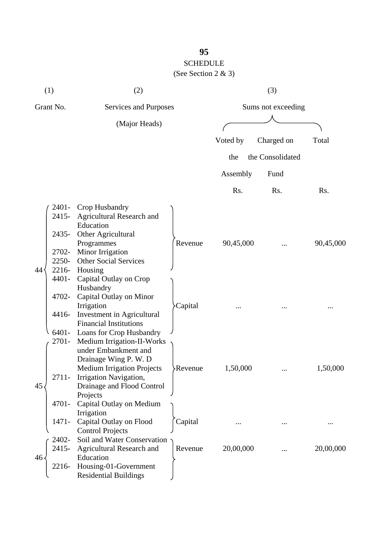(See Section 2 & 3)

|           | (1)                                                                  | (2)                                                                                                                                                                                                                           |                |                    | (3)              |           |
|-----------|----------------------------------------------------------------------|-------------------------------------------------------------------------------------------------------------------------------------------------------------------------------------------------------------------------------|----------------|--------------------|------------------|-----------|
| Grant No. |                                                                      | Services and Purposes                                                                                                                                                                                                         |                | Sums not exceeding |                  |           |
|           |                                                                      | (Major Heads)                                                                                                                                                                                                                 |                |                    |                  |           |
|           |                                                                      |                                                                                                                                                                                                                               |                | Voted by           | Charged on       | Total     |
|           |                                                                      |                                                                                                                                                                                                                               |                | the                | the Consolidated |           |
|           |                                                                      |                                                                                                                                                                                                                               |                |                    |                  |           |
|           |                                                                      |                                                                                                                                                                                                                               |                | Assembly           | Fund             |           |
|           |                                                                      |                                                                                                                                                                                                                               |                | Rs.                | Rs.              | Rs.       |
| 44        | 2401-<br>2415-<br>2435-<br>2702-<br>2250-<br>2216-<br>4401-<br>4702- | Crop Husbandry<br>Agricultural Research and<br>Education<br>Other Agricultural<br>Programmes<br>Minor Irrigation<br><b>Other Social Services</b><br>Housing<br>Capital Outlay on Crop<br>Husbandry<br>Capital Outlay on Minor | Revenue        | 90,45,000          |                  | 90,45,000 |
|           | 4416-<br>6401-<br>2701-                                              | Irrigation<br>Investment in Agricultural<br><b>Financial Institutions</b><br>Loans for Crop Husbandry<br>Medium Irrigation-II-Works<br>under Embankment and<br>Drainage Wing P. W. D                                          | Capital        |                    |                  |           |
| 45        | 2711-<br>4701-                                                       | <b>Medium Irrigation Projects</b><br>Irrigation Navigation,<br>Drainage and Flood Control<br>Projects<br>Capital Outlay on Medium<br>Irrigation                                                                               | <b>Revenue</b> | 1,50,000           |                  | 1,50,000  |
|           | 1471-                                                                | Capital Outlay on Flood<br><b>Control Projects</b>                                                                                                                                                                            | Capital        |                    |                  |           |
| 46.       | 2402-<br>$2415 -$<br>2216-                                           | Soil and Water Conservation<br><b>Agricultural Research and</b><br>Education<br>Housing-01-Government<br><b>Residential Buildings</b>                                                                                         | Revenue        | 20,00,000          |                  | 20,00,000 |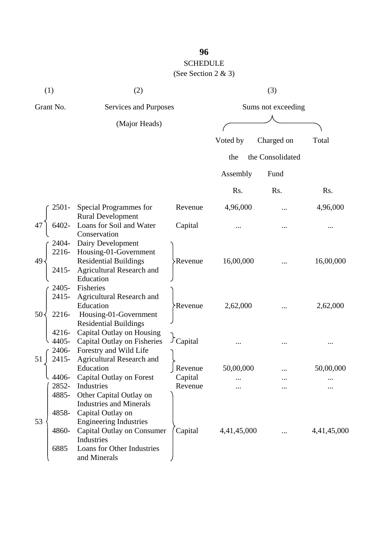## SCHEDULE

(See Section 2 & 3)

|           | (1)                        | (2)                                                                                                                                        |                      |                    | (3)              |             |
|-----------|----------------------------|--------------------------------------------------------------------------------------------------------------------------------------------|----------------------|--------------------|------------------|-------------|
| Grant No. |                            | Services and Purposes                                                                                                                      |                      | Sums not exceeding |                  |             |
|           |                            | (Major Heads)                                                                                                                              |                      |                    |                  |             |
|           |                            |                                                                                                                                            |                      | Voted by           | Charged on       | Total       |
|           |                            |                                                                                                                                            |                      | the                | the Consolidated |             |
|           |                            |                                                                                                                                            |                      | Assembly           | Fund             |             |
|           |                            |                                                                                                                                            |                      | Rs.                | Rs.              | Rs.         |
|           | 2501-                      | Special Programmes for<br><b>Rural Development</b>                                                                                         | Revenue              | 4,96,000           |                  | 4,96,000    |
| 47        | 6402-                      | Loans for Soil and Water                                                                                                                   | Capital              |                    |                  |             |
| 49        | 2404-<br>2415-             | Conservation<br>Dairy Development<br>2216- Housing-01-Government<br><b>Residential Buildings</b><br>Agricultural Research and<br>Education | <b>Revenue</b>       | 16,00,000          |                  | 16,00,000   |
| 50        | 2405-<br>2415-<br>2216-    | Fisheries<br>Agricultural Research and<br>Education<br>Housing-01-Government<br><b>Residential Buildings</b>                               | Revenue <sup>.</sup> | 2,62,000           |                  | 2,62,000    |
| 51        | $4216 -$<br>4405-<br>2415- | Capital Outlay on Housing<br>Capital Outlay on Fisheries<br>2406- Forestry and Wild Life<br><b>Agricultural Research and</b>               | <i>Capital</i>       |                    |                  |             |
|           | l 4406-                    | Education<br>Capital Outlay on Forest                                                                                                      | Revenue              | 50,00,000          |                  | 50,00,000   |
|           | 2852-                      | Industries                                                                                                                                 | Capital<br>Revenue   |                    |                  |             |
| 53        | 4885-<br>4858-             | Other Capital Outlay on<br><b>Industries and Minerals</b><br>Capital Outlay on<br><b>Engineering Industries</b>                            |                      |                    |                  |             |
|           | 4860-<br>6885              | Capital Outlay on Consumer<br>Industries<br>Loans for Other Industries<br>and Minerals                                                     | Capital              | 4,41,45,000        | $\cdots$         | 4,41,45,000 |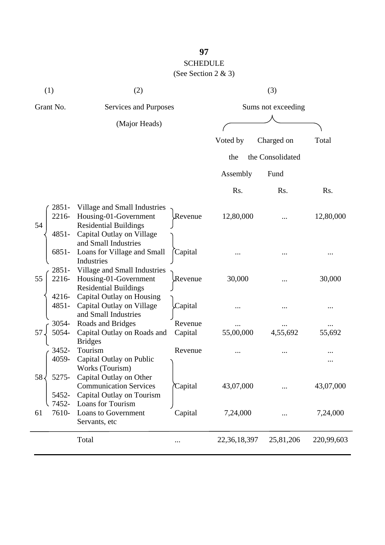# SCHEDULE

(See Section 2 & 3)

| (1)                               | (2)                                                                                                                |                    |                    | (3)              |            |
|-----------------------------------|--------------------------------------------------------------------------------------------------------------------|--------------------|--------------------|------------------|------------|
| Grant No.                         | Services and Purposes                                                                                              |                    | Sums not exceeding |                  |            |
|                                   | (Major Heads)                                                                                                      |                    |                    |                  |            |
|                                   |                                                                                                                    |                    | Voted by           | Charged on       | Total      |
|                                   |                                                                                                                    |                    | the                | the Consolidated |            |
|                                   |                                                                                                                    |                    | Assembly           | Fund             |            |
|                                   |                                                                                                                    |                    | Rs.                | Rs.              | Rs.        |
| 2851-<br>2216-<br>54<br>$4851 -$  | Village and Small Industries<br>Housing-01-Government<br><b>Residential Buildings</b><br>Capital Outlay on Village | Revenue            | 12,80,000          |                  | 12,80,000  |
| $6851 -$                          | and Small Industries<br>Loans for Village and Small<br>Industries                                                  | Capital            |                    |                  |            |
| $2851 -$<br>55<br>2216-           | Village and Small Industries<br>Housing-01-Government<br><b>Residential Buildings</b>                              | Revenue            | 30,000             |                  | 30,000     |
| $4216 -$<br>4851-<br>3054-        | Capital Outlay on Housing<br>Capital Outlay on Village<br>and Small Industries                                     | Capital<br>Revenue |                    |                  |            |
| 5054-<br>57                       | Roads and Bridges<br>Capital Outlay on Roads and                                                                   | Capital            | 55,00,000          | 4,55,692         | 55,692     |
| 3452-<br>4059-                    | <b>Bridges</b><br>Tourism<br>Capital Outlay on Public<br>Works (Tourism)                                           | Revenue            |                    |                  |            |
| 5275-<br>58 <sub>4</sub><br>5452- | Capital Outlay on Other<br><b>Communication Services</b><br>Capital Outlay on Tourism                              | Capital            | 43,07,000          |                  | 43,07,000  |
| 7452-<br>7610-<br>61              | Loans for Tourism<br>Loans to Government<br>Servants, etc                                                          | Capital            | 7,24,000           |                  | 7,24,000   |
|                                   | Total                                                                                                              | $\cdots$           | 22, 36, 18, 397    | 25,81,206        | 220,99,603 |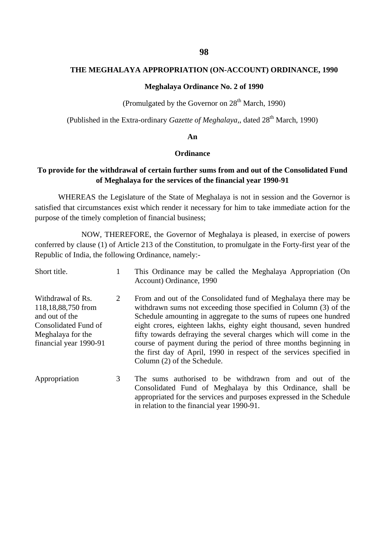### **THE MEGHALAYA APPROPRIATION (ON-ACCOUNT) ORDINANCE, 1990**

#### **Meghalaya Ordinance No. 2 of 1990**

**(Promulgated by the Governor on**  $28<sup>th</sup>$  **March, 1990)** 

(Published in the Extra-ordinary *Gazette of Meghalaya,*, dated 28th March, 1990)

#### **An**

### **Ordinance**

### **To provide for the withdrawal of certain further sums from and out of the Consolidated Fund of Meghalaya for the services of the financial year 1990-91**

WHEREAS the Legislature of the State of Meghalaya is not in session and the Governor is satisfied that circumstances exist which render it necessary for him to take immediate action for the purpose of the timely completion of financial business;

NOW, THEREFORE, the Governor of Meghalaya is pleased, in exercise of powers conferred by clause (1) of Article 213 of the Constitution, to promulgate in the Forty-first year of the Republic of India, the following Ordinance, namely:-

| Short title.                                                                                                                     | 1 | This Ordinance may be called the Meghalaya Appropriation (On<br>Account) Ordinance, 1990                                                                                                                                                                                                                                                                                                                                                                                                                                         |
|----------------------------------------------------------------------------------------------------------------------------------|---|----------------------------------------------------------------------------------------------------------------------------------------------------------------------------------------------------------------------------------------------------------------------------------------------------------------------------------------------------------------------------------------------------------------------------------------------------------------------------------------------------------------------------------|
| Withdrawal of Rs.<br>118,18,88,750 from<br>and out of the<br>Consolidated Fund of<br>Meghalaya for the<br>financial year 1990-91 | 2 | From and out of the Consolidated fund of Meghalaya there may be<br>withdrawn sums not exceeding those specified in Column (3) of the<br>Schedule amounting in aggregate to the sums of rupees one hundred<br>eight crores, eighteen lakhs, eighty eight thousand, seven hundred<br>fifty towards defraying the several charges which will come in the<br>course of payment during the period of three months beginning in<br>the first day of April, 1990 in respect of the services specified in<br>Column (2) of the Schedule. |
| Appropriation                                                                                                                    | 3 | The sums authorised to be withdrawn from and out of the<br>Consolidated Fund of Meghalaya by this Ordinance, shall be<br>appropriated for the services and purposes expressed in the Schedule<br>in relation to the financial year 1990-91.                                                                                                                                                                                                                                                                                      |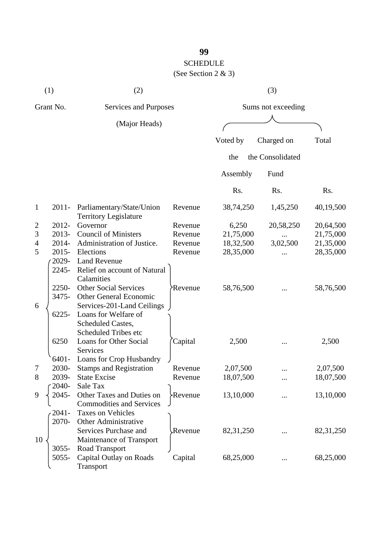## SCHEDULE

(See Section 2 & 3)

|                | (1)                                | (2)                                                       |                      | (3)         |                    |             |
|----------------|------------------------------------|-----------------------------------------------------------|----------------------|-------------|--------------------|-------------|
|                | Grant No.<br>Services and Purposes |                                                           |                      |             | Sums not exceeding |             |
|                |                                    | (Major Heads)                                             |                      |             |                    |             |
|                |                                    |                                                           |                      | Voted by    | Charged on         | Total       |
|                |                                    |                                                           |                      | the         | the Consolidated   |             |
|                |                                    |                                                           |                      | Assembly    | Fund               |             |
|                |                                    |                                                           |                      | Rs.         | Rs.                | Rs.         |
| $\mathbf{1}$   | $2011 -$                           | Parliamentary/State/Union<br><b>Territory Legislature</b> | Revenue              | 38,74,250   | 1,45,250           | 40,19,500   |
| $\overline{2}$ | 2012-                              | Governor                                                  | Revenue              | 6,250       | 20,58,250          | 20,64,500   |
| 3              | 2013-                              | <b>Council of Ministers</b>                               | Revenue              | 21,75,000   |                    | 21,75,000   |
| 4              | 2014-                              | Administration of Justice.                                | Revenue              | 18,32,500   | 3,02,500           | 21,35,000   |
| 5              | $2015 -$                           | Elections                                                 | Revenue              | 28,35,000   |                    | 28,35,000   |
|                | 2029-                              | <b>Land Revenue</b>                                       |                      |             |                    |             |
|                | 2245-                              | Relief on account of Natural<br>Calamities                |                      |             |                    |             |
|                | 2250-                              | <b>Other Social Services</b>                              | Revenue <sup>*</sup> | 58,76,500   |                    | 58,76,500   |
|                | 3475-                              | Other General Economic                                    |                      |             |                    |             |
| 6              |                                    | Services-201-Land Ceilings                                |                      |             |                    |             |
|                | $6225 -$                           | Loans for Welfare of                                      |                      |             |                    |             |
|                |                                    | Scheduled Castes,                                         |                      |             |                    |             |
|                |                                    | <b>Scheduled Tribes etc</b>                               |                      |             |                    |             |
|                | 6250                               | Loans for Other Social                                    | Capital              | 2,500       |                    | 2,500       |
|                |                                    | <b>Services</b>                                           |                      |             |                    |             |
|                | 6401-                              | Loans for Crop Husbandry                                  |                      |             |                    |             |
| 7              | 2030-                              | <b>Stamps and Registration</b>                            | Revenue              | 2,07,500    |                    | 2,07,500    |
| 8              | 2039-                              | <b>State Excise</b>                                       | Revenue              | 18,07,500   |                    | 18,07,500   |
|                | 2040-                              | Sale Tax                                                  |                      |             |                    |             |
| 9              | 2045-                              | Other Taxes and Duties on                                 | Revenue }            | 13,10,000   |                    | 13,10,000   |
|                |                                    | <b>Commodities and Services</b>                           |                      |             |                    |             |
|                | 2041-                              | <b>Taxes on Vehicles</b>                                  |                      |             |                    |             |
|                | 2070-                              | <b>Other Administrative</b>                               |                      |             |                    |             |
|                |                                    | Services Purchase and                                     | Revenue              | 82, 31, 250 |                    | 82, 31, 250 |
| 10             |                                    | Maintenance of Transport                                  |                      |             |                    |             |
|                | $3055 -$                           | Road Transport                                            |                      |             |                    |             |
|                | 5055-                              | Capital Outlay on Roads                                   | Capital              | 68,25,000   |                    | 68,25,000   |
|                |                                    | Transport                                                 |                      |             |                    |             |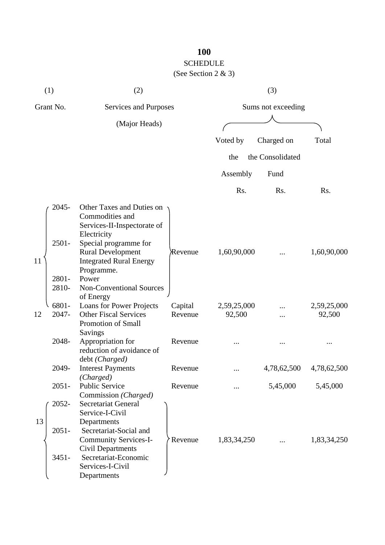(See Section 2 & 3)

| (1)       |                                     | (2)                                                                                                                                                                                                                                               |                    | (3)                   |                  |                       |  |
|-----------|-------------------------------------|---------------------------------------------------------------------------------------------------------------------------------------------------------------------------------------------------------------------------------------------------|--------------------|-----------------------|------------------|-----------------------|--|
| Grant No. |                                     | Services and Purposes                                                                                                                                                                                                                             |                    | Sums not exceeding    |                  |                       |  |
|           |                                     | (Major Heads)                                                                                                                                                                                                                                     |                    |                       |                  |                       |  |
|           |                                     |                                                                                                                                                                                                                                                   |                    | Voted by              | Charged on       | Total                 |  |
|           |                                     |                                                                                                                                                                                                                                                   |                    | the                   | the Consolidated |                       |  |
|           |                                     |                                                                                                                                                                                                                                                   |                    | Assembly              | Fund             |                       |  |
|           |                                     |                                                                                                                                                                                                                                                   |                    | Rs.                   | Rs.              | Rs.                   |  |
| 11        | 2045-<br>$2501 -$<br>2801-<br>2810- | Other Taxes and Duties on<br>Commodities and<br>Services-II-Inspectorate of<br>Electricity<br>Special programme for<br><b>Rural Development</b><br><b>Integrated Rural Energy</b><br>Programme.<br>Power<br>Non-Conventional Sources<br>of Energy | Revenue            | 1,60,90,000           |                  | 1,60,90,000           |  |
| 12        | 6801-<br>2047-                      | Loans for Power Projects<br><b>Other Fiscal Services</b><br>Promotion of Small<br>Savings                                                                                                                                                         | Capital<br>Revenue | 2,59,25,000<br>92,500 |                  | 2,59,25,000<br>92,500 |  |
|           | 2048-                               | Appropriation for<br>reduction of avoidance of<br>debt (Charged)                                                                                                                                                                                  | Revenue            |                       |                  |                       |  |
|           | 2049-                               | <b>Interest Payments</b>                                                                                                                                                                                                                          | Revenue            | $\ddotsc$             | 4,78,62,500      | 4,78,62,500           |  |
|           | $2051 -$                            | (Charged)<br><b>Public Service</b><br>Commission (Charged)                                                                                                                                                                                        | Revenue            |                       | 5,45,000         | 5,45,000              |  |
| 13        | 2052-<br>$2051 -$<br>$3451 -$       | <b>Secretariat General</b><br>Service-I-Civil<br>Departments<br>Secretariat-Social and<br><b>Community Services-I-</b><br><b>Civil Departments</b><br>Secretariat-Economic<br>Services-I-Civil<br>Departments                                     | Revenue            | 1,83,34,250           |                  | 1,83,34,250           |  |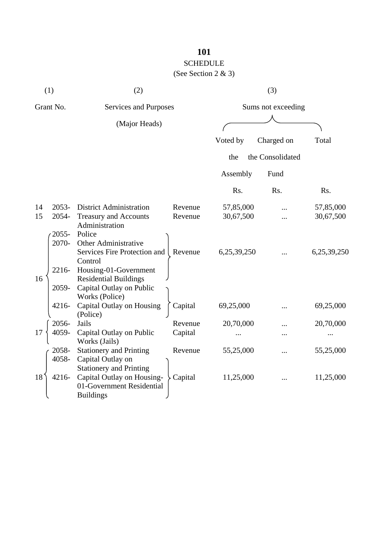### SCHEDULE

### (See Section 2 & 3)

| (1)       |                | (2)                                                                                                           | (3)     |                    |                  |             |
|-----------|----------------|---------------------------------------------------------------------------------------------------------------|---------|--------------------|------------------|-------------|
| Grant No. |                | Services and Purposes                                                                                         |         | Sums not exceeding |                  |             |
|           |                | (Major Heads)                                                                                                 |         |                    |                  |             |
|           |                |                                                                                                               |         | Voted by           | Charged on       | Total       |
|           |                |                                                                                                               |         | the                | the Consolidated |             |
|           |                |                                                                                                               |         | Assembly           | Fund             |             |
|           |                |                                                                                                               |         | Rs.                | Rs.              | Rs.         |
| 14        | 2053-          | <b>District Administration</b>                                                                                | Revenue | 57,85,000          |                  | 57,85,000   |
| 15        | 2054-          | <b>Treasury and Accounts</b>                                                                                  | Revenue | 30,67,500          |                  | 30,67,500   |
|           | 2055-<br>2070- | Administration<br>Police<br><b>Other Administrative</b>                                                       |         |                    |                  |             |
|           |                | Services Fire Protection and<br>Control                                                                       | Revenue | 6,25,39,250        |                  | 6,25,39,250 |
| 16        | 2216-          | Housing-01-Government<br><b>Residential Buildings</b>                                                         |         |                    |                  |             |
|           | 2059-          | Capital Outlay on Public<br>Works (Police)                                                                    |         |                    |                  |             |
|           | 4216-          | Capital Outlay on Housing<br>(Police)                                                                         | Capital | 69,25,000          |                  | 69,25,000   |
|           | 2056-          | Jails                                                                                                         | Revenue | 20,70,000          |                  | 20,70,000   |
| 17        | 4059-          | Capital Outlay on Public<br>Works (Jails)                                                                     | Capital |                    |                  |             |
|           | 2058-<br>4058- | <b>Stationery and Printing</b><br>Capital Outlay on                                                           | Revenue | 55,25,000          |                  | 55,25,000   |
| 18        | 4216-          | <b>Stationery and Printing</b><br>Capital Outlay on Housing-<br>01-Government Residential<br><b>Buildings</b> | Capital | 11,25,000          |                  | 11,25,000   |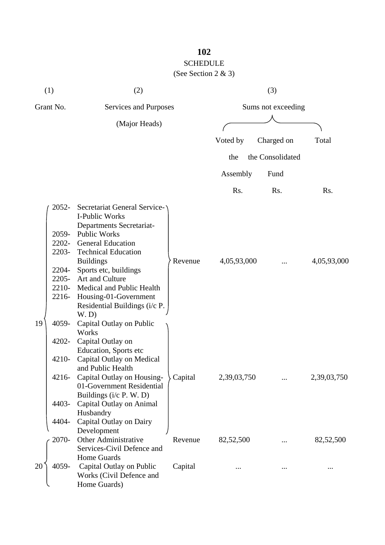(See Section 2 & 3)

| (1)       |                                                             | (2)                                                                                                                                                                                                                                                                                                                                                               |         | (3)                |                  |             |  |
|-----------|-------------------------------------------------------------|-------------------------------------------------------------------------------------------------------------------------------------------------------------------------------------------------------------------------------------------------------------------------------------------------------------------------------------------------------------------|---------|--------------------|------------------|-------------|--|
| Grant No. |                                                             | Services and Purposes                                                                                                                                                                                                                                                                                                                                             |         | Sums not exceeding |                  |             |  |
|           |                                                             | (Major Heads)                                                                                                                                                                                                                                                                                                                                                     |         |                    |                  |             |  |
|           |                                                             |                                                                                                                                                                                                                                                                                                                                                                   |         | Voted by           | Charged on       | Total       |  |
|           |                                                             |                                                                                                                                                                                                                                                                                                                                                                   |         | the                | the Consolidated |             |  |
|           |                                                             |                                                                                                                                                                                                                                                                                                                                                                   |         | Assembly           | Fund             |             |  |
|           |                                                             |                                                                                                                                                                                                                                                                                                                                                                   |         | Rs.                | Rs.              | Rs.         |  |
| 19        | 2052-<br>2059-<br>2203-<br>2204-<br>2210-<br>2216-<br>4059- | <b>Secretariat General Service-</b><br>I-Public Works<br>Departments Secretariat-<br><b>Public Works</b><br>2202- General Education<br><b>Technical Education</b><br><b>Buildings</b><br>Sports etc, buildings<br>2205- Art and Culture<br>Medical and Public Health<br>Housing-01-Government<br>Residential Buildings (i/c P.<br>W.D<br>Capital Outlay on Public | Revenue | 4,05,93,000        |                  | 4,05,93,000 |  |
|           | 4202-<br>4210-<br>4216-<br>4403-<br>4404-                   | Works<br>Capital Outlay on<br>Education, Sports etc<br>Capital Outlay on Medical<br>and Public Health<br>Capital Outlay on Housing-<br>01-Government Residential<br>Buildings (i/c P. W. D)<br>Capital Outlay on Animal<br>Husbandry<br>Capital Outlay on Dairy                                                                                                   | Capital | 2,39,03,750        |                  | 2,39,03,750 |  |
|           | 2070-                                                       | Development<br>Other Administrative                                                                                                                                                                                                                                                                                                                               | Revenue | 82,52,500          |                  | 82,52,500   |  |
| 20        | 4059-                                                       | Services-Civil Defence and<br>Home Guards<br>Capital Outlay on Public<br>Works (Civil Defence and<br>Home Guards)                                                                                                                                                                                                                                                 | Capital |                    |                  |             |  |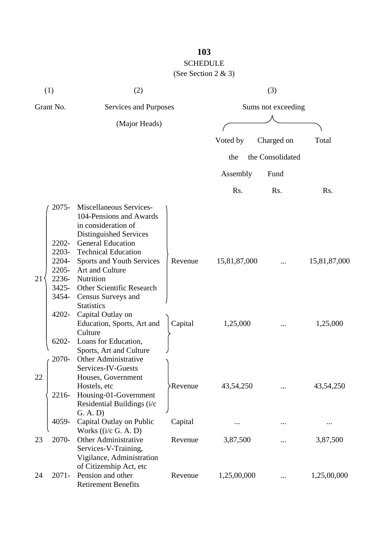(See Section 2 & 3)

| (1)       |                                              | (2)                                                                                                                                                           |         | (3)                |                  |              |  |
|-----------|----------------------------------------------|---------------------------------------------------------------------------------------------------------------------------------------------------------------|---------|--------------------|------------------|--------------|--|
| Grant No. |                                              | Services and Purposes                                                                                                                                         |         | Sums not exceeding |                  |              |  |
|           |                                              | (Major Heads)                                                                                                                                                 |         |                    |                  |              |  |
|           |                                              |                                                                                                                                                               |         | Voted by           | Charged on       | Total        |  |
|           |                                              |                                                                                                                                                               |         | the                | the Consolidated |              |  |
|           |                                              |                                                                                                                                                               |         |                    |                  |              |  |
|           |                                              |                                                                                                                                                               |         | Assembly           | Fund             |              |  |
|           |                                              |                                                                                                                                                               |         | Rs.                | Rs.              | Rs.          |  |
|           | $2075 -$<br>2202-<br>2203-                   | Miscellaneous Services-<br>104-Pensions and Awards<br>in consideration of<br>Distinguished Services<br><b>General Education</b><br><b>Technical Education</b> |         |                    |                  |              |  |
| 21        | 2204-<br>$2205 -$<br>2236-<br>3425-<br>3454- | Sports and Youth Services<br>Art and Culture<br>Nutrition<br>Other Scientific Research<br>Census Surveys and<br><b>Statistics</b>                             | Revenue | 15,81,87,000       |                  | 15,81,87,000 |  |
|           | 4202-<br>6202-                               | Capital Outlay on<br>Education, Sports, Art and<br>Culture<br>Loans for Education,<br>Sports, Art and Culture                                                 | Capital | 1,25,000           |                  | 1,25,000     |  |
| 22        | 2070-<br>2216-                               | <b>Other Administrative</b><br>Services-IV-Guests<br>Houses, Government<br>Hostels, etc<br>Housing-01-Government<br>Residential Buildings (i/c<br>G. A. D)    | Revenue | 43,54,250          |                  | 43,54,250    |  |
|           | 4059-                                        | Capital Outlay on Public                                                                                                                                      | Capital |                    |                  |              |  |
| 23        | 2070-                                        | Works $((i/c G. A. D))$<br><b>Other Administrative</b><br>Services-V-Training,<br>Vigilance, Administration                                                   | Revenue | 3,87,500           |                  | 3,87,500     |  |
| 24        | $2071 -$                                     | of Citizenship Act, etc<br>Pension and other<br><b>Retirement Benefits</b>                                                                                    | Revenue | 1,25,00,000        |                  | 1,25,00,000  |  |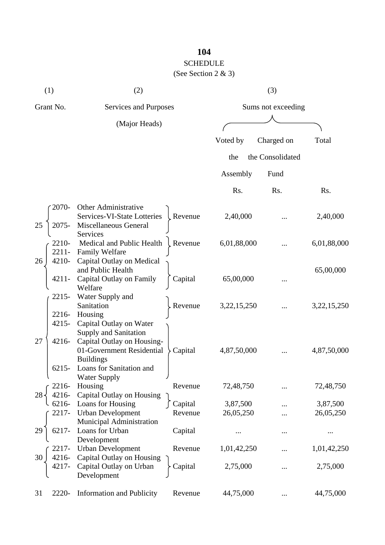(See Section 2 & 3)

| (1)                  | (2)                                                     |         |                    | (3)              |                |  |
|----------------------|---------------------------------------------------------|---------|--------------------|------------------|----------------|--|
| Grant No.            | Services and Purposes                                   |         | Sums not exceeding |                  |                |  |
|                      | (Major Heads)                                           |         |                    |                  |                |  |
|                      |                                                         |         | Voted by           | Charged on       | Total          |  |
|                      |                                                         |         |                    |                  |                |  |
|                      |                                                         |         | the                | the Consolidated |                |  |
|                      |                                                         |         | Assembly           | Fund             |                |  |
|                      |                                                         |         | Rs.                | Rs.              | Rs.            |  |
| 2070-                | Other Administrative                                    |         |                    |                  |                |  |
|                      | Services-VI-State Lotteries                             | Revenue | 2,40,000           |                  | 2,40,000       |  |
| 25<br>2075-          | Miscellaneous General                                   |         |                    |                  |                |  |
| 2210-                | Services<br>Medical and Public Health                   | Revenue | 6,01,88,000        |                  | 6,01,88,000    |  |
| $2211 -$             | <b>Family Welfare</b>                                   |         |                    | $\cdots$         |                |  |
| 26<br>4210-          | Capital Outlay on Medical                               |         |                    |                  |                |  |
|                      | and Public Health                                       |         |                    |                  | 65,00,000      |  |
| 4211-                | Capital Outlay on Family<br>Welfare                     | Capital | 65,00,000          |                  |                |  |
| 2215-                | Water Supply and                                        |         |                    |                  |                |  |
|                      | Sanitation                                              | Revenue | 3,22,15,250        |                  | 3, 22, 15, 250 |  |
| 2216-                | Housing                                                 |         |                    |                  |                |  |
| $4215 -$             | Capital Outlay on Water                                 |         |                    |                  |                |  |
| 27                   | <b>Supply and Sanitation</b>                            |         |                    |                  |                |  |
| 4216-                | Capital Outlay on Housing-<br>01-Government Residential | Capital | 4,87,50,000        |                  | 4,87,50,000    |  |
|                      | <b>Buildings</b>                                        |         |                    |                  |                |  |
| $6215 -$             | Loans for Sanitation and                                |         |                    |                  |                |  |
|                      | Water Supply                                            |         |                    |                  |                |  |
| 2216-<br>4216-<br>28 | Housing<br>Capital Outlay on Housing                    | Revenue | 72,48,750          |                  | 72,48,750      |  |
| 6216-                | Loans for Housing                                       | Capital | 3,87,500           |                  | 3,87,500       |  |
| 2217-                | <b>Urban Development</b>                                | Revenue | 26,05,250          |                  | 26,05,250      |  |
|                      | Municipal Administration                                |         |                    |                  |                |  |
| 6217-<br>29          | Loans for Urban                                         | Capital | $\ddotsc$          |                  |                |  |
| 2217-                | Development<br><b>Urban Development</b>                 | Revenue | 1,01,42,250        |                  | 1,01,42,250    |  |
| 4216-<br>30          | Capital Outlay on Housing                               |         |                    |                  |                |  |
| 4217-                | Capital Outlay on Urban                                 | Capital | 2,75,000           |                  | 2,75,000       |  |
|                      | Development                                             |         |                    |                  |                |  |
|                      |                                                         |         |                    |                  |                |  |
| 2220-<br>31          | <b>Information and Publicity</b>                        | Revenue | 44,75,000          | $\cdots$         | 44,75,000      |  |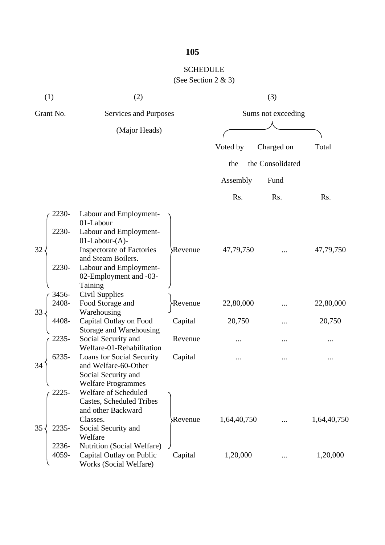### SCHEDULE (See Section 2 & 3)

| (1)       |          | (2)                                             |          | (3)                |                  |             |  |
|-----------|----------|-------------------------------------------------|----------|--------------------|------------------|-------------|--|
| Grant No. |          | Services and Purposes                           |          | Sums not exceeding |                  |             |  |
|           |          | (Major Heads)                                   |          |                    |                  |             |  |
|           |          |                                                 |          | Voted by           | Charged on       | Total       |  |
|           |          |                                                 |          | the                | the Consolidated |             |  |
|           |          |                                                 |          | Assembly           | Fund             |             |  |
|           |          |                                                 |          | Rs.                | Rs.              | Rs.         |  |
|           | 2230-    | Labour and Employment-                          |          |                    |                  |             |  |
|           |          | 01-Labour                                       |          |                    |                  |             |  |
|           | 2230-    | Labour and Employment-<br>$01$ -Labour- $(A)$ - |          |                    |                  |             |  |
| 32        |          | <b>Inspectorate of Factories</b>                | Revenue  | 47,79,750          |                  | 47,79,750   |  |
|           |          | and Steam Boilers.                              |          |                    |                  |             |  |
|           | 2230-    | Labour and Employment-                          |          |                    |                  |             |  |
|           |          | 02-Employment and -03-                          |          |                    |                  |             |  |
|           |          | Taining                                         |          |                    |                  |             |  |
|           | 3456-    | Civil Supplies                                  |          |                    |                  |             |  |
|           | 2408-    | Food Storage and                                | >Revenue | 22,80,000          |                  | 22,80,000   |  |
| 33        |          | Warehousing                                     |          |                    |                  |             |  |
|           | 4408-    | Capital Outlay on Food                          | Capital  | 20,750             |                  | 20,750      |  |
|           | 2235-    | Storage and Warehousing<br>Social Security and  | Revenue  |                    |                  |             |  |
|           |          | Welfare-01-Rehabilitation                       |          |                    |                  |             |  |
|           | $6235 -$ | Loans for Social Security                       | Capital  |                    |                  |             |  |
| 34        |          | and Welfare-60-Other                            |          |                    |                  |             |  |
|           |          | Social Security and                             |          |                    |                  |             |  |
|           | ╰        | <b>Welfare Programmes</b>                       |          |                    |                  |             |  |
|           | 2225-    | Welfare of Scheduled                            |          |                    |                  |             |  |
|           |          | <b>Castes, Scheduled Tribes</b>                 |          |                    |                  |             |  |
|           |          | and other Backward                              |          |                    |                  |             |  |
|           |          | Classes.                                        | Revenue  | 1,64,40,750        |                  | 1,64,40,750 |  |
| 35        | 2235-    | Social Security and<br>Welfare                  |          |                    |                  |             |  |
|           | 2236-    | Nutrition (Social Welfare)                      |          |                    |                  |             |  |
|           | 4059-    | Capital Outlay on Public                        | Capital  | 1,20,000           |                  | 1,20,000    |  |
|           |          | Works (Social Welfare)                          |          |                    |                  |             |  |
|           |          |                                                 |          |                    |                  |             |  |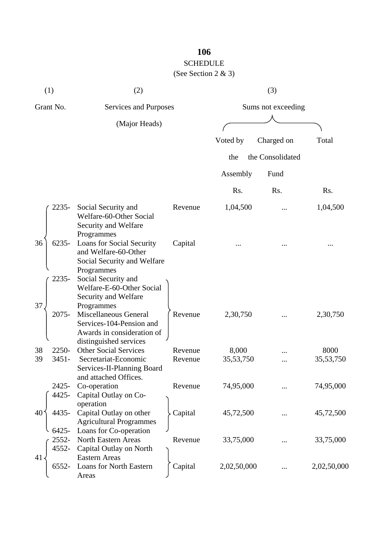# SCHEDULE

(See Section 2 & 3)

| (1)                        | (2)                                                                                                       |         |                    | (3)              |             |
|----------------------------|-----------------------------------------------------------------------------------------------------------|---------|--------------------|------------------|-------------|
| Grant No.                  | Services and Purposes                                                                                     |         | Sums not exceeding |                  |             |
|                            | (Major Heads)                                                                                             |         |                    |                  |             |
|                            |                                                                                                           |         | Voted by           | Charged on       | Total       |
|                            |                                                                                                           |         | the                | the Consolidated |             |
|                            |                                                                                                           |         | Assembly           | Fund             |             |
|                            |                                                                                                           |         | Rs.                | Rs.              | Rs.         |
| 2235-                      | Social Security and<br>Welfare-60-Other Social<br>Security and Welfare<br>Programmes                      | Revenue | 1,04,500           |                  | 1,04,500    |
| 36<br>$6235 -$             | Loans for Social Security<br>and Welfare-60-Other<br>Social Security and Welfare<br>Programmes            | Capital |                    |                  |             |
| 2235-<br>37                | Social Security and<br>Welfare-E-60-Other Social<br>Security and Welfare<br>Programmes                    |         |                    |                  |             |
| 2075-                      | Miscellaneous General<br>Services-104-Pension and<br>Awards in consideration of<br>distinguished services | Revenue | 2,30,750           |                  | 2,30,750    |
| 2250-<br>38                | <b>Other Social Services</b>                                                                              | Revenue | 8,000              |                  | 8000        |
| $3451 -$<br>39             | Secretariat-Economic<br>Services-II-Planning Board<br>and attached Offices.                               | Revenue | 35, 53, 750        |                  | 35,53,750   |
| 2425-<br>4425-             | Co-operation<br>Capital Outlay on Co-<br>operation                                                        | Revenue | 74,95,000          |                  | 74,95,000   |
| 4435-<br>40                | Capital Outlay on other<br><b>Agricultural Programmes</b>                                                 | Capital | 45,72,500          |                  | 45,72,500   |
| $6425 -$<br>2552-<br>4552- | Loans for Co-operation<br><b>North Eastern Areas</b><br>Capital Outlay on North                           | Revenue | 33,75,000          |                  | 33,75,000   |
| 41<br>6552-                | <b>Eastern Areas</b><br>Loans for North Eastern<br>Areas                                                  | Capital | 2,02,50,000        |                  | 2,02,50,000 |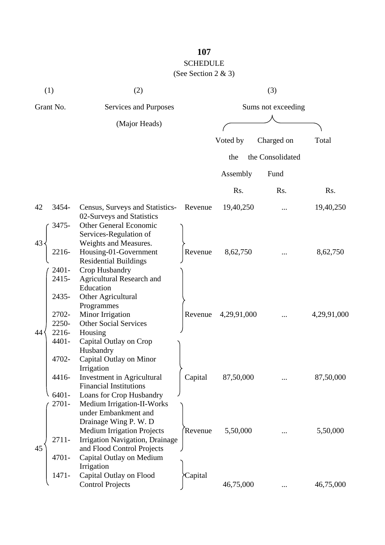## SCHEDULE

## (See Section 2 & 3)

|           | (1)                                       | (2)                                                                                                                                                                                                          |         |                    | (3)              |             |  |
|-----------|-------------------------------------------|--------------------------------------------------------------------------------------------------------------------------------------------------------------------------------------------------------------|---------|--------------------|------------------|-------------|--|
| Grant No. |                                           | Services and Purposes                                                                                                                                                                                        |         | Sums not exceeding |                  |             |  |
|           |                                           | (Major Heads)                                                                                                                                                                                                |         |                    |                  |             |  |
|           |                                           |                                                                                                                                                                                                              |         | Voted by           | Charged on       | Total       |  |
|           |                                           |                                                                                                                                                                                                              |         | the                | the Consolidated |             |  |
|           |                                           |                                                                                                                                                                                                              |         | Assembly           | Fund             |             |  |
|           |                                           |                                                                                                                                                                                                              |         | Rs.                | Rs.              | Rs.         |  |
| 42        | 3454-                                     | Census, Surveys and Statistics-<br>02-Surveys and Statistics                                                                                                                                                 | Revenue | 19,40,250          |                  | 19,40,250   |  |
| 43        | 3475-<br>2216-<br>2401-<br>2415-          | <b>Other General Economic</b><br>Services-Regulation of<br>Weights and Measures.<br>Housing-01-Government<br><b>Residential Buildings</b><br>Crop Husbandry<br><b>Agricultural Research and</b><br>Education | Revenue | 8,62,750           |                  | 8,62,750    |  |
| 44        | 2435-<br>2702-<br>2250-<br>2216-<br>4401- | Other Agricultural<br>Programmes<br>Minor Irrigation<br><b>Other Social Services</b><br>Housing<br>Capital Outlay on Crop                                                                                    | Revenue | 4,29,91,000        |                  | 4,29,91,000 |  |
|           | 4702-<br>4416-<br>6401-<br>2701-          | Husbandry<br>Capital Outlay on Minor<br>Irrigation<br>Investment in Agricultural<br><b>Financial Institutions</b><br>Loans for Crop Husbandry<br>Medium Irrigation-II-Works                                  | Capital | 87,50,000          |                  | 87,50,000   |  |
| 45        | 2711-                                     | under Embankment and<br>Drainage Wing P. W. D<br><b>Medium Irrigation Projects</b><br>Irrigation Navigation, Drainage<br>and Flood Control Projects                                                          | Revenue | 5,50,000           | $\cdots$         | 5,50,000    |  |
|           | 4701-<br>$1471 -$                         | Capital Outlay on Medium<br>Irrigation<br>Capital Outlay on Flood<br><b>Control Projects</b>                                                                                                                 | Capital | 46,75,000          | $\cdots$         | 46,75,000   |  |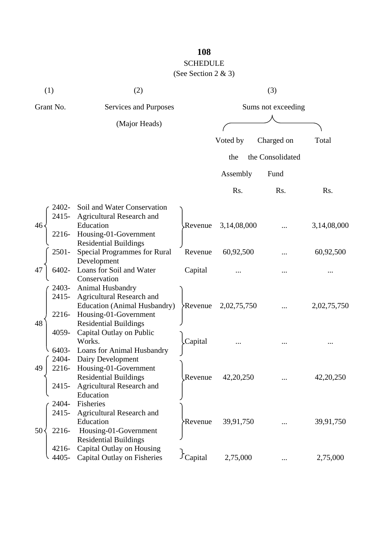## SCHEDULE

## (See Section 2 & 3)

| (1)               | (2)                                                                 |                                |                    | (3)              |             |
|-------------------|---------------------------------------------------------------------|--------------------------------|--------------------|------------------|-------------|
| Grant No.         | Services and Purposes                                               |                                | Sums not exceeding |                  |             |
|                   | (Major Heads)                                                       |                                |                    |                  |             |
|                   |                                                                     |                                | Voted by           | Charged on       | Total       |
|                   |                                                                     |                                | the                | the Consolidated |             |
|                   |                                                                     |                                | Assembly           | Fund             |             |
|                   |                                                                     |                                | Rs.                | Rs.              | Rs.         |
| 2402-             | Soil and Water Conservation                                         |                                |                    |                  |             |
| 2415-<br>46       | <b>Agricultural Research and</b><br>Education                       | Revenue                        | 3,14,08,000        |                  | 3,14,08,000 |
| 2216-             | Housing-01-Government                                               |                                |                    |                  |             |
| 2501-             | <b>Residential Buildings</b><br><b>Special Programmes for Rural</b> | Revenue                        | 60,92,500          |                  | 60,92,500   |
| 6402-<br>47       | Development<br>Loans for Soil and Water                             | Capital                        |                    |                  |             |
|                   | Conservation                                                        |                                |                    |                  |             |
| 2403-<br>2415-    | Animal Husbandry<br>Agricultural Research and                       |                                |                    |                  |             |
|                   | <b>Education (Animal Husbandry)</b>                                 | Revenue                        | 2,02,75,750        |                  | 2,02,75,750 |
| 2216-             | Housing-01-Government                                               |                                |                    |                  |             |
| 48<br>4059-       | <b>Residential Buildings</b><br>Capital Outlay on Public            |                                |                    |                  |             |
|                   | Works.                                                              | Capital                        |                    |                  |             |
| 6403-             | Loans for Animal Husbandry                                          |                                |                    |                  |             |
| 2404-             | Dairy Development                                                   |                                |                    |                  |             |
| 2216-<br>49       | Housing-01-Government                                               |                                |                    |                  |             |
| 2415-             | <b>Residential Buildings</b><br><b>Agricultural Research and</b>    | Revenue                        | 42, 20, 250        |                  | 42, 20, 250 |
|                   | Education                                                           |                                |                    |                  |             |
| 2404-             | Fisheries                                                           |                                |                    |                  |             |
| 2415-             | Agricultural Research and                                           |                                |                    |                  |             |
|                   | Education                                                           | Revenue <sup>&gt;</sup>        | 39,91,750          |                  | 39,91,750   |
| 2216-<br>$50-$    | Housing-01-Government                                               |                                |                    |                  |             |
|                   | <b>Residential Buildings</b>                                        |                                |                    |                  |             |
| $4216 -$<br>4405- | Capital Outlay on Housing<br>Capital Outlay on Fisheries            | $\mathcal{L}_{\text{Capital}}$ | 2,75,000           |                  | 2,75,000    |
|                   |                                                                     |                                |                    |                  |             |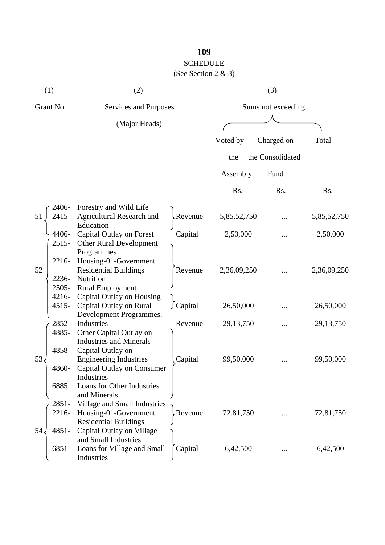## SCHEDULE

(See Section 2 & 3)

|           | (1)      | (2)                                       |          |                    | (3)              |             |
|-----------|----------|-------------------------------------------|----------|--------------------|------------------|-------------|
| Grant No. |          | Services and Purposes                     |          | Sums not exceeding |                  |             |
|           |          | (Major Heads)                             |          |                    |                  |             |
|           |          |                                           |          | Voted by           | Charged on       | Total       |
|           |          |                                           |          | the                | the Consolidated |             |
|           |          |                                           |          | Assembly           | Fund             |             |
|           |          |                                           |          | Rs.                | Rs.              | Rs.         |
|           | 2406-    | Forestry and Wild Life                    |          |                    |                  |             |
| 51        | 2415-    | Agricultural Research and                 | kevenue  | 5,85,52,750        |                  | 5,85,52,750 |
|           | 4406-    | Education<br>Capital Outlay on Forest     | Capital  | 2,50,000           |                  | 2,50,000    |
|           | $2515-$  | Other Rural Development<br>Programmes     |          |                    |                  |             |
|           | 2216-    | Housing-01-Government                     |          |                    |                  |             |
| 52        | 2236-    | <b>Residential Buildings</b><br>Nutrition | Revenue  | 2,36,09,250        |                  | 2,36,09,250 |
|           | 2505-    | <b>Rural Employment</b>                   |          |                    |                  |             |
|           | 4216-    | Capital Outlay on Housing                 |          |                    |                  |             |
|           | $4515 -$ | Capital Outlay on Rural                   | ∫Capital | 26,50,000          |                  | 26,50,000   |
|           | 2852-    | Development Programmes.<br>Industries     |          |                    |                  |             |
|           | 4885-    | Other Capital Outlay on                   | Revenue  | 29, 13, 750        |                  | 29, 13, 750 |
|           |          | <b>Industries and Minerals</b>            |          |                    |                  |             |
|           | 4858-    | Capital Outlay on                         |          |                    |                  |             |
| 53        |          | <b>Engineering Industries</b>             | Capital  | 99,50,000          |                  | 99,50,000   |
|           | 4860-    | Capital Outlay on Consumer                |          |                    |                  |             |
|           | 6885     | Industries<br>Loans for Other Industries  |          |                    |                  |             |
|           |          | and Minerals                              |          |                    |                  |             |
|           | 2851-    | Village and Small Industries              |          |                    |                  |             |
|           | 2216-    | Housing-01-Government                     | Revenue. | 72,81,750          |                  | 72,81,750   |
|           |          | <b>Residential Buildings</b>              |          |                    |                  |             |
| 54.       | $4851 -$ | Capital Outlay on Village                 |          |                    |                  |             |
|           |          | and Small Industries                      |          |                    |                  |             |
|           | 6851-    | Loans for Village and Small<br>Industries | Capital  | 6,42,500           |                  | 6,42,500    |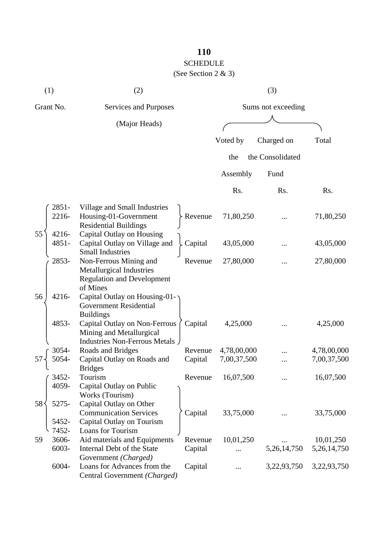# SCHEDULE

## (See Section 2 & 3)

| (1)                                | (2)                                                                                                 |         |             | (3)                |                |
|------------------------------------|-----------------------------------------------------------------------------------------------------|---------|-------------|--------------------|----------------|
| Grant No.<br>Services and Purposes |                                                                                                     |         |             | Sums not exceeding |                |
|                                    | (Major Heads)                                                                                       |         |             |                    |                |
|                                    |                                                                                                     |         | Voted by    |                    | Total          |
|                                    |                                                                                                     |         |             | Charged on         |                |
|                                    |                                                                                                     |         | the         | the Consolidated   |                |
|                                    |                                                                                                     |         | Assembly    | Fund               |                |
|                                    |                                                                                                     |         | Rs.         | Rs.                | Rs.            |
| 2851-<br>2216-                     | Village and Small Industries<br>Housing-01-Government<br><b>Residential Buildings</b>               | Revenue | 71,80,250   |                    | 71,80,250      |
| 55<br>4216-<br>4851-               | Capital Outlay on Housing<br>Capital Outlay on Village and<br><b>Small Industries</b>               | Capital | 43,05,000   |                    | 43,05,000      |
| 2853-                              | Non-Ferrous Mining and<br>Metallurgical Industries<br><b>Regulation and Development</b><br>of Mines | Revenue | 27,80,000   |                    | 27,80,000      |
| 4216-<br>56                        | Capital Outlay on Housing-01-<br><b>Government Residential</b><br><b>Buildings</b>                  |         |             |                    |                |
| 4853-                              | Capital Outlay on Non-Ferrous<br>Mining and Metallurgical<br>Industries Non-Ferrous Metals          | Capital | 4,25,000    |                    | 4,25,000       |
| 3054-                              | Roads and Bridges                                                                                   | Revenue | 4,78,00,000 |                    | 4,78,00,000    |
|                                    | Capital Outlay on Roads and<br><b>Bridges</b>                                                       | Capital | 7,00,37,500 |                    | 7,00,37,500    |
| 3452-<br>4059-                     | Tourism<br>Capital Outlay on Public<br>Works (Tourism)                                              | Revenue | 16,07,500   |                    | 16,07,500      |
| 58<br>5275-<br>5452-               | Capital Outlay on Other<br><b>Communication Services</b><br>Capital Outlay on Tourism               | Capital | 33,75,000   |                    | 33,75,000      |
| 7452-                              | Loans for Tourism                                                                                   |         |             |                    |                |
| 3606-<br>59                        | Aid materials and Equipments                                                                        | Revenue | 10,01,250   |                    | 10,01,250      |
| 6003-                              | Internal Debt of the State<br>Government (Charged)                                                  | Capital |             | 5, 26, 14, 750     | 5, 26, 14, 750 |
| 6004-                              | Loans for Advances from the<br>Central Government (Charged)                                         | Capital |             | 3,22,93,750        | 3,22,93,750    |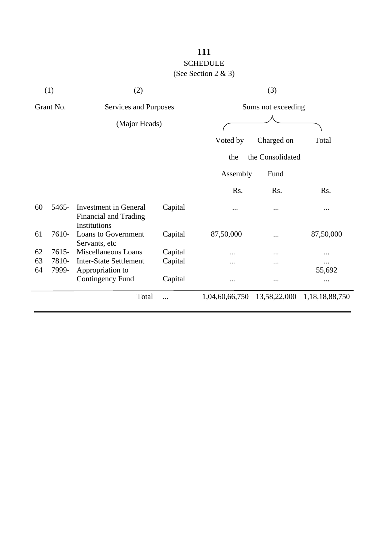# SCHEDULE

(See Section 2 & 3)

|    | (1)       | (2)                                                                   |         | (3)                |                  |                |
|----|-----------|-----------------------------------------------------------------------|---------|--------------------|------------------|----------------|
|    | Grant No. | Services and Purposes                                                 |         | Sums not exceeding |                  |                |
|    |           | (Major Heads)                                                         |         |                    |                  |                |
|    |           |                                                                       |         | Voted by           | Charged on       | Total          |
|    |           |                                                                       |         | the                | the Consolidated |                |
|    |           |                                                                       |         | Assembly           | Fund             |                |
|    |           |                                                                       |         | Rs.                | Rs.              | Rs.            |
| 60 | 5465-     | Investment in General<br><b>Financial and Trading</b><br>Institutions | Capital |                    |                  |                |
| 61 | 7610-     | Loans to Government<br>Servants, etc                                  | Capital | 87,50,000          |                  | 87,50,000      |
| 62 | 7615-     | Miscellaneous Loans                                                   | Capital | .                  |                  | .              |
| 63 | 7810-     | <b>Inter-State Settlement</b>                                         | Capital |                    |                  |                |
| 64 | 7999-     | Appropriation to                                                      |         |                    |                  | 55,692         |
|    |           | <b>Contingency Fund</b>                                               | Capital |                    |                  |                |
|    |           | Total                                                                 |         | 1,04,60,66,750     | 13,58,22,000     | 1,18,18,88,750 |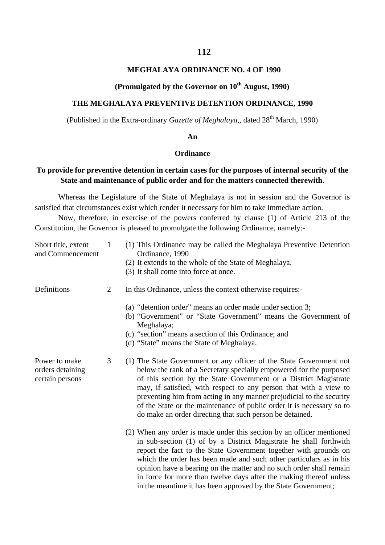#### **MEGHALAYA ORDINANCE NO. 4 OF 1990**

#### **(Promulgated by the Governor on**  $10^{th}$  **August, 1990)**

#### **THE MEGHALAYA PREVENTIVE DETENTION ORDINANCE, 1990**

(Published in the Extra-ordinary *Gazette of Meghalaya*,, dated 28<sup>th</sup> March, 1990)

#### **An**

#### **Ordinance**

#### **To provide for preventive detention in certain cases for the purposes of internal security of the State and maintenance of public order and for the matters connected therewith.**

Whereas the Legislature of the State of Meghalaya is not in session and the Governor is satisfied that circumstances exist which render it necessary for him to take immediate action.

Now, therefore, in exercise of the powers conferred by clause (1) of Article 213 of the Constitution, the Governor is pleased to promulgate the following Ordinance, namely:-

| Short title, extent<br>and Commencement              | $\mathbf{1}$ | (1) This Ordinance may be called the Meghalaya Preventive Detention<br>Ordinance, 1990<br>(2) It extends to the whole of the State of Meghalaya.                                                                                                                                                                                                                                                                                                                                                   |
|------------------------------------------------------|--------------|----------------------------------------------------------------------------------------------------------------------------------------------------------------------------------------------------------------------------------------------------------------------------------------------------------------------------------------------------------------------------------------------------------------------------------------------------------------------------------------------------|
|                                                      |              | (3) It shall come into force at once.                                                                                                                                                                                                                                                                                                                                                                                                                                                              |
| Definitions                                          | 2            | In this Ordinance, unless the context otherwise requires:-                                                                                                                                                                                                                                                                                                                                                                                                                                         |
|                                                      |              | (a) "detention order" means an order made under section 3;<br>(b) "Government" or "State Government" means the Government of<br>Meghalaya;                                                                                                                                                                                                                                                                                                                                                         |
|                                                      |              | (c) "section" means a section of this Ordinance; and<br>(d) "State" means the State of Meghalaya.                                                                                                                                                                                                                                                                                                                                                                                                  |
| Power to make<br>orders detaining<br>certain persons | 3            | (1) The State Government or any officer of the State Government not<br>below the rank of a Secretary specially empowered for the purposed<br>of this section by the State Government or a District Magistrate<br>may, if satisfied, with respect to any person that with a view to<br>preventing him from acting in any manner prejudicial to the security<br>of the State or the maintenance of public order it is necessary so to<br>do make an order directing that such person be detained.    |
|                                                      |              | (2) When any order is made under this section by an officer mentioned<br>in sub-section (1) of by a District Magistrate he shall forthwith<br>report the fact to the State Government together with grounds on<br>which the order has been made and such other particulars as in his<br>opinion have a bearing on the matter and no such order shall remain<br>in force for more than twelve days after the making thereof unless<br>in the meantime it has been approved by the State Government; |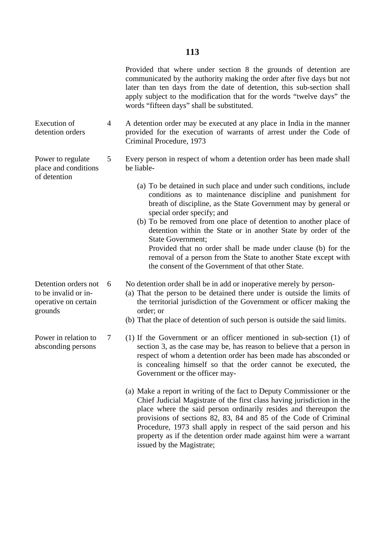Provided that where under section 8 the grounds of detention are communicated by the authority making the order after five days but not later than ten days from the date of detention, this sub-section shall apply subject to the modification that for the words "twelve days" the words "fifteen days" shall be substituted.

Execution of detention orders 4 A detention order may be executed at any place in India in the manner provided for the execution of warrants of arrest under the Code of Criminal Procedure, 1973

- 5 Every person in respect of whom a detention order has been made shall be liable-
	- (a) To be detained in such place and under such conditions, include conditions as to maintenance discipline and punishment for breath of discipline, as the State Government may by general or special order specify; and
	- (b) To be removed from one place of detention to another place of detention within the State or in another State by order of the State Government; Provided that no order shall be made under clause (b) for the removal of a person from the State to another State except with the consent of the Government of that other State.
	- No detention order shall be in add or inoperative merely by person-
	- (a) That the person to be detained there under is outside the limits of the territorial jurisdiction of the Government or officer making the order; or
	- (b) That the place of detention of such person is outside the said limits.
	- (1) If the Government or an officer mentioned in sub-section (1) of section 3, as the case may be, has reason to believe that a person in respect of whom a detention order has been made has absconded or is concealing himself so that the order cannot be executed, the Government or the officer may-
		- (a) Make a report in writing of the fact to Deputy Commissioner or the Chief Judicial Magistrate of the first class having jurisdiction in the place where the said person ordinarily resides and thereupon the provisions of sections 82, 83, 84 and 85 of the Code of Criminal Procedure, 1973 shall apply in respect of the said person and his property as if the detention order made against him were a warrant issued by the Magistrate;

Detention orders not to be invalid or inoperative on certain grounds 6

Power to regulate place and conditions

of detention

Power in relation to absconding persons

7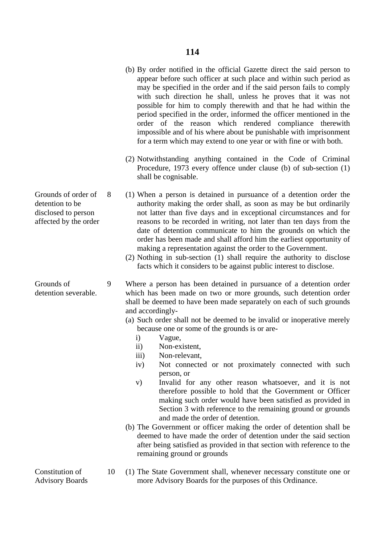- (b) By order notified in the official Gazette direct the said person to appear before such officer at such place and within such period as may be specified in the order and if the said person fails to comply with such direction he shall, unless he proves that it was not possible for him to comply therewith and that he had within the period specified in the order, informed the officer mentioned in the order of the reason which rendered compliance therewith impossible and of his where about be punishable with imprisonment for a term which may extend to one year or with fine or with both.
- (2) Notwithstanding anything contained in the Code of Criminal Procedure, 1973 every offence under clause (b) of sub-section (1) shall be cognisable.
- 8 (1) When a person is detained in pursuance of a detention order the authority making the order shall, as soon as may be but ordinarily not latter than five days and in exceptional circumstances and for reasons to be recorded in writing, not later than ten days from the date of detention communicate to him the grounds on which the order has been made and shall afford him the earliest opportunity of making a representation against the order to the Government.
	- (2) Nothing in sub-section (1) shall require the authority to disclose facts which it considers to be against public interest to disclose.
- 9 Where a person has been detained in pursuance of a detention order which has been made on two or more grounds, such detention order shall be deemed to have been made separately on each of such grounds and accordingly-
	- (a) Such order shall not be deemed to be invalid or inoperative merely because one or some of the grounds is or are
		- i) Vague,
		- ii) Non-existent,
		- iii) Non-relevant,
		- iv) Not connected or not proximately connected with such person, or
		- v) Invalid for any other reason whatsoever, and it is not therefore possible to hold that the Government or Officer making such order would have been satisfied as provided in Section 3 with reference to the remaining ground or grounds and made the order of detention.
	- (b) The Government or officer making the order of detention shall be deemed to have made the order of detention under the said section after being satisfied as provided in that section with reference to the remaining ground or grounds
	- 10 (1) The State Government shall, whenever necessary constitute one or more Advisory Boards for the purposes of this Ordinance.

Grounds of order of detention to be disclosed to person affected by the order

detention severable.

Grounds of

Constitution of Advisory Boards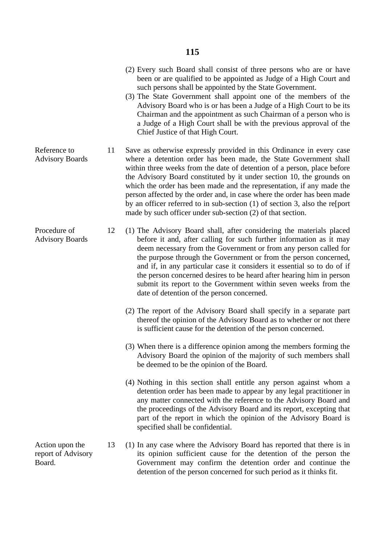- (2) Every such Board shall consist of three persons who are or have been or are qualified to be appointed as Judge of a High Court and such persons shall be appointed by the State Government.
- (3) The State Government shall appoint one of the members of the Advisory Board who is or has been a Judge of a High Court to be its Chairman and the appointment as such Chairman of a person who is a Judge of a High Court shall be with the previous approval of the Chief Justice of that High Court.
- Reference to 11 Save as otherwise expressly provided in this Ordinance in every case where a detention order has been made, the State Government shall within three weeks from the date of detention of a person, place before the Advisory Board constituted by it under section 10, the grounds on which the order has been made and the representation, if any made the person affected by the order and, in case where the order has been made by an officer referred to in sub-section (1) of section 3, also the re[port made by such officer under sub-section (2) of that section.
	- 12 (1) The Advisory Board shall, after considering the materials placed before it and, after calling for such further information as it may deem necessary from the Government or from any person called for the purpose through the Government or from the person concerned, and if, in any particular case it considers it essential so to do of if the person concerned desires to be heard after hearing him in person submit its report to the Government within seven weeks from the date of detention of the person concerned.
		- (2) The report of the Advisory Board shall specify in a separate part thereof the opinion of the Advisory Board as to whether or not there is sufficient cause for the detention of the person concerned.
		- (3) When there is a difference opinion among the members forming the Advisory Board the opinion of the majority of such members shall be deemed to be the opinion of the Board.
		- (4) Nothing in this section shall entitle any person against whom a detention order has been made to appear by any legal practitioner in any matter connected with the reference to the Advisory Board and the proceedings of the Advisory Board and its report, excepting that part of the report in which the opinion of the Advisory Board is specified shall be confidential.
	- 13 (1) In any case where the Advisory Board has reported that there is in its opinion sufficient cause for the detention of the person the Government may confirm the detention order and continue the detention of the person concerned for such period as it thinks fit.

Advisory Boards

Procedure of Advisory Boards

Action upon the report of Advisory Board.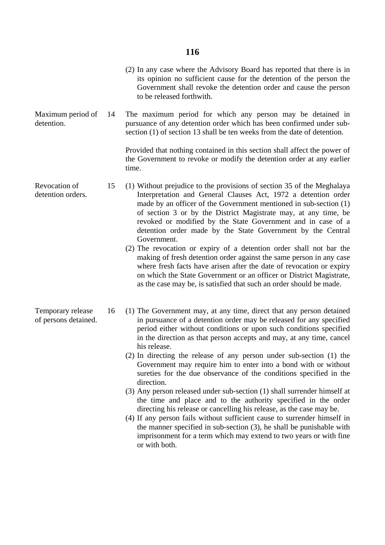(2) In any case where the Advisory Board has reported that there is in its opinion no sufficient cause for the detention of the person the Government shall revoke the detention order and cause the person to be released forthwith.

Maximum period of detention. 14 The maximum period for which any person may be detained in pursuance of any detention order which has been confirmed under subsection (1) of section 13 shall be ten weeks from the date of detention.

> Provided that nothing contained in this section shall affect the power of the Government to revoke or modify the detention order at any earlier time.

- Revocation of 15 (1) Without prejudice to the provisions of section 35 of the Meghalaya Interpretation and General Clauses Act, 1972 a detention order made by an officer of the Government mentioned in sub-section (1) of section 3 or by the District Magistrate may, at any time, be revoked or modified by the State Government and in case of a detention order made by the State Government by the Central Government.
	- (2) The revocation or expiry of a detention order shall not bar the making of fresh detention order against the same person in any case where fresh facts have arisen after the date of revocation or expiry on which the State Government or an officer or District Magistrate, as the case may be, is satisfied that such an order should be made.
	- 16 (1) The Government may, at any time, direct that any person detained in pursuance of a detention order may be released for any specified period either without conditions or upon such conditions specified in the direction as that person accepts and may, at any time, cancel his release.
		- (2) In directing the release of any person under sub-section (1) the Government may require him to enter into a bond with or without sureties for the due observance of the conditions specified in the direction.
		- (3) Any person released under sub-section (1) shall surrender himself at the time and place and to the authority specified in the order directing his release or cancelling his release, as the case may be.
		- (4) If any person fails without sufficient cause to surrender himself in the manner specified in sub-section (3), he shall be punishable with imprisonment for a term which may extend to two years or with fine or with both.

detention orders.

Temporary release of persons detained.